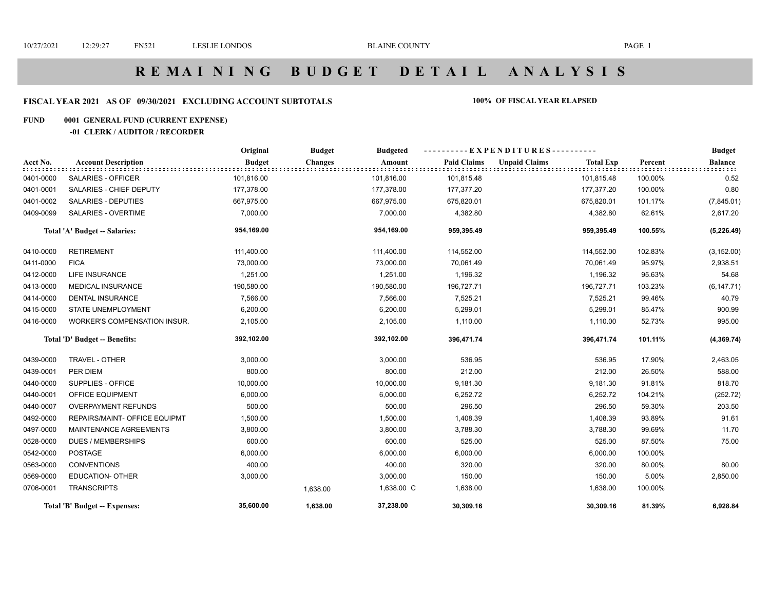# **R E M A I N I N G B U D G E T D E T A I L A N A L Y S I S**

#### **FISCAL YEAR 2021 AS OF 09/30/2021 EXCLUDING ACCOUNT SUBTOTALS 100% OF FISCAL YEAR ELAPSED**

#### **FUND 0001 GENERAL FUND (CURRENT EXPENSE)**

#### **-01 CLERK / AUDITOR / RECORDER**

|           |                                     | Original      | <b>Budget</b>  | <b>Budgeted</b> |                    | ----------EXPENDITURES---------- |                  |         | <b>Budget</b>  |
|-----------|-------------------------------------|---------------|----------------|-----------------|--------------------|----------------------------------|------------------|---------|----------------|
| Acct No.  | <b>Account Description</b>          | <b>Budget</b> | <b>Changes</b> | Amount          | <b>Paid Claims</b> | <b>Unpaid Claims</b>             | <b>Total Exp</b> | Percent | <b>Balance</b> |
| 0401-0000 | SALARIES - OFFICER                  | 101,816.00    |                | 101,816.00      | 101,815.48         |                                  | 101,815.48       | 100.00% | 0.52           |
| 0401-0001 | SALARIES - CHIEF DEPUTY             | 177,378.00    |                | 177,378.00      | 177,377.20         |                                  | 177,377.20       | 100.00% | 0.80           |
| 0401-0002 | <b>SALARIES - DEPUTIES</b>          | 667,975.00    |                | 667,975.00      | 675,820.01         |                                  | 675,820.01       | 101.17% | (7,845.01)     |
| 0409-0099 | <b>SALARIES - OVERTIME</b>          | 7,000.00      |                | 7,000.00        | 4,382.80           |                                  | 4,382.80         | 62.61%  | 2,617.20       |
|           | Total 'A' Budget -- Salaries:       | 954,169.00    |                | 954,169.00      | 959,395.49         |                                  | 959,395.49       | 100.55% | (5,226.49)     |
| 0410-0000 | <b>RETIREMENT</b>                   | 111,400.00    |                | 111,400.00      | 114,552.00         |                                  | 114,552.00       | 102.83% | (3, 152.00)    |
| 0411-0000 | <b>FICA</b>                         | 73,000.00     |                | 73,000.00       | 70,061.49          |                                  | 70,061.49        | 95.97%  | 2,938.51       |
| 0412-0000 | <b>LIFE INSURANCE</b>               | 1,251.00      |                | 1,251.00        | 1,196.32           |                                  | 1,196.32         | 95.63%  | 54.68          |
| 0413-0000 | <b>MEDICAL INSURANCE</b>            | 190,580.00    |                | 190,580.00      | 196,727.71         |                                  | 196,727.71       | 103.23% | (6, 147.71)    |
| 0414-0000 | <b>DENTAL INSURANCE</b>             | 7,566.00      |                | 7,566.00        | 7,525.21           |                                  | 7,525.21         | 99.46%  | 40.79          |
| 0415-0000 | <b>STATE UNEMPLOYMENT</b>           | 6,200.00      |                | 6,200.00        | 5,299.01           |                                  | 5,299.01         | 85.47%  | 900.99         |
| 0416-0000 | <b>WORKER'S COMPENSATION INSUR.</b> | 2,105.00      |                | 2,105.00        | 1,110.00           |                                  | 1,110.00         | 52.73%  | 995.00         |
|           | Total 'D' Budget -- Benefits:       | 392,102.00    |                | 392,102.00      | 396,471.74         |                                  | 396,471.74       | 101.11% | (4, 369.74)    |
| 0439-0000 | TRAVEL - OTHER                      | 3,000.00      |                | 3,000.00        | 536.95             |                                  | 536.95           | 17.90%  | 2,463.05       |
| 0439-0001 | PER DIEM                            | 800.00        |                | 800.00          | 212.00             |                                  | 212.00           | 26.50%  | 588.00         |
| 0440-0000 | SUPPLIES - OFFICE                   | 10,000.00     |                | 10,000.00       | 9,181.30           |                                  | 9,181.30         | 91.81%  | 818.70         |
| 0440-0001 | OFFICE EQUIPMENT                    | 6,000.00      |                | 6,000.00        | 6,252.72           |                                  | 6,252.72         | 104.21% | (252.72)       |
| 0440-0007 | <b>OVERPAYMENT REFUNDS</b>          | 500.00        |                | 500.00          | 296.50             |                                  | 296.50           | 59.30%  | 203.50         |
| 0492-0000 | REPAIRS/MAINT- OFFICE EQUIPMT       | 1,500.00      |                | 1,500.00        | 1,408.39           |                                  | 1,408.39         | 93.89%  | 91.61          |
| 0497-0000 | MAINTENANCE AGREEMENTS              | 3,800.00      |                | 3,800.00        | 3,788.30           |                                  | 3,788.30         | 99.69%  | 11.70          |
| 0528-0000 | <b>DUES / MEMBERSHIPS</b>           | 600.00        |                | 600.00          | 525.00             |                                  | 525.00           | 87.50%  | 75.00          |
| 0542-0000 | <b>POSTAGE</b>                      | 6,000.00      |                | 6,000.00        | 6,000.00           |                                  | 6,000.00         | 100.00% |                |
| 0563-0000 | <b>CONVENTIONS</b>                  | 400.00        |                | 400.00          | 320.00             |                                  | 320.00           | 80.00%  | 80.00          |
| 0569-0000 | <b>EDUCATION- OTHER</b>             | 3,000.00      |                | 3,000.00        | 150.00             |                                  | 150.00           | 5.00%   | 2,850.00       |
| 0706-0001 | <b>TRANSCRIPTS</b>                  |               | 1,638.00       | 1,638.00 C      | 1,638.00           |                                  | 1,638.00         | 100.00% |                |
|           | Total 'B' Budget -- Expenses:       | 35,600.00     | 1,638.00       | 37,238.00       | 30,309.16          |                                  | 30,309.16        | 81.39%  | 6,928.84       |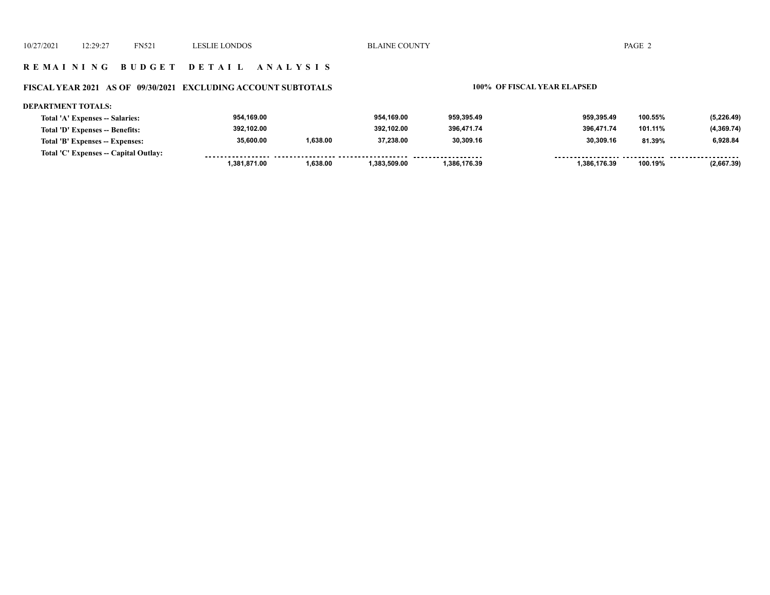#### **R E M A I N I N G B U D G E T D E T A I L A N A L Y S I S**

#### **FISCAL YEAR 2021 AS OF 09/30/2021 EXCLUDING ACCOUNT SUBTOTALS 100% OF FISCAL YEAR ELAPSED**

#### **DEPARTMENT TOTALS:**

| Total 'A' Expenses -- Salaries:       | 954,169.00<br>392.102.00 |          | 954.169.00<br>392.102.00 | 959.395.49<br>396.471.74 | 959.395.49<br>396.471.74 | 100.55%<br>101.11% | (5,226.49) |
|---------------------------------------|--------------------------|----------|--------------------------|--------------------------|--------------------------|--------------------|------------|
| Total 'D' Expenses -- Benefits:       |                          |          |                          |                          |                          |                    | (4,369.74) |
| Total 'B' Expenses -- Expenses:       | 35,600.00                | 1,638.00 | 37,238.00                | 30,309.16                | 30.309.16                | 81.39%             | 6,928.84   |
| Total 'C' Expenses -- Capital Outlay: |                          |          |                          |                          |                          |                    |            |
|                                       | 381,871.00.              | 1,638.00 | ,383,509.00              | 1.386.176.39             | 1.386.176.39             | 100.19%            | (2,667.39) |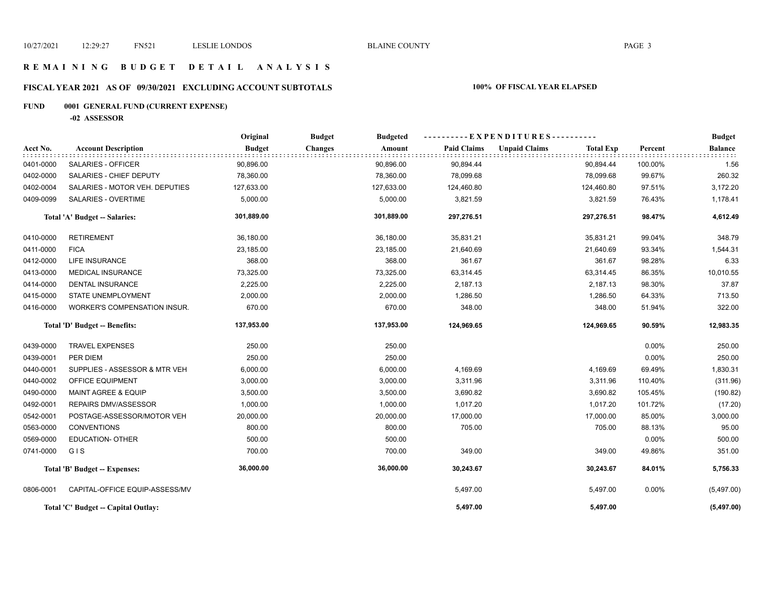#### **R E M A I N I N G B U D G E T D E T A I L A N A L Y S I S**

## **FISCAL YEAR 2021 AS OF 09/30/2021 EXCLUDING ACCOUNT SUBTOTALS 100% OF FISCAL YEAR ELAPSED**

## **FUND 0001 GENERAL FUND (CURRENT EXPENSE)**

**-02 ASSESSOR**

|           |                                      | Original<br><b>Budget</b><br><b>Budgeted</b> |                          |                    | ----------EXPENDITURES----------         |         | <b>Budget</b>  |
|-----------|--------------------------------------|----------------------------------------------|--------------------------|--------------------|------------------------------------------|---------|----------------|
| Acct No.  | <b>Account Description</b>           | <b>Budget</b>                                | <b>Changes</b><br>Amount | <b>Paid Claims</b> | <b>Unpaid Claims</b><br><b>Total Exp</b> | Percent | <b>Balance</b> |
| 0401-0000 | SALARIES - OFFICER                   | 90,896.00                                    | 90,896.00                | 90,894.44          | 90,894.44                                | 100.00% | 1.56           |
| 0402-0000 | SALARIES - CHIEF DEPUTY              | 78,360.00                                    | 78,360.00                | 78,099.68          | 78,099.68                                | 99.67%  | 260.32         |
| 0402-0004 | SALARIES - MOTOR VEH. DEPUTIES       | 127,633.00                                   | 127,633.00               | 124,460.80         | 124,460.80                               | 97.51%  | 3,172.20       |
| 0409-0099 | SALARIES - OVERTIME                  | 5,000.00                                     | 5,000.00                 | 3,821.59           | 3,821.59                                 | 76.43%  | 1,178.41       |
|           | Total 'A' Budget -- Salaries:        | 301,889.00                                   | 301,889.00               | 297,276.51         | 297,276.51                               | 98.47%  | 4,612.49       |
| 0410-0000 | <b>RETIREMENT</b>                    | 36,180.00                                    | 36,180.00                | 35,831.21          | 35,831.21                                | 99.04%  | 348.79         |
| 0411-0000 | <b>FICA</b>                          | 23,185.00                                    | 23,185.00                | 21,640.69          | 21,640.69                                | 93.34%  | 1,544.31       |
| 0412-0000 | LIFE INSURANCE                       | 368.00                                       | 368.00                   | 361.67             | 361.67                                   | 98.28%  | 6.33           |
| 0413-0000 | <b>MEDICAL INSURANCE</b>             | 73,325.00                                    | 73,325.00                | 63,314.45          | 63,314.45                                | 86.35%  | 10,010.55      |
| 0414-0000 | <b>DENTAL INSURANCE</b>              | 2,225.00                                     | 2,225.00                 | 2,187.13           | 2,187.13                                 | 98.30%  | 37.87          |
| 0415-0000 | STATE UNEMPLOYMENT                   | 2,000.00                                     | 2,000.00                 | 1,286.50           | 1,286.50                                 | 64.33%  | 713.50         |
| 0416-0000 | WORKER'S COMPENSATION INSUR.         | 670.00                                       | 670.00                   | 348.00             | 348.00                                   | 51.94%  | 322.00         |
|           | Total 'D' Budget -- Benefits:        | 137,953.00                                   | 137,953.00               | 124,969.65         | 124,969.65                               | 90.59%  | 12,983.35      |
| 0439-0000 | <b>TRAVEL EXPENSES</b>               | 250.00                                       | 250.00                   |                    |                                          | 0.00%   | 250.00         |
| 0439-0001 | PER DIEM                             | 250.00                                       | 250.00                   |                    |                                          | 0.00%   | 250.00         |
| 0440-0001 | SUPPLIES - ASSESSOR & MTR VEH        | 6,000.00                                     | 6,000.00                 | 4,169.69           | 4,169.69                                 | 69.49%  | 1,830.31       |
| 0440-0002 | OFFICE EQUIPMENT                     | 3,000.00                                     | 3,000.00                 | 3,311.96           | 3,311.96                                 | 110.40% | (311.96)       |
| 0490-0000 | MAINT AGREE & EQUIP                  | 3,500.00                                     | 3,500.00                 | 3,690.82           | 3,690.82                                 | 105.45% | (190.82)       |
| 0492-0001 | <b>REPAIRS DMV/ASSESSOR</b>          | 1,000.00                                     | 1,000.00                 | 1,017.20           | 1,017.20                                 | 101.72% | (17.20)        |
| 0542-0001 | POSTAGE-ASSESSOR/MOTOR VEH           | 20,000.00                                    | 20,000.00                | 17,000.00          | 17,000.00                                | 85.00%  | 3,000.00       |
| 0563-0000 | <b>CONVENTIONS</b>                   | 800.00                                       | 800.00                   | 705.00             | 705.00                                   | 88.13%  | 95.00          |
| 0569-0000 | <b>EDUCATION- OTHER</b>              | 500.00                                       | 500.00                   |                    |                                          | 0.00%   | 500.00         |
| 0741-0000 | GIS                                  | 700.00                                       | 700.00                   | 349.00             | 349.00                                   | 49.86%  | 351.00         |
|           | <b>Total 'B' Budget -- Expenses:</b> | 36,000.00                                    | 36,000.00                | 30,243.67          | 30,243.67                                | 84.01%  | 5,756.33       |
| 0806-0001 | CAPITAL-OFFICE EQUIP-ASSESS/MV       |                                              |                          | 5,497.00           | 5,497.00                                 | 0.00%   | (5,497.00)     |
|           | Total 'C' Budget -- Capital Outlay:  |                                              |                          | 5,497.00           | 5,497.00                                 |         | (5,497.00)     |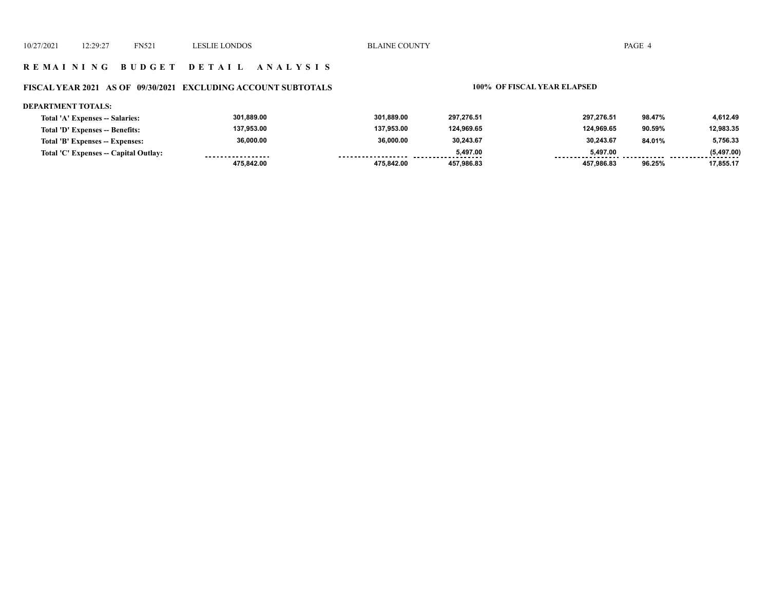#### **R E M A I N I N G B U D G E T D E T A I L A N A L Y S I S**

## **FISCAL YEAR 2021 AS OF 09/30/2021 EXCLUDING ACCOUNT SUBTOTALS 100% OF FISCAL YEAR ELAPSED**

#### **DEPARTMENT TOTALS:**

| Total 'A' Expenses -- Salaries:       | 301,889.00        | 301.889.00 | 297.276.51 | 297.276.51 | 98.47% | 4.612.49        |
|---------------------------------------|-------------------|------------|------------|------------|--------|-----------------|
| Total 'D' Expenses -- Benefits:       | 137.953.00        | 137.953.00 | 124.969.65 | 124.969.65 | 90.59% | 12,983.35       |
| Total 'B' Expenses -- Expenses:       | 36,000.00         | 36,000.00  | 30,243.67  | 30,243.67  | 84.01% | 5,756.33        |
| Total 'C' Expenses -- Capital Outlay: | ----------------- |            | 5.497.00   | 5.497.00   |        | (5,497.00)<br>. |
|                                       | 475,842.00        | 475.842.00 | 457.986.83 | 457.986.83 | 96.25% | 17,855.17       |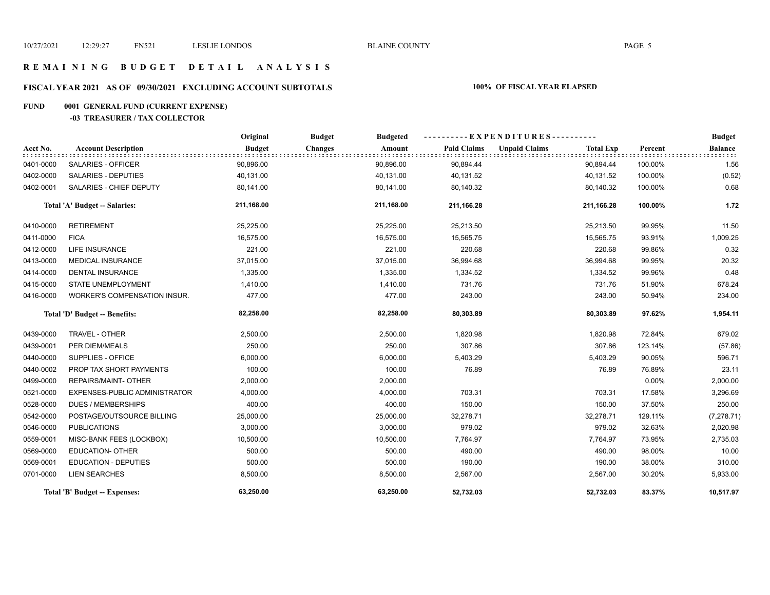#### **R E M A I N I N G B U D G E T D E T A I L A N A L Y S I S**

## **FISCAL YEAR 2021 AS OF 09/30/2021 EXCLUDING ACCOUNT SUBTOTALS 100% OF FISCAL YEAR ELAPSED**

## **FUND 0001 GENERAL FUND (CURRENT EXPENSE)**

#### **-03 TREASURER / TAX COLLECTOR**

|           |                               | Original      | <b>Budget</b><br><b>Budgeted</b> | ----------EXPENDITURES---------- |                                          | <b>Budget</b> |                |
|-----------|-------------------------------|---------------|----------------------------------|----------------------------------|------------------------------------------|---------------|----------------|
| Acct No.  | <b>Account Description</b>    | <b>Budget</b> | <b>Changes</b><br>Amount         | <b>Paid Claims</b>               | <b>Unpaid Claims</b><br><b>Total Exp</b> | Percent       | <b>Balance</b> |
| 0401-0000 | SALARIES - OFFICER            | 90,896.00     | 90,896.00                        | 90,894.44                        | 90,894.44                                | 100.00%       | 1.56           |
| 0402-0000 | <b>SALARIES - DEPUTIES</b>    | 40,131.00     | 40,131.00                        | 40,131.52                        | 40,131.52                                | 100.00%       | (0.52)         |
| 0402-0001 | SALARIES - CHIEF DEPUTY       | 80,141.00     | 80,141.00                        | 80,140.32                        | 80,140.32                                | 100.00%       | 0.68           |
|           | Total 'A' Budget -- Salaries: | 211,168.00    | 211,168.00                       | 211,166.28                       | 211,166.28                               | 100.00%       | 1.72           |
| 0410-0000 | <b>RETIREMENT</b>             | 25,225.00     | 25,225.00                        | 25,213.50                        | 25,213.50                                | 99.95%        | 11.50          |
| 0411-0000 | <b>FICA</b>                   | 16,575.00     | 16,575.00                        | 15,565.75                        | 15,565.75                                | 93.91%        | 1,009.25       |
| 0412-0000 | <b>LIFE INSURANCE</b>         | 221.00        | 221.00                           | 220.68                           | 220.68                                   | 99.86%        | 0.32           |
| 0413-0000 | <b>MEDICAL INSURANCE</b>      | 37,015.00     | 37,015.00                        | 36,994.68                        | 36,994.68                                | 99.95%        | 20.32          |
| 0414-0000 | <b>DENTAL INSURANCE</b>       | 1,335.00      | 1,335.00                         | 1,334.52                         | 1,334.52                                 | 99.96%        | 0.48           |
| 0415-0000 | STATE UNEMPLOYMENT            | 1,410.00      | 1,410.00                         | 731.76                           | 731.76                                   | 51.90%        | 678.24         |
| 0416-0000 | WORKER'S COMPENSATION INSUR.  | 477.00        | 477.00                           | 243.00                           | 243.00                                   | 50.94%        | 234.00         |
|           | Total 'D' Budget -- Benefits: | 82,258.00     | 82,258.00                        | 80,303.89                        | 80,303.89                                | 97.62%        | 1,954.11       |
| 0439-0000 | TRAVEL - OTHER                | 2,500.00      | 2,500.00                         | 1,820.98                         | 1,820.98                                 | 72.84%        | 679.02         |
| 0439-0001 | PER DIEM/MEALS                | 250.00        | 250.00                           | 307.86                           | 307.86                                   | 123.14%       | (57.86)        |
| 0440-0000 | SUPPLIES - OFFICE             | 6,000.00      | 6,000.00                         | 5,403.29                         | 5,403.29                                 | 90.05%        | 596.71         |
| 0440-0002 | PROP TAX SHORT PAYMENTS       | 100.00        | 100.00                           | 76.89                            | 76.89                                    | 76.89%        | 23.11          |
| 0499-0000 | REPAIRS/MAINT- OTHER          | 2,000.00      | 2,000.00                         |                                  |                                          | 0.00%         | 2,000.00       |
| 0521-0000 | EXPENSES-PUBLIC ADMINISTRATOR | 4,000.00      | 4,000.00                         | 703.31                           | 703.31                                   | 17.58%        | 3,296.69       |
| 0528-0000 | <b>DUES / MEMBERSHIPS</b>     | 400.00        | 400.00                           | 150.00                           | 150.00                                   | 37.50%        | 250.00         |
| 0542-0000 | POSTAGE/OUTSOURCE BILLING     | 25,000.00     | 25,000.00                        | 32,278.71                        | 32,278.71                                | 129.11%       | (7, 278.71)    |
| 0546-0000 | <b>PUBLICATIONS</b>           | 3,000.00      | 3,000.00                         | 979.02                           | 979.02                                   | 32.63%        | 2,020.98       |
| 0559-0001 | MISC-BANK FEES (LOCKBOX)      | 10,500.00     | 10,500.00                        | 7,764.97                         | 7,764.97                                 | 73.95%        | 2,735.03       |
| 0569-0000 | <b>EDUCATION- OTHER</b>       | 500.00        | 500.00                           | 490.00                           | 490.00                                   | 98.00%        | 10.00          |
| 0569-0001 | <b>EDUCATION - DEPUTIES</b>   | 500.00        | 500.00                           | 190.00                           | 190.00                                   | 38.00%        | 310.00         |
| 0701-0000 | <b>LIEN SEARCHES</b>          | 8,500.00      | 8,500.00                         | 2,567.00                         | 2,567.00                                 | 30.20%        | 5,933.00       |
|           | Total 'B' Budget -- Expenses: | 63,250.00     | 63,250.00                        | 52,732.03                        | 52,732.03                                | 83.37%        | 10,517.97      |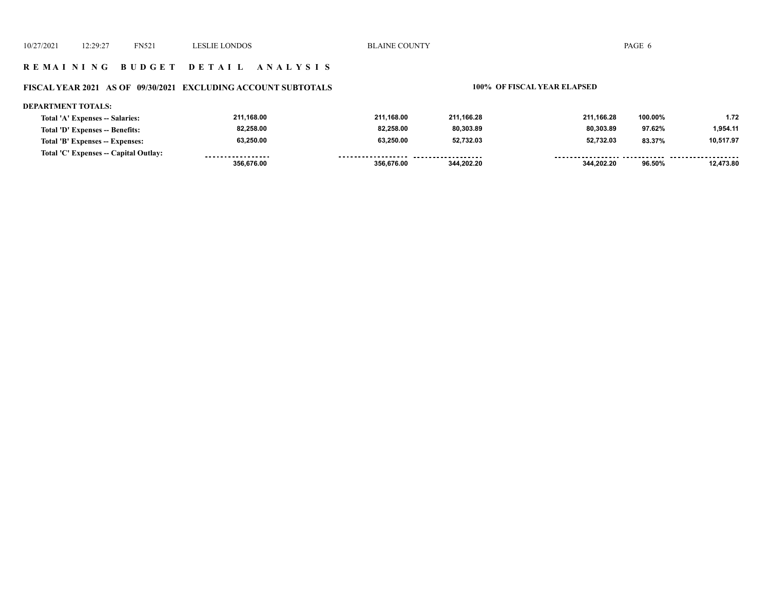#### **R E M A I N I N G B U D G E T D E T A I L A N A L Y S I S**

## **FISCAL YEAR 2021 AS OF 09/30/2021 EXCLUDING ACCOUNT SUBTOTALS 100% OF FISCAL YEAR ELAPSED**

#### **DEPARTMENT TOTALS:**

| Total 'A' Expenses -- Salaries:       | 211.168.00        | 211.168.00         | 211.166.28 | 211.166.28 | 100.00% | 1.72      |
|---------------------------------------|-------------------|--------------------|------------|------------|---------|-----------|
| Total 'D' Expenses -- Benefits:       | 82.258.00         | 82,258.00          | 80.303.89  | 80,303.89  | 97.62%  | 1,954.11  |
| Total 'B' Expenses -- Expenses:       | 63,250.00         | 63,250.00          | 52,732.03  | 52.732.03  | 83.37%  | 10,517.97 |
| Total 'C' Expenses -- Capital Outlay: | ----------------- | ------------------ | .          |            |         |           |
|                                       | 356.676.00        | 356,676.00         | 344.202.20 | 344.202.20 | 96.50%  | 12.473.80 |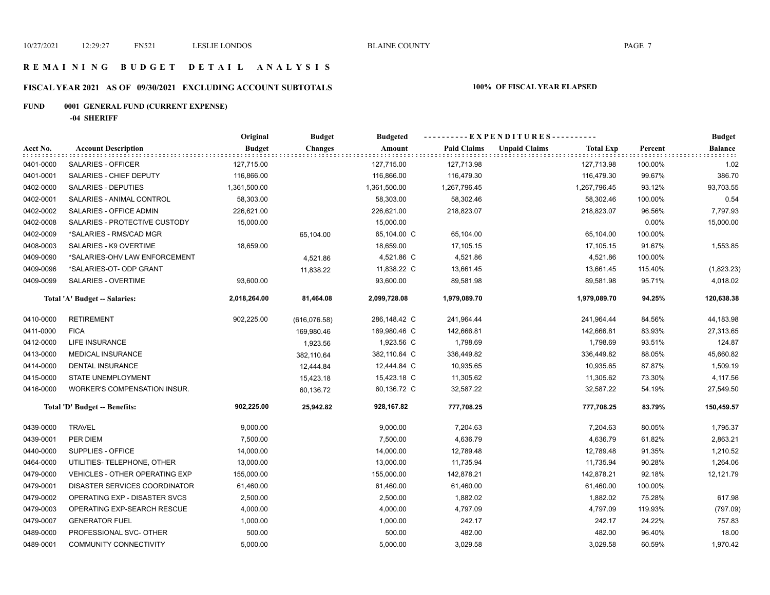#### **R E M A I N I N G B U D G E T D E T A I L A N A L Y S I S**

## **FISCAL YEAR 2021 AS OF 09/30/2021 EXCLUDING ACCOUNT SUBTOTALS 100% OF FISCAL YEAR ELAPSED**

## **FUND 0001 GENERAL FUND (CURRENT EXPENSE)**

**-04 SHERIFF**

|           |                                       | Original      | <b>Budget</b>  | <b>Budgeted</b> | ----------EXPENDITURES---------- |                      |                  | <b>Budget</b> |                |
|-----------|---------------------------------------|---------------|----------------|-----------------|----------------------------------|----------------------|------------------|---------------|----------------|
| Acct No.  | <b>Account Description</b>            | <b>Budget</b> | <b>Changes</b> | Amount          | <b>Paid Claims</b>               | <b>Unpaid Claims</b> | <b>Total Exp</b> | Percent       | <b>Balance</b> |
| 0401-0000 | <b>SALARIES - OFFICER</b>             | 127,715.00    |                | 127,715.00      | 127,713.98                       |                      | 127,713.98       | 100.00%       | 1.02           |
| 0401-0001 | SALARIES - CHIEF DEPUTY               | 116,866.00    |                | 116,866.00      | 116,479.30                       |                      | 116,479.30       | 99.67%        | 386.70         |
| 0402-0000 | SALARIES - DEPUTIES                   | 1,361,500.00  |                | 1,361,500.00    | 1,267,796.45                     |                      | 1,267,796.45     | 93.12%        | 93,703.55      |
| 0402-0001 | SALARIES - ANIMAL CONTROL             | 58,303.00     |                | 58,303.00       | 58,302.46                        |                      | 58,302.46        | 100.00%       | 0.54           |
| 0402-0002 | SALARIES - OFFICE ADMIN               | 226,621.00    |                | 226,621.00      | 218,823.07                       |                      | 218,823.07       | 96.56%        | 7,797.93       |
| 0402-0008 | SALARIES - PROTECTIVE CUSTODY         | 15,000.00     |                | 15,000.00       |                                  |                      |                  | 0.00%         | 15,000.00      |
| 0402-0009 | *SALARIES - RMS/CAD MGR               |               | 65,104.00      | 65,104.00 C     | 65,104.00                        |                      | 65,104.00        | 100.00%       |                |
| 0408-0003 | SALARIES - K9 OVERTIME                | 18,659.00     |                | 18,659.00       | 17,105.15                        |                      | 17,105.15        | 91.67%        | 1,553.85       |
| 0409-0090 | *SALARIES-OHV LAW ENFORCEMENT         |               | 4,521.86       | 4,521.86 C      | 4,521.86                         |                      | 4,521.86         | 100.00%       |                |
| 0409-0096 | *SALARIES-OT- ODP GRANT               |               | 11,838.22      | 11,838.22 C     | 13,661.45                        |                      | 13,661.45        | 115.40%       | (1,823.23)     |
| 0409-0099 | SALARIES - OVERTIME                   | 93,600.00     |                | 93,600.00       | 89,581.98                        |                      | 89,581.98        | 95.71%        | 4,018.02       |
|           | <b>Total 'A' Budget -- Salaries:</b>  | 2,018,264.00  | 81,464.08      | 2,099,728.08    | 1,979,089.70                     |                      | 1,979,089.70     | 94.25%        | 120,638.38     |
| 0410-0000 | <b>RETIREMENT</b>                     | 902,225.00    | (616,076.58)   | 286,148.42 C    | 241,964.44                       |                      | 241,964.44       | 84.56%        | 44,183.98      |
| 0411-0000 | <b>FICA</b>                           |               | 169,980.46     | 169,980.46 C    | 142,666.81                       |                      | 142,666.81       | 83.93%        | 27,313.65      |
| 0412-0000 | LIFE INSURANCE                        |               | 1,923.56       | 1,923.56 C      | 1,798.69                         |                      | 1,798.69         | 93.51%        | 124.87         |
| 0413-0000 | <b>MEDICAL INSURANCE</b>              |               | 382,110.64     | 382,110.64 C    | 336,449.82                       |                      | 336,449.82       | 88.05%        | 45,660.82      |
| 0414-0000 | DENTAL INSURANCE                      |               | 12,444.84      | 12,444.84 C     | 10,935.65                        |                      | 10,935.65        | 87.87%        | 1,509.19       |
| 0415-0000 | STATE UNEMPLOYMENT                    |               | 15,423.18      | 15,423.18 C     | 11,305.62                        |                      | 11,305.62        | 73.30%        | 4,117.56       |
| 0416-0000 | WORKER'S COMPENSATION INSUR.          |               | 60,136.72      | 60,136.72 C     | 32,587.22                        |                      | 32,587.22        | 54.19%        | 27,549.50      |
|           | Total 'D' Budget -- Benefits:         | 902,225.00    | 25,942.82      | 928,167.82      | 777,708.25                       |                      | 777,708.25       | 83.79%        | 150,459.57     |
| 0439-0000 | <b>TRAVEL</b>                         | 9,000.00      |                | 9,000.00        | 7,204.63                         |                      | 7,204.63         | 80.05%        | 1,795.37       |
| 0439-0001 | PER DIEM                              | 7,500.00      |                | 7,500.00        | 4,636.79                         |                      | 4,636.79         | 61.82%        | 2,863.21       |
| 0440-0000 | SUPPLIES - OFFICE                     | 14,000.00     |                | 14,000.00       | 12,789.48                        |                      | 12,789.48        | 91.35%        | 1,210.52       |
| 0464-0000 | UTILITIES- TELEPHONE, OTHER           | 13,000.00     |                | 13,000.00       | 11,735.94                        |                      | 11,735.94        | 90.28%        | 1,264.06       |
| 0479-0000 | <b>VEHICLES - OTHER OPERATING EXP</b> | 155,000.00    |                | 155,000.00      | 142,878.21                       |                      | 142,878.21       | 92.18%        | 12,121.79      |
| 0479-0001 | DISASTER SERVICES COORDINATOR         | 61,460.00     |                | 61,460.00       | 61,460.00                        |                      | 61,460.00        | 100.00%       |                |
| 0479-0002 | OPERATING EXP - DISASTER SVCS         | 2,500.00      |                | 2,500.00        | 1,882.02                         |                      | 1,882.02         | 75.28%        | 617.98         |
| 0479-0003 | OPERATING EXP-SEARCH RESCUE           | 4,000.00      |                | 4,000.00        | 4,797.09                         |                      | 4,797.09         | 119.93%       | (797.09)       |
| 0479-0007 | <b>GENERATOR FUEL</b>                 | 1,000.00      |                | 1,000.00        | 242.17                           |                      | 242.17           | 24.22%        | 757.83         |
| 0489-0000 | PROFESSIONAL SVC- OTHER               | 500.00        |                | 500.00          | 482.00                           |                      | 482.00           | 96.40%        | 18.00          |
| 0489-0001 | <b>COMMUNITY CONNECTIVITY</b>         | 5,000.00      |                | 5,000.00        | 3,029.58                         |                      | 3,029.58         | 60.59%        | 1,970.42       |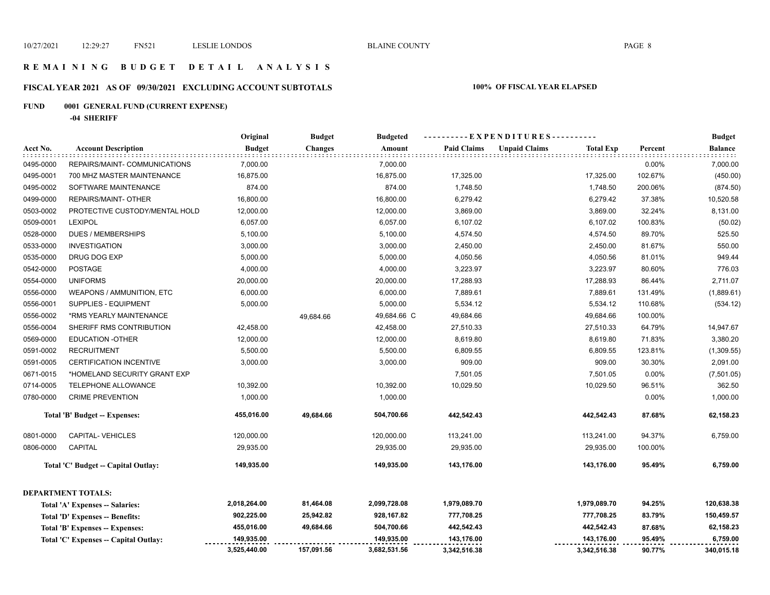#### **R E M A I N I N G B U D G E T D E T A I L A N A L Y S I S**

## **FISCAL YEAR 2021 AS OF 09/30/2021 EXCLUDING ACCOUNT SUBTOTALS 100% OF FISCAL YEAR ELAPSED**

## **FUND 0001 GENERAL FUND (CURRENT EXPENSE)**

**-04 SHERIFF**

|           |                                       | Original      | <b>Budget</b>  | <b>Budgeted</b> |                    | ----EXPENDITURES---------- |                  |         | <b>Budget</b>              |
|-----------|---------------------------------------|---------------|----------------|-----------------|--------------------|----------------------------|------------------|---------|----------------------------|
| Acct No.  | <b>Account Description</b>            | <b>Budget</b> | <b>Changes</b> | Amount          | <b>Paid Claims</b> | <b>Unpaid Claims</b>       | <b>Total Exp</b> | Percent | <b>Balance</b><br>did did. |
| 0495-0000 | REPAIRS/MAINT- COMMUNICATIONS         | 7,000.00      |                | 7,000.00        |                    |                            |                  | 0.00%   | 7,000.00                   |
| 0495-0001 | 700 MHZ MASTER MAINTENANCE            | 16,875.00     |                | 16,875.00       | 17,325.00          |                            | 17,325.00        | 102.67% | (450.00)                   |
| 0495-0002 | SOFTWARE MAINTENANCE                  | 874.00        |                | 874.00          | 1,748.50           |                            | 1,748.50         | 200.06% | (874.50)                   |
| 0499-0000 | <b>REPAIRS/MAINT- OTHER</b>           | 16,800.00     |                | 16,800.00       | 6,279.42           |                            | 6,279.42         | 37.38%  | 10,520.58                  |
| 0503-0002 | PROTECTIVE CUSTODY/MENTAL HOLD        | 12,000.00     |                | 12,000.00       | 3,869.00           |                            | 3,869.00         | 32.24%  | 8,131.00                   |
| 0509-0001 | <b>LEXIPOL</b>                        | 6,057.00      |                | 6,057.00        | 6,107.02           |                            | 6,107.02         | 100.83% | (50.02)                    |
| 0528-0000 | <b>DUES / MEMBERSHIPS</b>             | 5,100.00      |                | 5,100.00        | 4,574.50           |                            | 4,574.50         | 89.70%  | 525.50                     |
| 0533-0000 | <b>INVESTIGATION</b>                  | 3,000.00      |                | 3,000.00        | 2,450.00           |                            | 2,450.00         | 81.67%  | 550.00                     |
| 0535-0000 | DRUG DOG EXP                          | 5,000.00      |                | 5,000.00        | 4,050.56           |                            | 4,050.56         | 81.01%  | 949.44                     |
| 0542-0000 | <b>POSTAGE</b>                        | 4,000.00      |                | 4,000.00        | 3,223.97           |                            | 3,223.97         | 80.60%  | 776.03                     |
| 0554-0000 | <b>UNIFORMS</b>                       | 20,000.00     |                | 20,000.00       | 17,288.93          |                            | 17,288.93        | 86.44%  | 2,711.07                   |
| 0556-0000 | WEAPONS / AMMUNITION, ETC             | 6,000.00      |                | 6,000.00        | 7,889.61           |                            | 7,889.61         | 131.49% | (1,889.61)                 |
| 0556-0001 | SUPPLIES - EQUIPMENT                  | 5,000.00      |                | 5,000.00        | 5,534.12           |                            | 5,534.12         | 110.68% | (534.12)                   |
| 0556-0002 | *RMS YEARLY MAINTENANCE               |               | 49,684.66      | 49,684.66 C     | 49,684.66          |                            | 49,684.66        | 100.00% |                            |
| 0556-0004 | SHERIFF RMS CONTRIBUTION              | 42,458.00     |                | 42,458.00       | 27,510.33          |                            | 27,510.33        | 64.79%  | 14,947.67                  |
| 0569-0000 | <b>EDUCATION -OTHER</b>               | 12,000.00     |                | 12,000.00       | 8,619.80           |                            | 8,619.80         | 71.83%  | 3,380.20                   |
| 0591-0002 | <b>RECRUITMENT</b>                    | 5,500.00      |                | 5,500.00        | 6,809.55           |                            | 6,809.55         | 123.81% | (1,309.55)                 |
| 0591-0005 | <b>CERTIFICATION INCENTIVE</b>        | 3,000.00      |                | 3,000.00        | 909.00             |                            | 909.00           | 30.30%  | 2,091.00                   |
| 0671-0015 | *HOMELAND SECURITY GRANT EXP          |               |                |                 | 7,501.05           |                            | 7,501.05         | 0.00%   | (7,501.05)                 |
| 0714-0005 | TELEPHONE ALLOWANCE                   | 10,392.00     |                | 10,392.00       | 10,029.50          |                            | 10,029.50        | 96.51%  | 362.50                     |
| 0780-0000 | <b>CRIME PREVENTION</b>               | 1,000.00      |                | 1,000.00        |                    |                            |                  | 0.00%   | 1,000.00                   |
|           | Total 'B' Budget -- Expenses:         | 455,016.00    | 49,684.66      | 504,700.66      | 442,542.43         |                            | 442,542.43       | 87.68%  | 62,158.23                  |
| 0801-0000 | <b>CAPITAL- VEHICLES</b>              | 120,000.00    |                | 120,000.00      | 113,241.00         |                            | 113,241.00       | 94.37%  | 6,759.00                   |
| 0806-0000 | <b>CAPITAL</b>                        | 29,935.00     |                | 29,935.00       | 29,935.00          |                            | 29,935.00        | 100.00% |                            |
|           | Total 'C' Budget -- Capital Outlay:   | 149,935.00    |                | 149,935.00      | 143,176.00         |                            | 143,176.00       | 95.49%  | 6,759.00                   |
|           | <b>DEPARTMENT TOTALS:</b>             |               |                |                 |                    |                            |                  |         |                            |
|           | Total 'A' Expenses -- Salaries:       | 2,018,264.00  | 81,464.08      | 2,099,728.08    | 1,979,089.70       |                            | 1,979,089.70     | 94.25%  | 120,638.38                 |
|           | Total 'D' Expenses -- Benefits:       | 902,225.00    | 25,942.82      | 928,167.82      | 777,708.25         |                            | 777,708.25       | 83.79%  | 150,459.57                 |
|           | Total 'B' Expenses -- Expenses:       | 455,016.00    | 49,684.66      | 504,700.66      | 442,542.43         |                            | 442,542.43       | 87.68%  | 62,158.23                  |
|           | Total 'C' Expenses -- Capital Outlay: | 149,935.00    |                | 149,935.00      | 143,176.00         |                            | 143,176.00       | 95.49%  | 6,759.00                   |
|           |                                       | 3,525,440.00  | 157,091.56     | 3,682,531.56    | 3,342,516.38       |                            | 3,342,516.38     | 90.77%  | 340,015.18                 |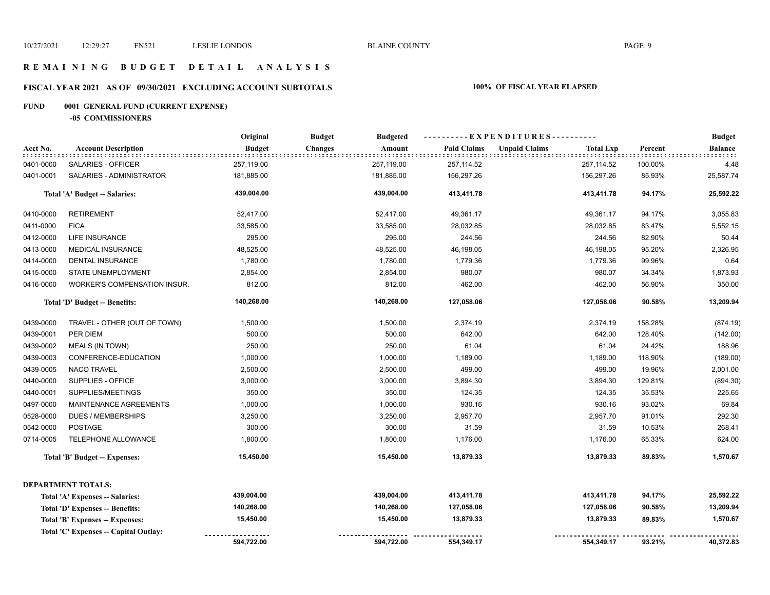#### **R E M A I N I N G B U D G E T D E T A I L A N A L Y S I S**

## **FISCAL YEAR 2021 AS OF 09/30/2021 EXCLUDING ACCOUNT SUBTOTALS 100% OF FISCAL YEAR ELAPSED**

## **FUND 0001 GENERAL FUND (CURRENT EXPENSE)**

**-05 COMMISSIONERS**

|           |                                       | Original      | <b>Budget</b><br><b>Budgeted</b> |        | ----------EXPENDITURES---------- |                      |                  |         | <b>Budget</b>  |
|-----------|---------------------------------------|---------------|----------------------------------|--------|----------------------------------|----------------------|------------------|---------|----------------|
| Acct No.  | <b>Account Description</b>            | <b>Budget</b> | <b>Changes</b>                   | Amount | <b>Paid Claims</b>               | <b>Unpaid Claims</b> | <b>Total Exp</b> | Percent | <b>Balance</b> |
| 0401-0000 | SALARIES - OFFICER                    | 257,119.00    | 257,119.00                       |        | 257,114.52                       |                      | 257,114.52       | 100.00% | 4.48           |
| 0401-0001 | SALARIES - ADMINISTRATOR              | 181,885.00    | 181,885.00                       |        | 156,297.26                       |                      | 156,297.26       | 85.93%  | 25,587.74      |
|           | <b>Total 'A' Budget -- Salaries:</b>  | 439,004.00    | 439,004.00                       |        | 413,411.78                       |                      | 413,411.78       | 94.17%  | 25,592.22      |
| 0410-0000 | <b>RETIREMENT</b>                     | 52,417.00     | 52,417.00                        |        | 49,361.17                        |                      | 49,361.17        | 94.17%  | 3,055.83       |
| 0411-0000 | <b>FICA</b>                           | 33,585.00     | 33,585.00                        |        | 28,032.85                        |                      | 28,032.85        | 83.47%  | 5,552.15       |
| 0412-0000 | LIFE INSURANCE                        | 295.00        |                                  | 295.00 | 244.56                           |                      | 244.56           | 82.90%  | 50.44          |
| 0413-0000 | MEDICAL INSURANCE                     | 48,525.00     | 48,525.00                        |        | 46,198.05                        |                      | 46,198.05        | 95.20%  | 2,326.95       |
| 0414-0000 | <b>DENTAL INSURANCE</b>               | 1,780.00      | 1,780.00                         |        | 1,779.36                         |                      | 1,779.36         | 99.96%  | 0.64           |
| 0415-0000 | STATE UNEMPLOYMENT                    | 2,854.00      | 2,854.00                         |        | 980.07                           |                      | 980.07           | 34.34%  | 1,873.93       |
| 0416-0000 | WORKER'S COMPENSATION INSUR.          | 812.00        |                                  | 812.00 | 462.00                           |                      | 462.00           | 56.90%  | 350.00         |
|           | Total 'D' Budget -- Benefits:         | 140,268.00    | 140,268.00                       |        | 127,058.06                       |                      | 127,058.06       | 90.58%  | 13,209.94      |
| 0439-0000 | TRAVEL - OTHER (OUT OF TOWN)          | 1,500.00      | 1,500.00                         |        | 2,374.19                         |                      | 2,374.19         | 158.28% | (874.19)       |
| 0439-0001 | PER DIEM                              | 500.00        |                                  | 500.00 | 642.00                           |                      | 642.00           | 128.40% | (142.00)       |
| 0439-0002 | MEALS (IN TOWN)                       | 250.00        |                                  | 250.00 | 61.04                            |                      | 61.04            | 24.42%  | 188.96         |
| 0439-0003 | CONFERENCE-EDUCATION                  | 1,000.00      | 1,000.00                         |        | 1,189.00                         |                      | 1,189.00         | 118.90% | (189.00)       |
| 0439-0005 | <b>NACO TRAVEL</b>                    | 2,500.00      | 2,500.00                         |        | 499.00                           |                      | 499.00           | 19.96%  | 2,001.00       |
| 0440-0000 | SUPPLIES - OFFICE                     | 3,000.00      | 3,000.00                         |        | 3,894.30                         |                      | 3,894.30         | 129.81% | (894.30)       |
| 0440-0001 | SUPPLIES/MEETINGS                     | 350.00        |                                  | 350.00 | 124.35                           |                      | 124.35           | 35.53%  | 225.65         |
| 0497-0000 | MAINTENANCE AGREEMENTS                | 1,000.00      | 1,000.00                         |        | 930.16                           |                      | 930.16           | 93.02%  | 69.84          |
| 0528-0000 | <b>DUES / MEMBERSHIPS</b>             | 3,250.00      | 3,250.00                         |        | 2,957.70                         |                      | 2,957.70         | 91.01%  | 292.30         |
| 0542-0000 | <b>POSTAGE</b>                        | 300.00        |                                  | 300.00 | 31.59                            |                      | 31.59            | 10.53%  | 268.41         |
| 0714-0005 | TELEPHONE ALLOWANCE                   | 1,800.00      | 1,800.00                         |        | 1,176.00                         |                      | 1,176.00         | 65.33%  | 624.00         |
|           | <b>Total 'B' Budget -- Expenses:</b>  | 15,450.00     | 15,450.00                        |        | 13,879.33                        |                      | 13,879.33        | 89.83%  | 1,570.67       |
|           | <b>DEPARTMENT TOTALS:</b>             |               |                                  |        |                                  |                      |                  |         |                |
|           | Total 'A' Expenses -- Salaries:       | 439,004.00    | 439,004.00                       |        | 413,411.78                       |                      | 413,411.78       | 94.17%  | 25,592.22      |
|           | Total 'D' Expenses -- Benefits:       | 140,268.00    | 140,268.00                       |        | 127,058.06                       |                      | 127,058.06       | 90.58%  | 13,209.94      |
|           | Total 'B' Expenses -- Expenses:       | 15,450.00     | 15,450.00                        |        | 13,879.33                        |                      | 13,879.33        | 89.83%  | 1,570.67       |
|           | Total 'C' Expenses -- Capital Outlay: |               |                                  |        |                                  |                      |                  |         |                |
|           |                                       | 594,722.00    | 594,722.00                       |        | 554,349.17                       |                      | 554,349.17       | 93.21%  | 40,372.83      |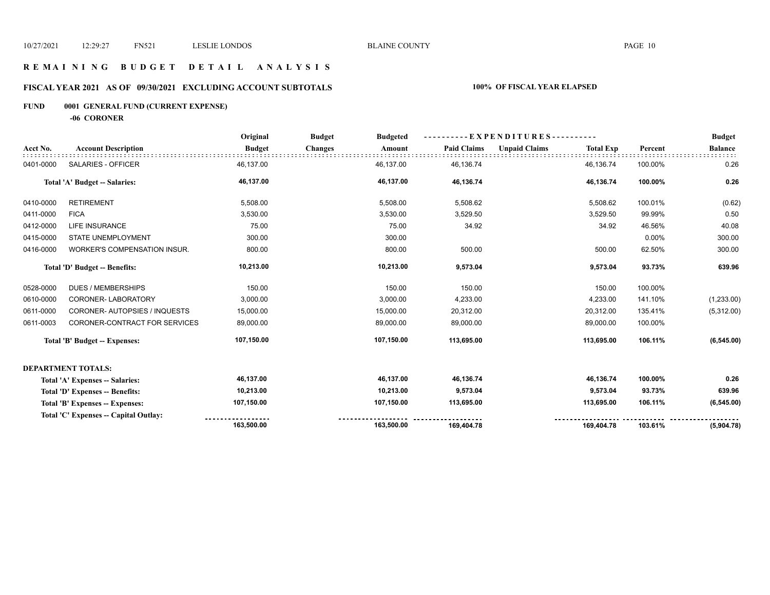## **R E M A I N I N G B U D G E T D E T A I L A N A L Y S I S**

## **FISCAL YEAR 2021 AS OF 09/30/2021 EXCLUDING ACCOUNT SUBTOTALS 100% OF FISCAL YEAR ELAPSED**

## **FUND 0001 GENERAL FUND (CURRENT EXPENSE)**

**-06 CORONER**

|           |                                      | Original      | <b>Budget</b><br><b>Budgeted</b> |                    | --EXPENDITURES----------                 |         |                |
|-----------|--------------------------------------|---------------|----------------------------------|--------------------|------------------------------------------|---------|----------------|
| Acct No.  | <b>Account Description</b>           | <b>Budget</b> | <b>Changes</b><br>Amount         | <b>Paid Claims</b> | <b>Unpaid Claims</b><br><b>Total Exp</b> | Percent | <b>Balance</b> |
| 0401-0000 | SALARIES - OFFICER                   | 46,137.00     | 46,137.00                        | 46,136.74          | 46,136.74                                | 100.00% | 0.26           |
|           | Total 'A' Budget -- Salaries:        | 46,137.00     | 46,137.00                        | 46,136.74          | 46,136.74                                | 100.00% | 0.26           |
| 0410-0000 | <b>RETIREMENT</b>                    | 5,508.00      | 5,508.00                         | 5,508.62           | 5,508.62                                 | 100.01% | (0.62)         |
| 0411-0000 | <b>FICA</b>                          | 3,530.00      | 3,530.00                         | 3,529.50           | 3,529.50                                 | 99.99%  | 0.50           |
| 0412-0000 | LIFE INSURANCE                       | 75.00         | 75.00                            | 34.92              | 34.92                                    | 46.56%  | 40.08          |
| 0415-0000 | <b>STATE UNEMPLOYMENT</b>            | 300.00        | 300.00                           |                    |                                          | 0.00%   | 300.00         |
| 0416-0000 | WORKER'S COMPENSATION INSUR.         | 800.00        | 800.00                           | 500.00             | 500.00                                   | 62.50%  | 300.00         |
|           | Total 'D' Budget -- Benefits:        | 10,213.00     | 10,213.00                        | 9,573.04           | 9,573.04                                 | 93.73%  | 639.96         |
| 0528-0000 | <b>DUES / MEMBERSHIPS</b>            | 150.00        | 150.00                           | 150.00             | 150.00                                   | 100.00% |                |
| 0610-0000 | CORONER-LABORATORY                   | 3,000.00      | 3,000.00                         | 4,233.00           | 4,233.00                                 | 141.10% | (1,233.00)     |
| 0611-0000 | CORONER- AUTOPSIES / INQUESTS        | 15,000.00     | 15,000.00                        | 20,312.00          | 20,312.00                                | 135.41% | (5,312.00)     |
| 0611-0003 | CORONER-CONTRACT FOR SERVICES        | 89,000.00     | 89,000.00                        | 89,000.00          | 89,000.00                                | 100.00% |                |
|           | Total 'B' Budget -- Expenses:        | 107,150.00    | 107,150.00                       | 113,695.00         | 113,695.00                               | 106.11% | (6, 545.00)    |
|           | <b>DEPARTMENT TOTALS:</b>            |               |                                  |                    |                                          |         |                |
|           | Total 'A' Expenses -- Salaries:      | 46,137.00     | 46,137.00                        | 46,136.74          | 46,136.74                                | 100.00% | 0.26           |
|           | Total 'D' Expenses -- Benefits:      | 10,213.00     | 10,213.00                        | 9,573.04           | 9,573.04                                 | 93.73%  | 639.96         |
|           | Total 'B' Expenses -- Expenses:      | 107,150.00    | 107,150.00                       | 113,695.00         | 113,695.00                               | 106.11% | (6, 545.00)    |
|           | Total 'C' Expenses - Capital Outlay: |               |                                  |                    |                                          |         |                |
|           |                                      | 163,500.00    | 163,500.00                       | 169,404.78         | 169,404.78                               | 103.61% | (5,904.78)     |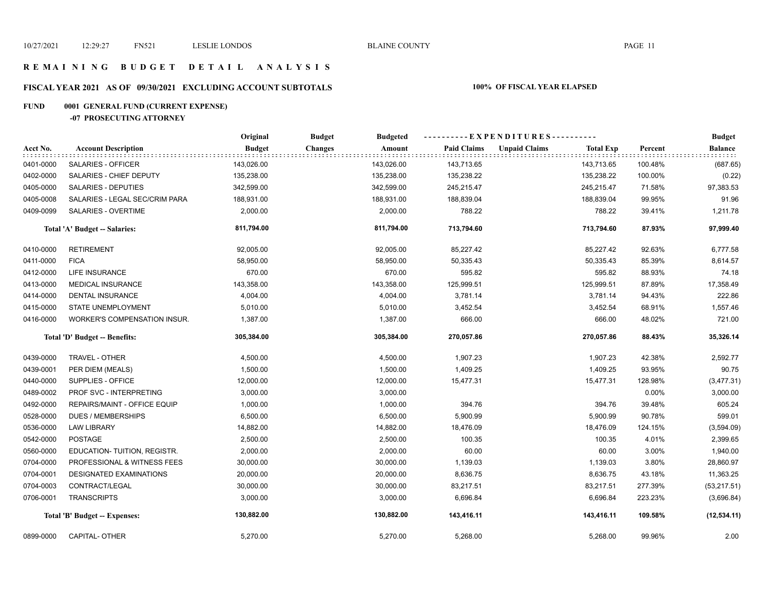#### **R E M A I N I N G B U D G E T D E T A I L A N A L Y S I S**

## **FISCAL YEAR 2021 AS OF 09/30/2021 EXCLUDING ACCOUNT SUBTOTALS 100% OF FISCAL YEAR ELAPSED**

## **FUND 0001 GENERAL FUND (CURRENT EXPENSE)**

#### **-07 PROSECUTING ATTORNEY**

|           |                                | Original      | <b>Budget</b><br><b>Budgeted</b> |                    | ----------EXPENDITURES----------         |         | <b>Budget</b>  |
|-----------|--------------------------------|---------------|----------------------------------|--------------------|------------------------------------------|---------|----------------|
| Acct No.  | <b>Account Description</b>     | <b>Budget</b> | <b>Changes</b><br>Amount         | <b>Paid Claims</b> | <b>Unpaid Claims</b><br><b>Total Exp</b> | Percent | <b>Balance</b> |
| 0401-0000 | SALARIES - OFFICER             | 143,026.00    | 143,026.00                       | 143,713.65         | 143,713.65                               | 100.48% | (687.65)       |
| 0402-0000 | SALARIES - CHIEF DEPUTY        | 135,238.00    | 135,238.00                       | 135,238.22         | 135,238.22                               | 100.00% | (0.22)         |
| 0405-0000 | SALARIES - DEPUTIES            | 342,599.00    | 342,599.00                       | 245,215.47         | 245,215.47                               | 71.58%  | 97,383.53      |
| 0405-0008 | SALARIES - LEGAL SEC/CRIM PARA | 188,931.00    | 188,931.00                       | 188,839.04         | 188,839.04                               | 99.95%  | 91.96          |
| 0409-0099 | SALARIES - OVERTIME            | 2,000.00      | 2,000.00                         | 788.22             | 788.22                                   | 39.41%  | 1,211.78       |
|           | Total 'A' Budget -- Salaries:  | 811,794.00    | 811,794.00                       | 713,794.60         | 713,794.60                               | 87.93%  | 97,999.40      |
| 0410-0000 | <b>RETIREMENT</b>              | 92,005.00     | 92,005.00                        | 85,227.42          | 85,227.42                                | 92.63%  | 6,777.58       |
| 0411-0000 | <b>FICA</b>                    | 58,950.00     | 58,950.00                        | 50,335.43          | 50,335.43                                | 85.39%  | 8,614.57       |
| 0412-0000 | <b>LIFE INSURANCE</b>          | 670.00        | 670.00                           | 595.82             | 595.82                                   | 88.93%  | 74.18          |
| 0413-0000 | MEDICAL INSURANCE              | 143,358.00    | 143,358.00                       | 125,999.51         | 125,999.51                               | 87.89%  | 17,358.49      |
| 0414-0000 | DENTAL INSURANCE               | 4,004.00      | 4,004.00                         | 3,781.14           | 3,781.14                                 | 94.43%  | 222.86         |
| 0415-0000 | STATE UNEMPLOYMENT             | 5,010.00      | 5,010.00                         | 3,452.54           | 3,452.54                                 | 68.91%  | 1,557.46       |
| 0416-0000 | WORKER'S COMPENSATION INSUR.   | 1,387.00      | 1,387.00                         | 666.00             | 666.00                                   | 48.02%  | 721.00         |
|           | Total 'D' Budget -- Benefits:  | 305,384.00    | 305,384.00                       | 270,057.86         | 270,057.86                               | 88.43%  | 35,326.14      |
| 0439-0000 | TRAVEL - OTHER                 | 4,500.00      | 4,500.00                         | 1,907.23           | 1,907.23                                 | 42.38%  | 2,592.77       |
| 0439-0001 | PER DIEM (MEALS)               | 1,500.00      | 1,500.00                         | 1,409.25           | 1,409.25                                 | 93.95%  | 90.75          |
| 0440-0000 | SUPPLIES - OFFICE              | 12,000.00     | 12,000.00                        | 15,477.31          | 15,477.31                                | 128.98% | (3,477.31)     |
| 0489-0002 | PROF SVC - INTERPRETING        | 3,000.00      | 3,000.00                         |                    |                                          | 0.00%   | 3,000.00       |
| 0492-0000 | REPAIRS/MAINT - OFFICE EQUIP   | 1,000.00      | 1,000.00                         | 394.76             | 394.76                                   | 39.48%  | 605.24         |
| 0528-0000 | <b>DUES / MEMBERSHIPS</b>      | 6,500.00      | 6,500.00                         | 5,900.99           | 5,900.99                                 | 90.78%  | 599.01         |
| 0536-0000 | <b>LAW LIBRARY</b>             | 14,882.00     | 14,882.00                        | 18,476.09          | 18,476.09                                | 124.15% | (3,594.09)     |
| 0542-0000 | <b>POSTAGE</b>                 | 2,500.00      | 2,500.00                         | 100.35             | 100.35                                   | 4.01%   | 2,399.65       |
| 0560-0000 | EDUCATION- TUITION, REGISTR.   | 2,000.00      | 2,000.00                         | 60.00              | 60.00                                    | 3.00%   | 1,940.00       |
| 0704-0000 | PROFESSIONAL & WITNESS FEES    | 30,000.00     | 30,000.00                        | 1,139.03           | 1,139.03                                 | 3.80%   | 28,860.97      |
| 0704-0001 | <b>DESIGNATED EXAMINATIONS</b> | 20,000.00     | 20,000.00                        | 8,636.75           | 8,636.75                                 | 43.18%  | 11,363.25      |
| 0704-0003 | CONTRACT/LEGAL                 | 30,000.00     | 30,000.00                        | 83,217.51          | 83,217.51                                | 277.39% | (53, 217.51)   |
| 0706-0001 | <b>TRANSCRIPTS</b>             | 3,000.00      | 3,000.00                         | 6,696.84           | 6,696.84                                 | 223.23% | (3,696.84)     |
|           | Total 'B' Budget -- Expenses:  | 130,882.00    | 130,882.00                       | 143,416.11         | 143,416.11                               | 109.58% | (12, 534.11)   |
| 0899-0000 | CAPITAL- OTHER                 | 5,270.00      | 5,270.00                         | 5,268.00           | 5,268.00                                 | 99.96%  | 2.00           |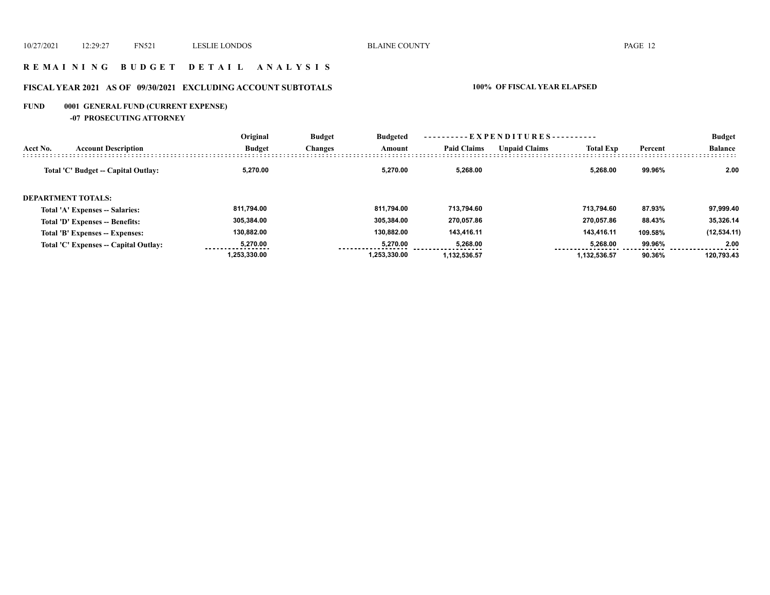#### **R E M A I N I N G B U D G E T D E T A I L A N A L Y S I S**

## **FISCAL YEAR 2021 AS OF 09/30/2021 EXCLUDING ACCOUNT SUBTOTALS 100% OF FISCAL YEAR ELAPSED**

## **FUND 0001 GENERAL FUND (CURRENT EXPENSE)**

**-07 PROSECUTING ATTORNEY**

|          |                                       | Original      | <b>Budget</b><br><b>Budgeted</b><br>Changes<br>Amount | ----------EXPENDITURES---------- |                    |                      |                  | <b>Budget</b> |                |
|----------|---------------------------------------|---------------|-------------------------------------------------------|----------------------------------|--------------------|----------------------|------------------|---------------|----------------|
| Acct No. | <b>Account Description</b>            | <b>Budget</b> |                                                       |                                  | <b>Paid Claims</b> | <b>Unpaid Claims</b> | <b>Total Exp</b> | Percent       | <b>Balance</b> |
|          | Total 'C' Budget -- Capital Outlay:   | 5,270.00      |                                                       | 5.270.00                         | 5.268.00           |                      | 5.268.00         | 99.96%        | 2.00           |
|          | <b>DEPARTMENT TOTALS:</b>             |               |                                                       |                                  |                    |                      |                  |               |                |
|          | Total 'A' Expenses -- Salaries:       | 811,794.00    |                                                       | 811.794.00                       | 713.794.60         |                      | 713.794.60       | 87.93%        | 97,999.40      |
|          | Total 'D' Expenses -- Benefits:       | 305,384.00    |                                                       | 305.384.00                       | 270,057.86         |                      | 270.057.86       | 88.43%        | 35,326.14      |
|          | Total 'B' Expenses -- Expenses:       | 130,882.00    |                                                       | 130.882.00                       | 143.416.11         |                      | 143.416.11       | 109.58%       | (12, 534.11)   |
|          | Total 'C' Expenses -- Capital Outlay: | 5.270.00      |                                                       | 5.270.00                         | 5,268.00           |                      | 5,268.00         | 99.96%        | 2.00           |
|          |                                       | 1.253.330.00  |                                                       | 1.253.330.00                     | 1.132.536.57       |                      | 1.132.536.57     | 90.36%        | 120.793.43     |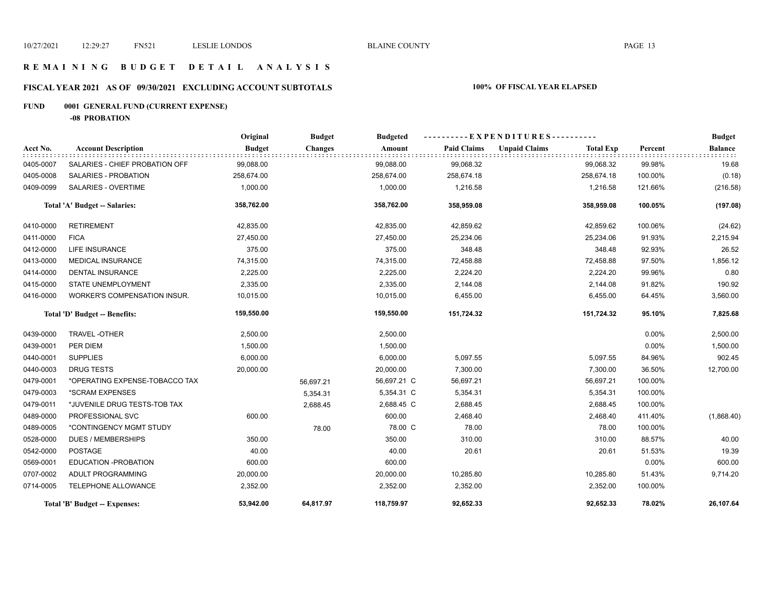#### **R E M A I N I N G B U D G E T D E T A I L A N A L Y S I S**

## **FISCAL YEAR 2021 AS OF 09/30/2021 EXCLUDING ACCOUNT SUBTOTALS 100% OF FISCAL YEAR ELAPSED**

## **FUND 0001 GENERAL FUND (CURRENT EXPENSE)**

**-08 PROBATION**

|           |                                | Original      | <b>Budget</b>  | <b>Budgeted</b> |                    | - E X P E N D I T U R E S - - - - - - - - - |                  |          | <b>Budget</b>  |
|-----------|--------------------------------|---------------|----------------|-----------------|--------------------|---------------------------------------------|------------------|----------|----------------|
| Acct No.  | <b>Account Description</b>     | <b>Budget</b> | <b>Changes</b> | Amount          | <b>Paid Claims</b> | <b>Unpaid Claims</b>                        | <b>Total Exp</b> | Percent  | <b>Balance</b> |
| 0405-0007 | SALARIES - CHIEF PROBATION OFF | 99,088.00     |                | 99,088.00       | 99,068.32          |                                             | 99,068.32        | 99.98%   | 19.68          |
| 0405-0008 | SALARIES - PROBATION           | 258,674.00    |                | 258,674.00      | 258,674.18         |                                             | 258,674.18       | 100.00%  | (0.18)         |
| 0409-0099 | <b>SALARIES - OVERTIME</b>     | 1,000.00      |                | 1,000.00        | 1,216.58           |                                             | 1,216.58         | 121.66%  | (216.58)       |
|           | Total 'A' Budget -- Salaries:  | 358,762.00    |                | 358,762.00      | 358,959.08         |                                             | 358,959.08       | 100.05%  | (197.08)       |
| 0410-0000 | <b>RETIREMENT</b>              | 42,835.00     |                | 42,835.00       | 42,859.62          |                                             | 42,859.62        | 100.06%  | (24.62)        |
| 0411-0000 | <b>FICA</b>                    | 27,450.00     |                | 27,450.00       | 25,234.06          |                                             | 25,234.06        | 91.93%   | 2,215.94       |
| 0412-0000 | <b>LIFE INSURANCE</b>          | 375.00        |                | 375.00          | 348.48             |                                             | 348.48           | 92.93%   | 26.52          |
| 0413-0000 | <b>MEDICAL INSURANCE</b>       | 74,315.00     |                | 74,315.00       | 72,458.88          |                                             | 72,458.88        | 97.50%   | 1,856.12       |
| 0414-0000 | <b>DENTAL INSURANCE</b>        | 2,225.00      |                | 2,225.00        | 2,224.20           |                                             | 2,224.20         | 99.96%   | 0.80           |
| 0415-0000 | <b>STATE UNEMPLOYMENT</b>      | 2,335.00      |                | 2,335.00        | 2,144.08           |                                             | 2,144.08         | 91.82%   | 190.92         |
| 0416-0000 | WORKER'S COMPENSATION INSUR.   | 10,015.00     |                | 10,015.00       | 6,455.00           |                                             | 6,455.00         | 64.45%   | 3,560.00       |
|           | Total 'D' Budget -- Benefits:  | 159,550.00    |                | 159,550.00      | 151,724.32         |                                             | 151,724.32       | 95.10%   | 7,825.68       |
| 0439-0000 | TRAVEL-OTHER                   | 2,500.00      |                | 2,500.00        |                    |                                             |                  | $0.00\%$ | 2,500.00       |
| 0439-0001 | PER DIEM                       | 1,500.00      |                | 1,500.00        |                    |                                             |                  | $0.00\%$ | 1,500.00       |
| 0440-0001 | <b>SUPPLIES</b>                | 6,000.00      |                | 6,000.00        | 5,097.55           |                                             | 5,097.55         | 84.96%   | 902.45         |
| 0440-0003 | <b>DRUG TESTS</b>              | 20,000.00     |                | 20,000.00       | 7,300.00           |                                             | 7,300.00         | 36.50%   | 12,700.00      |
| 0479-0001 | *OPERATING EXPENSE-TOBACCO TAX |               | 56,697.21      | 56,697.21 C     | 56,697.21          |                                             | 56,697.21        | 100.00%  |                |
| 0479-0003 | *SCRAM EXPENSES                |               | 5,354.31       | 5,354.31 C      | 5,354.31           |                                             | 5,354.31         | 100.00%  |                |
| 0479-0011 | *JUVENILE DRUG TESTS-TOB TAX   |               | 2,688.45       | 2,688.45 C      | 2,688.45           |                                             | 2,688.45         | 100.00%  |                |
| 0489-0000 | PROFESSIONAL SVC               | 600.00        |                | 600.00          | 2,468.40           |                                             | 2,468.40         | 411.40%  | (1,868.40)     |
| 0489-0005 | *CONTINGENCY MGMT STUDY        |               | 78.00          | 78.00 C         | 78.00              |                                             | 78.00            | 100.00%  |                |
| 0528-0000 | <b>DUES / MEMBERSHIPS</b>      | 350.00        |                | 350.00          | 310.00             |                                             | 310.00           | 88.57%   | 40.00          |
| 0542-0000 | <b>POSTAGE</b>                 | 40.00         |                | 40.00           | 20.61              |                                             | 20.61            | 51.53%   | 19.39          |
| 0569-0001 | EDUCATION -PROBATION           | 600.00        |                | 600.00          |                    |                                             |                  | 0.00%    | 600.00         |
| 0707-0002 | ADULT PROGRAMMING              | 20,000.00     |                | 20,000.00       | 10,285.80          |                                             | 10,285.80        | 51.43%   | 9,714.20       |
| 0714-0005 | TELEPHONE ALLOWANCE            | 2,352.00      |                | 2,352.00        | 2,352.00           |                                             | 2,352.00         | 100.00%  |                |
|           | Total 'B' Budget -- Expenses:  | 53,942.00     | 64,817.97      | 118,759.97      | 92,652.33          |                                             | 92,652.33        | 78.02%   | 26,107.64      |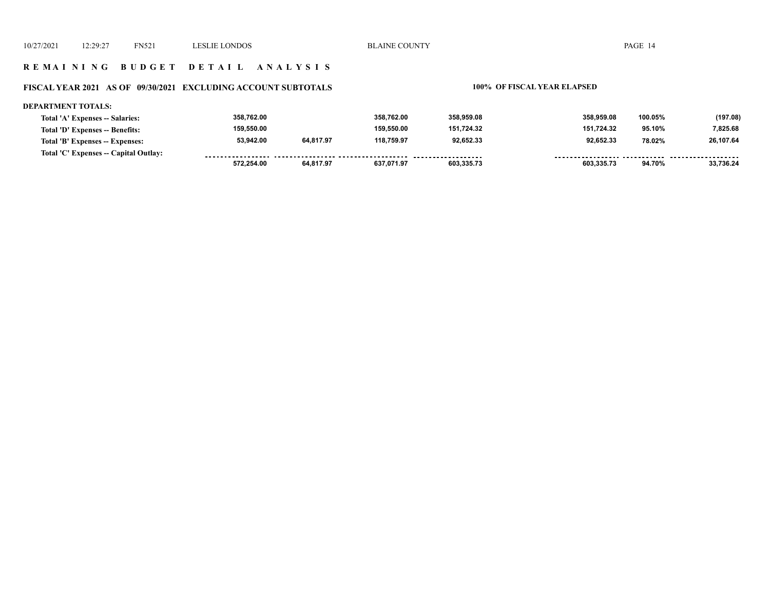#### **R E M A I N I N G B U D G E T D E T A I L A N A L Y S I S**

## **FISCAL YEAR 2021 AS OF 09/30/2021 EXCLUDING ACCOUNT SUBTOTALS 100% OF FISCAL YEAR ELAPSED**

| <b>DEPARTMENT TOTALS:</b>             |            |           |            |            |            |         |           |
|---------------------------------------|------------|-----------|------------|------------|------------|---------|-----------|
| Total 'A' Expenses -- Salaries:       | 358,762.00 |           | 358.762.00 | 358,959.08 | 358.959.08 | 100.05% | (197.08)  |
| Total 'D' Expenses -- Benefits:       | 159.550.00 |           | 159.550.00 | 151.724.32 | 151.724.32 | 95.10%  | 7.825.68  |
| Total 'B' Expenses -- Expenses:       | 53,942.00  | 64,817.97 | 118.759.97 | 92.652.33  | 92,652.33  | 78.02%  | 26,107.64 |
| Total 'C' Expenses -- Capital Outlay: |            |           |            |            |            |         |           |
|                                       | 572.254.00 | 64.817.97 | 637.071.97 | 603.335.73 | 603.335.73 | 94.70%  | 33.736.24 |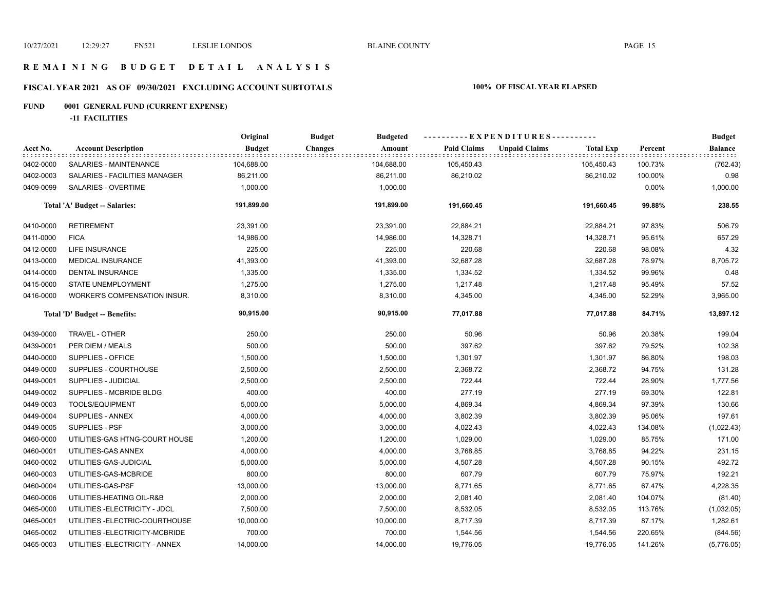#### **R E M A I N I N G B U D G E T D E T A I L A N A L Y S I S**

## **FISCAL YEAR 2021 AS OF 09/30/2021 EXCLUDING ACCOUNT SUBTOTALS 100% OF FISCAL YEAR ELAPSED**

## **FUND 0001 GENERAL FUND (CURRENT EXPENSE)**

**-11 FACILITIES**

|           |                                 | Original      | <b>Budget</b><br><b>Budgeted</b> |                    | ----------EXPENDITURES----------         |         | <b>Budget</b>  |
|-----------|---------------------------------|---------------|----------------------------------|--------------------|------------------------------------------|---------|----------------|
| Acct No.  | <b>Account Description</b>      | <b>Budget</b> | Amount<br><b>Changes</b>         | <b>Paid Claims</b> | <b>Unpaid Claims</b><br><b>Total Exp</b> | Percent | <b>Balance</b> |
| 0402-0000 | SALARIES - MAINTENANCE          | 104,688.00    | 104,688.00                       | 105,450.43         | 105,450.43                               | 100.73% | (762.43)       |
| 0402-0003 | SALARIES - FACILITIES MANAGER   | 86,211.00     | 86,211.00                        | 86,210.02          | 86,210.02                                | 100.00% | 0.98           |
| 0409-0099 | SALARIES - OVERTIME             | 1,000.00      | 1,000.00                         |                    |                                          | 0.00%   | 1,000.00       |
|           | Total 'A' Budget -- Salaries:   | 191,899.00    | 191,899.00                       | 191,660.45         | 191,660.45                               | 99.88%  | 238.55         |
| 0410-0000 | <b>RETIREMENT</b>               | 23,391.00     | 23,391.00                        | 22,884.21          | 22,884.21                                | 97.83%  | 506.79         |
| 0411-0000 | <b>FICA</b>                     | 14,986.00     | 14,986.00                        | 14,328.71          | 14,328.71                                | 95.61%  | 657.29         |
| 0412-0000 | LIFE INSURANCE                  | 225.00        | 225.00                           | 220.68             | 220.68                                   | 98.08%  | 4.32           |
| 0413-0000 | <b>MEDICAL INSURANCE</b>        | 41,393.00     | 41,393.00                        | 32,687.28          | 32,687.28                                | 78.97%  | 8,705.72       |
| 0414-0000 | DENTAL INSURANCE                | 1,335.00      | 1,335.00                         | 1,334.52           | 1,334.52                                 | 99.96%  | 0.48           |
| 0415-0000 | STATE UNEMPLOYMENT              | 1,275.00      | 1,275.00                         | 1,217.48           | 1,217.48                                 | 95.49%  | 57.52          |
| 0416-0000 | WORKER'S COMPENSATION INSUR.    | 8,310.00      | 8,310.00                         | 4,345.00           | 4,345.00                                 | 52.29%  | 3,965.00       |
|           | Total 'D' Budget -- Benefits:   | 90,915.00     | 90,915.00                        | 77,017.88          | 77,017.88                                | 84.71%  | 13,897.12      |
| 0439-0000 | TRAVEL - OTHER                  | 250.00        | 250.00                           | 50.96              | 50.96                                    | 20.38%  | 199.04         |
| 0439-0001 | PER DIEM / MEALS                | 500.00        | 500.00                           | 397.62             | 397.62                                   | 79.52%  | 102.38         |
| 0440-0000 | SUPPLIES - OFFICE               | 1,500.00      | 1,500.00                         | 1,301.97           | 1,301.97                                 | 86.80%  | 198.03         |
| 0449-0000 | SUPPLIES - COURTHOUSE           | 2,500.00      | 2,500.00                         | 2,368.72           | 2,368.72                                 | 94.75%  | 131.28         |
| 0449-0001 | SUPPLIES - JUDICIAL             | 2,500.00      | 2,500.00                         | 722.44             | 722.44                                   | 28.90%  | 1,777.56       |
| 0449-0002 | SUPPLIES - MCBRIDE BLDG         | 400.00        | 400.00                           | 277.19             | 277.19                                   | 69.30%  | 122.81         |
| 0449-0003 | TOOLS/EQUIPMENT                 | 5,000.00      | 5,000.00                         | 4,869.34           | 4,869.34                                 | 97.39%  | 130.66         |
| 0449-0004 | SUPPLIES - ANNEX                | 4,000.00      | 4,000.00                         | 3,802.39           | 3,802.39                                 | 95.06%  | 197.61         |
| 0449-0005 | SUPPLIES - PSF                  | 3,000.00      | 3,000.00                         | 4,022.43           | 4,022.43                                 | 134.08% | (1,022.43)     |
| 0460-0000 | UTILITIES-GAS HTNG-COURT HOUSE  | 1,200.00      | 1,200.00                         | 1,029.00           | 1,029.00                                 | 85.75%  | 171.00         |
| 0460-0001 | UTILITIES-GAS ANNEX             | 4,000.00      | 4,000.00                         | 3,768.85           | 3,768.85                                 | 94.22%  | 231.15         |
| 0460-0002 | UTILITIES-GAS-JUDICIAL          | 5,000.00      | 5,000.00                         | 4,507.28           | 4,507.28                                 | 90.15%  | 492.72         |
| 0460-0003 | UTILITIES-GAS-MCBRIDE           | 800.00        | 800.00                           | 607.79             | 607.79                                   | 75.97%  | 192.21         |
| 0460-0004 | UTILITIES-GAS-PSF               | 13,000.00     | 13,000.00                        | 8,771.65           | 8,771.65                                 | 67.47%  | 4,228.35       |
| 0460-0006 | UTILITIES-HEATING OIL-R&B       | 2,000.00      | 2,000.00                         | 2,081.40           | 2,081.40                                 | 104.07% | (81.40)        |
| 0465-0000 | UTILITIES - ELECTRICITY - JDCL  | 7,500.00      | 7,500.00                         | 8,532.05           | 8,532.05                                 | 113.76% | (1,032.05)     |
| 0465-0001 | UTILITIES - ELECTRIC-COURTHOUSE | 10,000.00     | 10,000.00                        | 8,717.39           | 8,717.39                                 | 87.17%  | 1,282.61       |
| 0465-0002 | UTILITIES - ELECTRICITY-MCBRIDE | 700.00        | 700.00                           | 1,544.56           | 1,544.56                                 | 220.65% | (844.56)       |
| 0465-0003 | UTILITIES - ELECTRICITY - ANNEX | 14,000.00     | 14,000.00                        | 19,776.05          | 19,776.05                                | 141.26% | (5,776.05)     |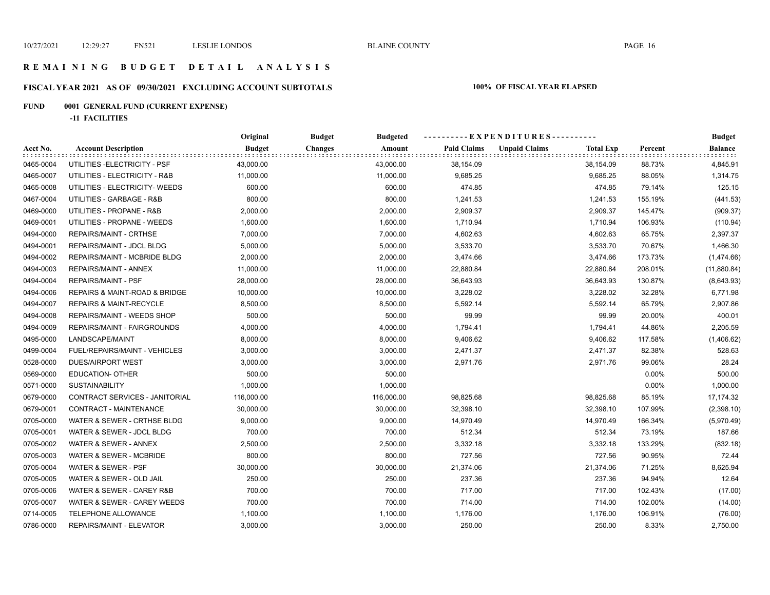#### **R E M A I N I N G B U D G E T D E T A I L A N A L Y S I S**

## **FISCAL YEAR 2021 AS OF 09/30/2021 EXCLUDING ACCOUNT SUBTOTALS 100% OF FISCAL YEAR ELAPSED**

## **FUND 0001 GENERAL FUND (CURRENT EXPENSE)**

**-11 FACILITIES**

|           |                                | Original      | <b>Budget</b><br><b>Budgeted</b> |                    | ----------EXPENDITURES---------- |                  |         | <b>Budget</b>  |
|-----------|--------------------------------|---------------|----------------------------------|--------------------|----------------------------------|------------------|---------|----------------|
| Acct No.  | <b>Account Description</b>     | <b>Budget</b> | <b>Changes</b><br>Amount         | <b>Paid Claims</b> | <b>Unpaid Claims</b>             | <b>Total Exp</b> | Percent | <b>Balance</b> |
| 0465-0004 | UTILITIES - ELECTRICITY - PSF  | 43,000.00     | 43,000.00                        | 38,154.09          |                                  | 38,154.09        | 88.73%  | 4,845.91       |
| 0465-0007 | UTILITIES - ELECTRICITY - R&B  | 11,000.00     | 11,000.00                        | 9,685.25           |                                  | 9,685.25         | 88.05%  | 1,314.75       |
| 0465-0008 | UTILITIES - ELECTRICITY- WEEDS | 600.00        | 600.00                           | 474.85             |                                  | 474.85           | 79.14%  | 125.15         |
| 0467-0004 | UTILITIES - GARBAGE - R&B      | 800.00        | 800.00                           | 1,241.53           |                                  | 1,241.53         | 155.19% | (441.53)       |
| 0469-0000 | UTILITIES - PROPANE - R&B      | 2,000.00      | 2,000.00                         | 2,909.37           |                                  | 2,909.37         | 145.47% | (909.37)       |
| 0469-0001 | UTILITIES - PROPANE - WEEDS    | 1,600.00      | 1,600.00                         | 1,710.94           |                                  | 1,710.94         | 106.93% | (110.94)       |
| 0494-0000 | REPAIRS/MAINT - CRTHSE         | 7,000.00      | 7,000.00                         | 4,602.63           |                                  | 4,602.63         | 65.75%  | 2,397.37       |
| 0494-0001 | REPAIRS/MAINT - JDCL BLDG      | 5,000.00      | 5,000.00                         | 3,533.70           |                                  | 3,533.70         | 70.67%  | 1,466.30       |
| 0494-0002 | REPAIRS/MAINT - MCBRIDE BLDG   | 2,000.00      | 2,000.00                         | 3,474.66           |                                  | 3,474.66         | 173.73% | (1,474.66)     |
| 0494-0003 | REPAIRS/MAINT - ANNEX          | 11,000.00     | 11,000.00                        | 22,880.84          |                                  | 22,880.84        | 208.01% | (11, 880.84)   |
| 0494-0004 | REPAIRS/MAINT - PSF            | 28,000.00     | 28,000.00                        | 36,643.93          |                                  | 36,643.93        | 130.87% | (8,643.93)     |
| 0494-0006 | REPAIRS & MAINT-ROAD & BRIDGE  | 10,000.00     | 10,000.00                        | 3,228.02           |                                  | 3,228.02         | 32.28%  | 6,771.98       |
| 0494-0007 | REPAIRS & MAINT-RECYCLE        | 8,500.00      | 8,500.00                         | 5,592.14           |                                  | 5,592.14         | 65.79%  | 2,907.86       |
| 0494-0008 | REPAIRS/MAINT - WEEDS SHOP     | 500.00        | 500.00                           | 99.99              |                                  | 99.99            | 20.00%  | 400.01         |
| 0494-0009 | REPAIRS/MAINT - FAIRGROUNDS    | 4,000.00      | 4,000.00                         | 1,794.41           |                                  | 1,794.41         | 44.86%  | 2,205.59       |
| 0495-0000 | LANDSCAPE/MAINT                | 8,000.00      | 8,000.00                         | 9,406.62           |                                  | 9,406.62         | 117.58% | (1,406.62)     |
| 0499-0004 | FUEL/REPAIRS/MAINT - VEHICLES  | 3,000.00      | 3,000.00                         | 2,471.37           |                                  | 2,471.37         | 82.38%  | 528.63         |
| 0528-0000 | DUES/AIRPORT WEST              | 3,000.00      | 3,000.00                         | 2,971.76           |                                  | 2,971.76         | 99.06%  | 28.24          |
| 0569-0000 | <b>EDUCATION- OTHER</b>        | 500.00        | 500.00                           |                    |                                  |                  | 0.00%   | 500.00         |
| 0571-0000 | <b>SUSTAINABILITY</b>          | 1,000.00      | 1,000.00                         |                    |                                  |                  | 0.00%   | 1,000.00       |
| 0679-0000 | CONTRACT SERVICES - JANITORIAL | 116,000.00    | 116,000.00                       | 98,825.68          |                                  | 98,825.68        | 85.19%  | 17, 174.32     |
| 0679-0001 | CONTRACT - MAINTENANCE         | 30,000.00     | 30,000.00                        | 32,398.10          |                                  | 32,398.10        | 107.99% | (2,398.10)     |
| 0705-0000 | WATER & SEWER - CRTHSE BLDG    | 9,000.00      | 9,000.00                         | 14,970.49          |                                  | 14,970.49        | 166.34% | (5,970.49)     |
| 0705-0001 | WATER & SEWER - JDCL BLDG      | 700.00        | 700.00                           | 512.34             |                                  | 512.34           | 73.19%  | 187.66         |
| 0705-0002 | WATER & SEWER - ANNEX          | 2,500.00      | 2,500.00                         | 3,332.18           |                                  | 3,332.18         | 133.29% | (832.18)       |
| 0705-0003 | WATER & SEWER - MCBRIDE        | 800.00        | 800.00                           | 727.56             |                                  | 727.56           | 90.95%  | 72.44          |
| 0705-0004 | WATER & SEWER - PSF            | 30,000.00     | 30,000.00                        | 21,374.06          |                                  | 21,374.06        | 71.25%  | 8,625.94       |
| 0705-0005 | WATER & SEWER - OLD JAIL       | 250.00        | 250.00                           | 237.36             |                                  | 237.36           | 94.94%  | 12.64          |
| 0705-0006 | WATER & SEWER - CAREY R&B      | 700.00        | 700.00                           | 717.00             |                                  | 717.00           | 102.43% | (17.00)        |
| 0705-0007 | WATER & SEWER - CAREY WEEDS    | 700.00        | 700.00                           | 714.00             |                                  | 714.00           | 102.00% | (14.00)        |
| 0714-0005 | TELEPHONE ALLOWANCE            | 1,100.00      | 1,100.00                         | 1,176.00           |                                  | 1,176.00         | 106.91% | (76.00)        |
| 0786-0000 | REPAIRS/MAINT - ELEVATOR       | 3,000.00      | 3,000.00                         | 250.00             |                                  | 250.00           | 8.33%   | 2,750.00       |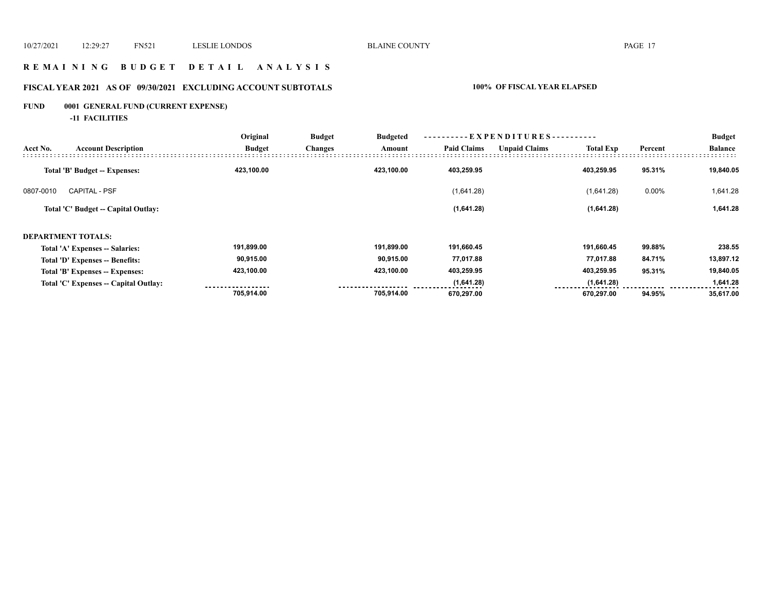#### **R E M A I N I N G B U D G E T D E T A I L A N A L Y S I S**

## **FISCAL YEAR 2021 AS OF 09/30/2021 EXCLUDING ACCOUNT SUBTOTALS 100% OF FISCAL YEAR ELAPSED**

## **FUND 0001 GENERAL FUND (CURRENT EXPENSE)**

**-11 FACILITIES**

|           |                                       | Original      | -EXPENDITURES-<br><b>Budget</b><br><b>Budgeted</b> |            |                    |                      |                  | <b>Budget</b> |                |
|-----------|---------------------------------------|---------------|----------------------------------------------------|------------|--------------------|----------------------|------------------|---------------|----------------|
| Acct No.  | <b>Account Description</b>            | <b>Budget</b> | <b>Changes</b>                                     | Amount     | <b>Paid Claims</b> | <b>Unpaid Claims</b> | <b>Total Exp</b> | Percent       | <b>Balance</b> |
|           | Total 'B' Budget -- Expenses:         | 423,100.00    |                                                    | 423,100.00 | 403,259.95         |                      | 403,259.95       | 95.31%        | 19,840.05      |
| 0807-0010 | <b>CAPITAL - PSF</b>                  |               |                                                    |            | (1,641.28)         |                      | (1,641.28)       | 0.00%         | 1,641.28       |
|           | Total 'C' Budget -- Capital Outlay:   |               |                                                    |            | (1,641.28)         |                      | (1,641.28)       |               | 1,641.28       |
|           | <b>DEPARTMENT TOTALS:</b>             |               |                                                    |            |                    |                      |                  |               |                |
|           | Total 'A' Expenses -- Salaries:       | 191,899.00    |                                                    | 191,899.00 | 191,660.45         |                      | 191,660.45       | 99.88%        | 238.55         |
|           | Total 'D' Expenses -- Benefits:       | 90,915.00     |                                                    | 90,915.00  | 77,017.88          |                      | 77,017.88        | 84.71%        | 13,897.12      |
|           | Total 'B' Expenses -- Expenses:       | 423,100.00    |                                                    | 423,100.00 | 403,259.95         |                      | 403,259.95       | 95.31%        | 19,840.05      |
|           | Total 'C' Expenses -- Capital Outlay: |               |                                                    |            | (1,641.28)         |                      | (1,641.28)       |               | 1,641.28       |
|           |                                       | 705,914.00    |                                                    | 705,914.00 | 670,297.00         |                      | 670,297.00       | 94.95%        | 35,617.00      |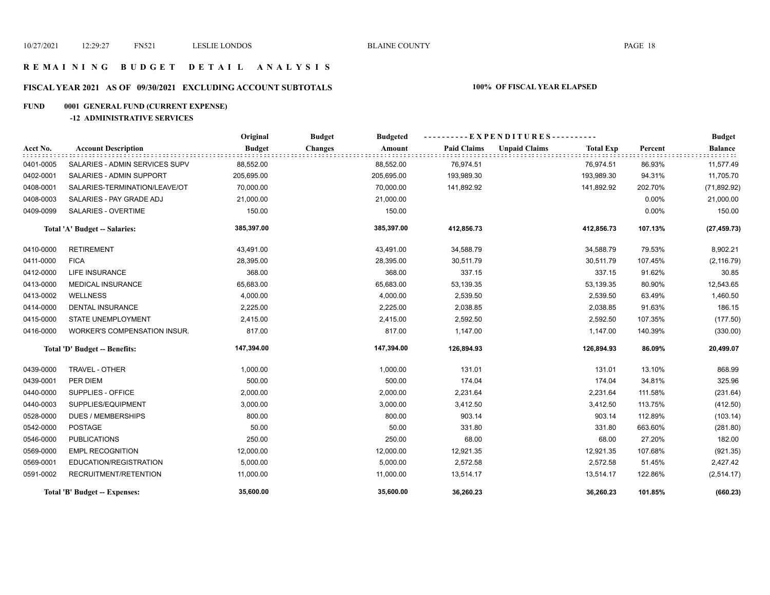#### **R E M A I N I N G B U D G E T D E T A I L A N A L Y S I S**

## **FISCAL YEAR 2021 AS OF 09/30/2021 EXCLUDING ACCOUNT SUBTOTALS 100% OF FISCAL YEAR ELAPSED**

## **FUND 0001 GENERAL FUND (CURRENT EXPENSE)**

#### **-12 ADMINISTRATIVE SERVICES**

|           |                                     | ----------EXPENDITURES----------<br>Original<br><b>Budget</b><br><b>Budgeted</b> |                          |                    |                      |                  | <b>Budget</b> |                |
|-----------|-------------------------------------|----------------------------------------------------------------------------------|--------------------------|--------------------|----------------------|------------------|---------------|----------------|
| Acct No.  | <b>Account Description</b>          | <b>Budget</b>                                                                    | <b>Changes</b><br>Amount | <b>Paid Claims</b> | <b>Unpaid Claims</b> | <b>Total Exp</b> | Percent       | <b>Balance</b> |
| 0401-0005 | SALARIES - ADMIN SERVICES SUPV      | 88,552.00                                                                        | 88,552.00                | 76,974.51          |                      | 76,974.51        | 86.93%        | 11,577.49      |
| 0402-0001 | SALARIES - ADMIN SUPPORT            | 205,695.00                                                                       | 205,695.00               | 193,989.30         |                      | 193,989.30       | 94.31%        | 11,705.70      |
| 0408-0001 | SALARIES-TERMINATION/LEAVE/OT       | 70,000.00                                                                        | 70,000.00                | 141,892.92         |                      | 141,892.92       | 202.70%       | (71, 892.92)   |
| 0408-0003 | SALARIES - PAY GRADE ADJ            | 21,000.00                                                                        | 21,000.00                |                    |                      |                  | 0.00%         | 21,000.00      |
| 0409-0099 | SALARIES - OVERTIME                 | 150.00                                                                           | 150.00                   |                    |                      |                  | 0.00%         | 150.00         |
|           | Total 'A' Budget -- Salaries:       | 385,397.00                                                                       | 385,397.00               | 412,856.73         |                      | 412,856.73       | 107.13%       | (27, 459.73)   |
| 0410-0000 | <b>RETIREMENT</b>                   | 43,491.00                                                                        | 43,491.00                | 34,588.79          |                      | 34,588.79        | 79.53%        | 8,902.21       |
| 0411-0000 | <b>FICA</b>                         | 28,395.00                                                                        | 28,395.00                | 30,511.79          |                      | 30,511.79        | 107.45%       | (2, 116.79)    |
| 0412-0000 | <b>LIFE INSURANCE</b>               | 368.00                                                                           | 368.00                   | 337.15             |                      | 337.15           | 91.62%        | 30.85          |
| 0413-0000 | <b>MEDICAL INSURANCE</b>            | 65,683.00                                                                        | 65,683.00                | 53,139.35          |                      | 53,139.35        | 80.90%        | 12,543.65      |
| 0413-0002 | <b>WELLNESS</b>                     | 4,000.00                                                                         | 4,000.00                 | 2,539.50           |                      | 2,539.50         | 63.49%        | 1,460.50       |
| 0414-0000 | <b>DENTAL INSURANCE</b>             | 2,225.00                                                                         | 2,225.00                 | 2,038.85           |                      | 2,038.85         | 91.63%        | 186.15         |
| 0415-0000 | STATE UNEMPLOYMENT                  | 2,415.00                                                                         | 2,415.00                 | 2,592.50           |                      | 2,592.50         | 107.35%       | (177.50)       |
| 0416-0000 | <b>WORKER'S COMPENSATION INSUR.</b> | 817.00                                                                           | 817.00                   | 1,147.00           |                      | 1,147.00         | 140.39%       | (330.00)       |
|           | Total 'D' Budget -- Benefits:       | 147,394.00                                                                       | 147,394.00               | 126,894.93         |                      | 126,894.93       | 86.09%        | 20,499.07      |
| 0439-0000 | TRAVEL - OTHER                      | 1,000.00                                                                         | 1,000.00                 | 131.01             |                      | 131.01           | 13.10%        | 868.99         |
| 0439-0001 | PER DIEM                            | 500.00                                                                           | 500.00                   | 174.04             |                      | 174.04           | 34.81%        | 325.96         |
| 0440-0000 | SUPPLIES - OFFICE                   | 2,000.00                                                                         | 2,000.00                 | 2,231.64           |                      | 2,231.64         | 111.58%       | (231.64)       |
| 0440-0003 | SUPPLIES/EQUIPMENT                  | 3,000.00                                                                         | 3,000.00                 | 3,412.50           |                      | 3,412.50         | 113.75%       | (412.50)       |
| 0528-0000 | <b>DUES / MEMBERSHIPS</b>           | 800.00                                                                           | 800.00                   | 903.14             |                      | 903.14           | 112.89%       | (103.14)       |
| 0542-0000 | <b>POSTAGE</b>                      | 50.00                                                                            | 50.00                    | 331.80             |                      | 331.80           | 663.60%       | (281.80)       |
| 0546-0000 | <b>PUBLICATIONS</b>                 | 250.00                                                                           | 250.00                   | 68.00              |                      | 68.00            | 27.20%        | 182.00         |
| 0569-0000 | <b>EMPL RECOGNITION</b>             | 12,000.00                                                                        | 12,000.00                | 12,921.35          |                      | 12,921.35        | 107.68%       | (921.35)       |
| 0569-0001 | EDUCATION/REGISTRATION              | 5,000.00                                                                         | 5,000.00                 | 2,572.58           |                      | 2,572.58         | 51.45%        | 2,427.42       |
| 0591-0002 | RECRUITMENT/RETENTION               | 11,000.00                                                                        | 11,000.00                | 13,514.17          |                      | 13,514.17        | 122.86%       | (2,514.17)     |
|           | Total 'B' Budget -- Expenses:       | 35,600.00                                                                        | 35,600.00                | 36,260.23          |                      | 36,260.23        | 101.85%       | (660.23)       |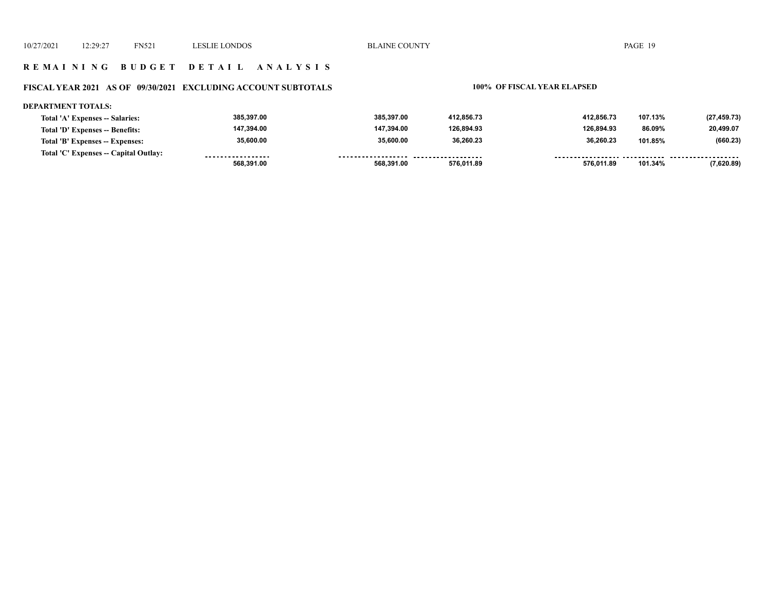#### **R E M A I N I N G B U D G E T D E T A I L A N A L Y S I S**

## **FISCAL YEAR 2021 AS OF 09/30/2021 EXCLUDING ACCOUNT SUBTOTALS 100% OF FISCAL YEAR ELAPSED**

#### **DEPARTMENT TOTALS:**

| Total 'A' Expenses -- Salaries:       | 385.397.00        | 385.397.00         | 412.856.73 | 412.856.73 | 107.13% | (27, 459.73) |
|---------------------------------------|-------------------|--------------------|------------|------------|---------|--------------|
| Total 'D' Expenses -- Benefits:       | 147.394.00        | 147.394.00         | 126.894.93 | 126.894.93 | 86.09%  | 20,499.07    |
| Total 'B' Expenses -- Expenses:       | 35,600.00         | 35,600.00          | 36.260.23  | 36.260.23  | 101.85% | (660.23)     |
| Total 'C' Expenses -- Capital Outlay: | ----------------- | ------------------ | .          |            |         | .            |
|                                       | 568.391.00        | 568.391.00         | 576.011.89 | 576.011.89 | 101.34% | (7,620.89)   |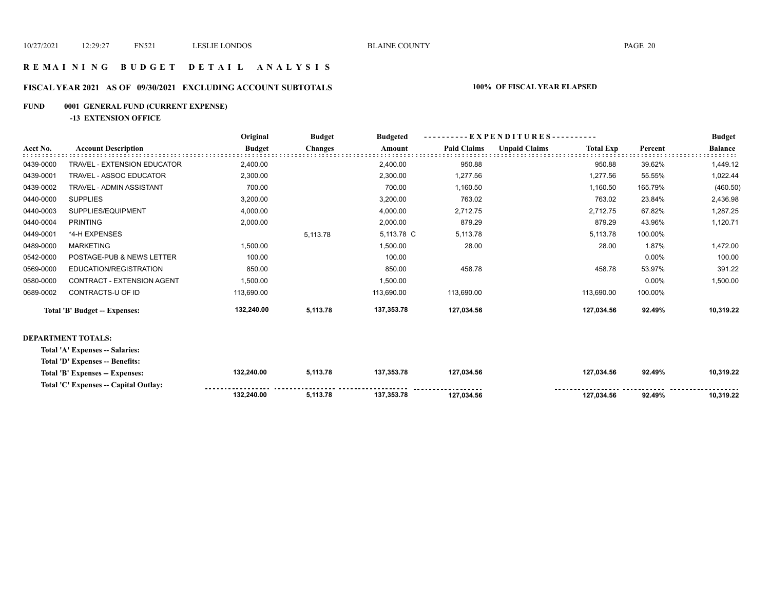#### **R E M A I N I N G B U D G E T D E T A I L A N A L Y S I S**

## **FISCAL YEAR 2021 AS OF 09/30/2021 EXCLUDING ACCOUNT SUBTOTALS 100% OF FISCAL YEAR ELAPSED**

## **FUND 0001 GENERAL FUND (CURRENT EXPENSE)**

**-13 EXTENSION OFFICE**

|           |                                 | Original      | <b>Budget</b>  | <b>Budgeted</b> |                    | $-EXPENDITURES$ --------- |                  |         | <b>Budget</b>  |
|-----------|---------------------------------|---------------|----------------|-----------------|--------------------|---------------------------|------------------|---------|----------------|
| Acct No.  | <b>Account Description</b>      | <b>Budget</b> | <b>Changes</b> | Amount          | <b>Paid Claims</b> | <b>Unpaid Claims</b>      | <b>Total Exp</b> | Percent | <b>Balance</b> |
| 0439-0000 | TRAVEL - EXTENSION EDUCATOR     | 2,400.00      |                | 2,400.00        | 950.88             |                           | 950.88           | 39.62%  | 1,449.12       |
| 0439-0001 | TRAVEL - ASSOC EDUCATOR         | 2,300.00      |                | 2,300.00        | 1,277.56           |                           | 1,277.56         | 55.55%  | 1,022.44       |
| 0439-0002 | TRAVEL - ADMIN ASSISTANT        | 700.00        |                | 700.00          | 1,160.50           |                           | 1,160.50         | 165.79% | (460.50)       |
| 0440-0000 | <b>SUPPLIES</b>                 | 3,200.00      |                | 3,200.00        | 763.02             |                           | 763.02           | 23.84%  | 2,436.98       |
| 0440-0003 | SUPPLIES/EQUIPMENT              | 4,000.00      |                | 4,000.00        | 2,712.75           |                           | 2,712.75         | 67.82%  | 1,287.25       |
| 0440-0004 | <b>PRINTING</b>                 | 2,000.00      |                | 2,000.00        | 879.29             |                           | 879.29           | 43.96%  | 1,120.71       |
| 0449-0001 | *4-H EXPENSES                   |               | 5,113.78       | 5,113.78 C      | 5,113.78           |                           | 5,113.78         | 100.00% |                |
| 0489-0000 | <b>MARKETING</b>                | 1,500.00      |                | 1,500.00        | 28.00              |                           | 28.00            | 1.87%   | 1,472.00       |
| 0542-0000 | POSTAGE-PUB & NEWS LETTER       | 100.00        |                | 100.00          |                    |                           |                  | 0.00%   | 100.00         |
| 0569-0000 | EDUCATION/REGISTRATION          | 850.00        |                | 850.00          | 458.78             |                           | 458.78           | 53.97%  | 391.22         |
| 0580-0000 | CONTRACT - EXTENSION AGENT      | 1,500.00      |                | 1,500.00        |                    |                           |                  | 0.00%   | 1,500.00       |
| 0689-0002 | CONTRACTS-U OF ID               | 113,690.00    |                | 113,690.00      | 113,690.00         |                           | 113,690.00       | 100.00% |                |
|           | Total 'B' Budget -- Expenses:   | 132,240.00    | 5,113.78       | 137,353.78      | 127,034.56         |                           | 127,034.56       | 92.49%  | 10,319.22      |
|           | DEPARTMENT TOTALS:              |               |                |                 |                    |                           |                  |         |                |
|           | Total 'A' Expenses -- Salaries: |               |                |                 |                    |                           |                  |         |                |

| Total 'D' Expenses -- Benefits:       |            |          |            |                    |            |        |           |
|---------------------------------------|------------|----------|------------|--------------------|------------|--------|-----------|
| Total 'B' Expenses -- Expenses:       | 132.240.00 | 5.113.78 | 137.353.78 | 127.034.56         | 127.034.56 | 92.49% | 10.319.22 |
| Total 'C' Expenses -- Capital Outlay: |            |          |            | ------------------ |            |        |           |
|                                       | 132.240.00 | .113.78  | 137.353.78 | 127.034.56         | 127.034.56 | 92.49% | 10.319.22 |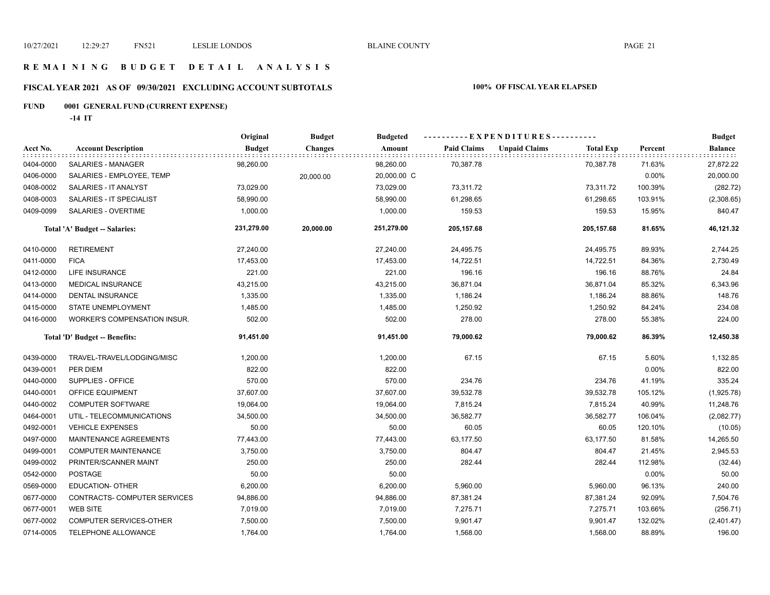# **R E M A I N I N G B U D G E T D E T A I L A N A L Y S I S**

## **FISCAL YEAR 2021 AS OF 09/30/2021 EXCLUDING ACCOUNT SUBTOTALS 100% OF FISCAL YEAR ELAPSED**

## **FUND 0001 GENERAL FUND (CURRENT EXPENSE)**

**-14 IT**

|           |                                      | Original      | <b>Budget</b>  | <b>Budgeted</b> |                    | ----------EXPENDITURES---------- |                  |         | <b>Budget</b>  |
|-----------|--------------------------------------|---------------|----------------|-----------------|--------------------|----------------------------------|------------------|---------|----------------|
| Acct No.  | <b>Account Description</b>           | <b>Budget</b> | <b>Changes</b> | Amount          | <b>Paid Claims</b> | <b>Unpaid Claims</b>             | <b>Total Exp</b> | Percent | <b>Balance</b> |
| 0404-0000 | SALARIES - MANAGER                   | 98,260.00     |                | 98,260.00       | 70,387.78          |                                  | 70,387.78        | 71.63%  | 27,872.22      |
| 0406-0000 | SALARIES - EMPLOYEE, TEMP            |               | 20,000.00      | 20,000.00 C     |                    |                                  |                  | 0.00%   | 20,000.00      |
| 0408-0002 | SALARIES - IT ANALYST                | 73,029.00     |                | 73,029.00       | 73,311.72          |                                  | 73,311.72        | 100.39% | (282.72)       |
| 0408-0003 | SALARIES - IT SPECIALIST             | 58,990.00     |                | 58,990.00       | 61,298.65          |                                  | 61,298.65        | 103.91% | (2,308.65)     |
| 0409-0099 | SALARIES - OVERTIME                  | 1,000.00      |                | 1,000.00        | 159.53             |                                  | 159.53           | 15.95%  | 840.47         |
|           | <b>Total 'A' Budget -- Salaries:</b> | 231,279.00    | 20,000.00      | 251,279.00      | 205,157.68         |                                  | 205,157.68       | 81.65%  | 46,121.32      |
| 0410-0000 | <b>RETIREMENT</b>                    | 27,240.00     |                | 27,240.00       | 24,495.75          |                                  | 24,495.75        | 89.93%  | 2,744.25       |
| 0411-0000 | <b>FICA</b>                          | 17,453.00     |                | 17,453.00       | 14,722.51          |                                  | 14,722.51        | 84.36%  | 2,730.49       |
| 0412-0000 | LIFE INSURANCE                       | 221.00        |                | 221.00          | 196.16             |                                  | 196.16           | 88.76%  | 24.84          |
| 0413-0000 | MEDICAL INSURANCE                    | 43,215.00     |                | 43,215.00       | 36,871.04          |                                  | 36,871.04        | 85.32%  | 6,343.96       |
| 0414-0000 | <b>DENTAL INSURANCE</b>              | 1,335.00      |                | 1,335.00        | 1,186.24           |                                  | 1,186.24         | 88.86%  | 148.76         |
| 0415-0000 | STATE UNEMPLOYMENT                   | 1,485.00      |                | 1,485.00        | 1,250.92           |                                  | 1,250.92         | 84.24%  | 234.08         |
| 0416-0000 | WORKER'S COMPENSATION INSUR.         | 502.00        |                | 502.00          | 278.00             |                                  | 278.00           | 55.38%  | 224.00         |
|           | Total 'D' Budget -- Benefits:        | 91,451.00     |                | 91,451.00       | 79,000.62          |                                  | 79,000.62        | 86.39%  | 12,450.38      |
| 0439-0000 | TRAVEL-TRAVEL/LODGING/MISC           | 1,200.00      |                | 1,200.00        | 67.15              |                                  | 67.15            | 5.60%   | 1,132.85       |
| 0439-0001 | PER DIEM                             | 822.00        |                | 822.00          |                    |                                  |                  | 0.00%   | 822.00         |
| 0440-0000 | SUPPLIES - OFFICE                    | 570.00        |                | 570.00          | 234.76             |                                  | 234.76           | 41.19%  | 335.24         |
| 0440-0001 | OFFICE EQUIPMENT                     | 37,607.00     |                | 37,607.00       | 39,532.78          |                                  | 39,532.78        | 105.12% | (1,925.78)     |
| 0440-0002 | <b>COMPUTER SOFTWARE</b>             | 19,064.00     |                | 19,064.00       | 7,815.24           |                                  | 7,815.24         | 40.99%  | 11,248.76      |
| 0464-0001 | UTIL - TELECOMMUNICATIONS            | 34,500.00     |                | 34,500.00       | 36,582.77          |                                  | 36,582.77        | 106.04% | (2,082.77)     |
| 0492-0001 | <b>VEHICLE EXPENSES</b>              | 50.00         |                | 50.00           | 60.05              |                                  | 60.05            | 120.10% | (10.05)        |
| 0497-0000 | MAINTENANCE AGREEMENTS               | 77,443.00     |                | 77,443.00       | 63,177.50          |                                  | 63,177.50        | 81.58%  | 14,265.50      |
| 0499-0001 | <b>COMPUTER MAINTENANCE</b>          | 3,750.00      |                | 3,750.00        | 804.47             |                                  | 804.47           | 21.45%  | 2,945.53       |
| 0499-0002 | PRINTER/SCANNER MAINT                | 250.00        |                | 250.00          | 282.44             |                                  | 282.44           | 112.98% | (32.44)        |
| 0542-0000 | <b>POSTAGE</b>                       | 50.00         |                | 50.00           |                    |                                  |                  | 0.00%   | 50.00          |
| 0569-0000 | <b>EDUCATION- OTHER</b>              | 6,200.00      |                | 6,200.00        | 5,960.00           |                                  | 5,960.00         | 96.13%  | 240.00         |
| 0677-0000 | CONTRACTS- COMPUTER SERVICES         | 94,886.00     |                | 94,886.00       | 87,381.24          |                                  | 87,381.24        | 92.09%  | 7,504.76       |
| 0677-0001 | <b>WEB SITE</b>                      | 7,019.00      |                | 7,019.00        | 7,275.71           |                                  | 7,275.71         | 103.66% | (256.71)       |
| 0677-0002 | <b>COMPUTER SERVICES-OTHER</b>       | 7,500.00      |                | 7,500.00        | 9,901.47           |                                  | 9,901.47         | 132.02% | (2,401.47)     |
| 0714-0005 | TELEPHONE ALLOWANCE                  | 1,764.00      |                | 1,764.00        | 1,568.00           |                                  | 1,568.00         | 88.89%  | 196.00         |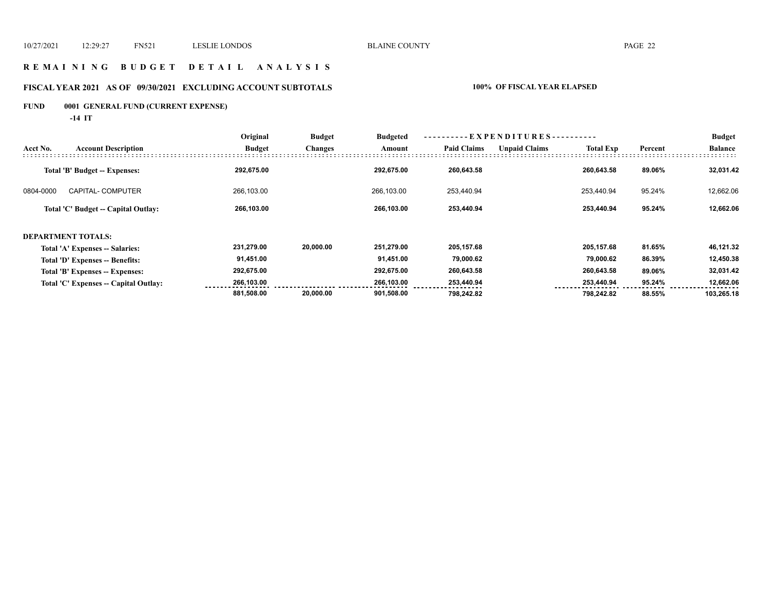#### **R E M A I N I N G B U D G E T D E T A I L A N A L Y S I S**

## **FISCAL YEAR 2021 AS OF 09/30/2021 EXCLUDING ACCOUNT SUBTOTALS 100% OF FISCAL YEAR ELAPSED**

## **FUND 0001 GENERAL FUND (CURRENT EXPENSE)**

**-14 IT**

|           |                                       | Original      | <b>Budget</b>  | <b>Budgeted</b> | -EXPENDITURES---   |                      |                  |         | <b>Budget</b>  |
|-----------|---------------------------------------|---------------|----------------|-----------------|--------------------|----------------------|------------------|---------|----------------|
| Acct No.  | <b>Account Description</b>            | <b>Budget</b> | <b>Changes</b> | Amount          | <b>Paid Claims</b> | <b>Unpaid Claims</b> | <b>Total Exp</b> | Percent | <b>Balance</b> |
|           | Total 'B' Budget -- Expenses:         | 292,675.00    |                | 292,675.00      | 260,643.58         |                      | 260,643.58       | 89.06%  | 32,031.42      |
| 0804-0000 | <b>CAPITAL- COMPUTER</b>              | 266,103.00    |                | 266,103.00      | 253,440.94         |                      | 253.440.94       | 95.24%  | 12,662.06      |
|           | Total 'C' Budget -- Capital Outlay:   | 266,103.00    |                | 266,103.00      | 253,440.94         |                      | 253.440.94       | 95.24%  | 12,662.06      |
|           | <b>DEPARTMENT TOTALS:</b>             |               |                |                 |                    |                      |                  |         |                |
|           | Total 'A' Expenses -- Salaries:       | 231,279.00    | 20,000.00      | 251,279.00      | 205,157.68         |                      | 205,157.68       | 81.65%  | 46,121.32      |
|           | Total 'D' Expenses -- Benefits:       | 91,451.00     |                | 91,451.00       | 79,000.62          |                      | 79,000.62        | 86.39%  | 12,450.38      |
|           | Total 'B' Expenses -- Expenses:       | 292,675.00    |                | 292,675.00      | 260,643.58         |                      | 260,643.58       | 89.06%  | 32,031.42      |
|           | Total 'C' Expenses -- Capital Outlay: | 266,103.00    |                | 266,103.00      | 253,440.94         |                      | 253,440.94       | 95.24%  | 12,662.06      |
|           |                                       | 881,508.00    | 20,000.00      | 901,508.00      | 798,242.82         |                      | 798,242.82       | 88.55%  | 103,265.18     |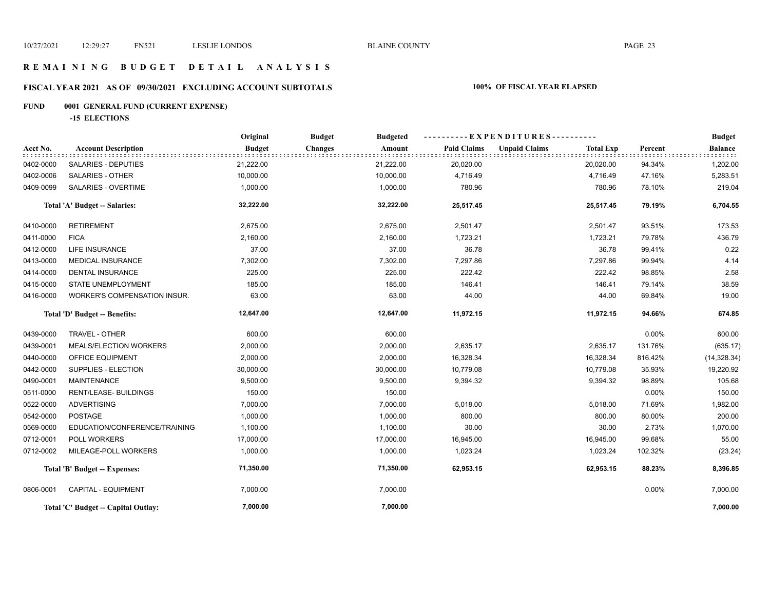## **R E M A I N I N G B U D G E T D E T A I L A N A L Y S I S**

## **FISCAL YEAR 2021 AS OF 09/30/2021 EXCLUDING ACCOUNT SUBTOTALS 100% OF FISCAL YEAR ELAPSED**

## **FUND 0001 GENERAL FUND (CURRENT EXPENSE)**

**-15 ELECTIONS**

|           |                                     | Original      | <b>Budget</b><br><b>Budgeted</b> |                    | ----------EXPENDITURES----------         |         | <b>Budget</b>  |
|-----------|-------------------------------------|---------------|----------------------------------|--------------------|------------------------------------------|---------|----------------|
| Acct No.  | <b>Account Description</b>          | <b>Budget</b> | <b>Changes</b><br>Amount         | <b>Paid Claims</b> | <b>Unpaid Claims</b><br><b>Total Exp</b> | Percent | <b>Balance</b> |
| 0402-0000 | <b>SALARIES - DEPUTIES</b>          | 21,222.00     | 21,222.00                        | 20,020.00          | 20,020.00                                | 94.34%  | 1,202.00       |
| 0402-0006 | <b>SALARIES - OTHER</b>             | 10,000.00     | 10,000.00                        | 4,716.49           | 4,716.49                                 | 47.16%  | 5,283.51       |
| 0409-0099 | SALARIES - OVERTIME                 | 1,000.00      | 1,000.00                         | 780.96             | 780.96                                   | 78.10%  | 219.04         |
|           | Total 'A' Budget -- Salaries:       | 32,222.00     | 32,222.00                        | 25,517.45          | 25,517.45                                | 79.19%  | 6,704.55       |
| 0410-0000 | <b>RETIREMENT</b>                   | 2,675.00      | 2,675.00                         | 2,501.47           | 2,501.47                                 | 93.51%  | 173.53         |
| 0411-0000 | <b>FICA</b>                         | 2,160.00      | 2,160.00                         | 1,723.21           | 1,723.21                                 | 79.78%  | 436.79         |
| 0412-0000 | LIFE INSURANCE                      | 37.00         | 37.00                            | 36.78              | 36.78                                    | 99.41%  | 0.22           |
| 0413-0000 | MEDICAL INSURANCE                   | 7,302.00      | 7,302.00                         | 7,297.86           | 7,297.86                                 | 99.94%  | 4.14           |
| 0414-0000 | <b>DENTAL INSURANCE</b>             | 225.00        | 225.00                           | 222.42             | 222.42                                   | 98.85%  | 2.58           |
| 0415-0000 | <b>STATE UNEMPLOYMENT</b>           | 185.00        | 185.00                           | 146.41             | 146.41                                   | 79.14%  | 38.59          |
| 0416-0000 | WORKER'S COMPENSATION INSUR.        | 63.00         | 63.00                            | 44.00              | 44.00                                    | 69.84%  | 19.00          |
|           | Total 'D' Budget -- Benefits:       | 12,647.00     | 12,647.00                        | 11,972.15          | 11,972.15                                | 94.66%  | 674.85         |
| 0439-0000 | TRAVEL - OTHER                      | 600.00        | 600.00                           |                    |                                          | 0.00%   | 600.00         |
| 0439-0001 | MEALS/ELECTION WORKERS              | 2,000.00      | 2,000.00                         | 2,635.17           | 2,635.17                                 | 131.76% | (635.17)       |
| 0440-0000 | OFFICE EQUIPMENT                    | 2,000.00      | 2,000.00                         | 16,328.34          | 16,328.34                                | 816.42% | (14,328.34)    |
| 0442-0000 | SUPPLIES - ELECTION                 | 30,000.00     | 30,000.00                        | 10,779.08          | 10,779.08                                | 35.93%  | 19,220.92      |
| 0490-0001 | <b>MAINTENANCE</b>                  | 9,500.00      | 9,500.00                         | 9,394.32           | 9,394.32                                 | 98.89%  | 105.68         |
| 0511-0000 | <b>RENT/LEASE- BUILDINGS</b>        | 150.00        | 150.00                           |                    |                                          | 0.00%   | 150.00         |
| 0522-0000 | <b>ADVERTISING</b>                  | 7,000.00      | 7,000.00                         | 5,018.00           | 5,018.00                                 | 71.69%  | 1,982.00       |
| 0542-0000 | <b>POSTAGE</b>                      | 1,000.00      | 1,000.00                         | 800.00             | 800.00                                   | 80.00%  | 200.00         |
| 0569-0000 | EDUCATION/CONFERENCE/TRAINING       | 1,100.00      | 1,100.00                         | 30.00              | 30.00                                    | 2.73%   | 1,070.00       |
| 0712-0001 | POLL WORKERS                        | 17,000.00     | 17,000.00                        | 16,945.00          | 16,945.00                                | 99.68%  | 55.00          |
| 0712-0002 | MILEAGE-POLL WORKERS                | 1,000.00      | 1,000.00                         | 1,023.24           | 1,023.24                                 | 102.32% | (23.24)        |
|           | Total 'B' Budget -- Expenses:       | 71,350.00     | 71,350.00                        | 62,953.15          | 62,953.15                                | 88.23%  | 8,396.85       |
| 0806-0001 | CAPITAL - EQUIPMENT                 | 7,000.00      | 7,000.00                         |                    |                                          | 0.00%   | 7,000.00       |
|           | Total 'C' Budget -- Capital Outlay: | 7,000.00      | 7,000.00                         |                    |                                          |         | 7,000.00       |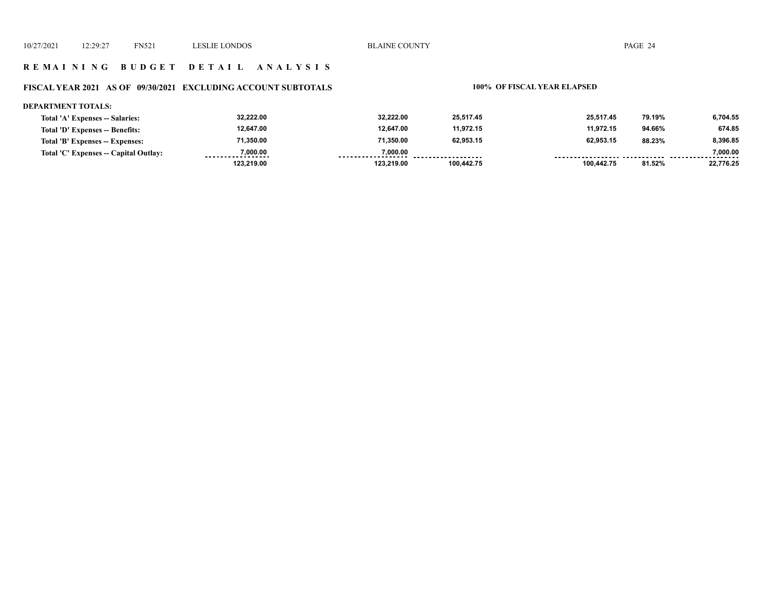#### **R E M A I N I N G B U D G E T D E T A I L A N A L Y S I S**

## **FISCAL YEAR 2021 AS OF 09/30/2021 EXCLUDING ACCOUNT SUBTOTALS 100% OF FISCAL YEAR ELAPSED**

#### **DEPARTMENT TOTALS:**

| Total 'A' Expenses -- Salaries:       | 32,222.00                     | 32.222.00  | 25.517.45          | 25.517.45  | 79.19% | 6.704.55      |
|---------------------------------------|-------------------------------|------------|--------------------|------------|--------|---------------|
| Total 'D' Expenses -- Benefits:       | 12,647.00                     | 12.647.00  | 11.972.15          | 11.972.15  | 94.66% | 674.85        |
| Total 'B' Expenses -- Expenses:       | 71,350.00                     | 71,350.00  | 62,953.15          | 62,953.15  | 88.23% | 8,396.85      |
| Total 'C' Expenses -- Capital Outlay: | 7.000.00<br>----------------- | 7.000.00   | ------------------ |            |        | 7.000.00<br>. |
|                                       | 123,219.00                    | 123.219.00 | 100.442.75         | 100.442.75 | 81.52% | 22,776.25     |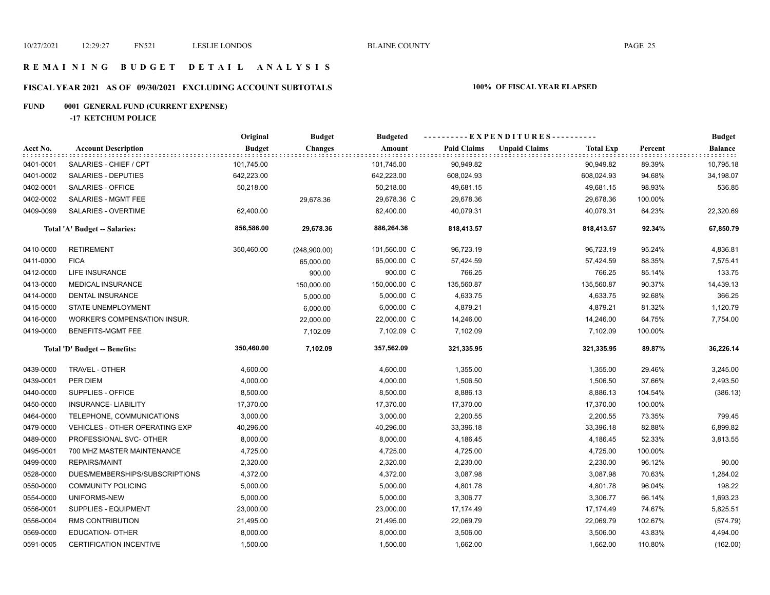#### **R E M A I N I N G B U D G E T D E T A I L A N A L Y S I S**

## **FISCAL YEAR 2021 AS OF 09/30/2021 EXCLUDING ACCOUNT SUBTOTALS 100% OF FISCAL YEAR ELAPSED**

## **FUND 0001 GENERAL FUND (CURRENT EXPENSE)**

**-17 KETCHUM POLICE**

|           |                                       | Original      | <b>Budget</b>  | <b>Budgeted</b> |                    |                      |                  |         | <b>Budget</b>  |
|-----------|---------------------------------------|---------------|----------------|-----------------|--------------------|----------------------|------------------|---------|----------------|
| Acct No.  | <b>Account Description</b>            | <b>Budget</b> | <b>Changes</b> | Amount          | <b>Paid Claims</b> | <b>Unpaid Claims</b> | <b>Total Exp</b> | Percent | <b>Balance</b> |
| 0401-0001 | SALARIES - CHIEF / CPT                | 101,745.00    |                | 101,745.00      | 90,949.82          |                      | 90,949.82        | 89.39%  | 10,795.18      |
| 0401-0002 | SALARIES - DEPUTIES                   | 642,223.00    |                | 642,223.00      | 608,024.93         |                      | 608,024.93       | 94.68%  | 34,198.07      |
| 0402-0001 | SALARIES - OFFICE                     | 50,218.00     |                | 50,218.00       | 49,681.15          |                      | 49,681.15        | 98.93%  | 536.85         |
| 0402-0002 | SALARIES - MGMT FEE                   |               | 29,678.36      | 29,678.36 C     | 29,678.36          |                      | 29,678.36        | 100.00% |                |
| 0409-0099 | SALARIES - OVERTIME                   | 62,400.00     |                | 62,400.00       | 40,079.31          |                      | 40,079.31        | 64.23%  | 22,320.69      |
|           | Total 'A' Budget -- Salaries:         | 856,586.00    | 29,678.36      | 886,264.36      | 818,413.57         |                      | 818,413.57       | 92.34%  | 67,850.79      |
| 0410-0000 | <b>RETIREMENT</b>                     | 350,460.00    | (248,900.00)   | 101,560.00 C    | 96,723.19          |                      | 96,723.19        | 95.24%  | 4,836.81       |
| 0411-0000 | <b>FICA</b>                           |               | 65,000.00      | 65,000.00 C     | 57,424.59          |                      | 57,424.59        | 88.35%  | 7,575.41       |
| 0412-0000 | LIFE INSURANCE                        |               | 900.00         | 900.00 C        | 766.25             |                      | 766.25           | 85.14%  | 133.75         |
| 0413-0000 | <b>MEDICAL INSURANCE</b>              |               | 150,000.00     | 150,000.00 C    | 135,560.87         |                      | 135,560.87       | 90.37%  | 14,439.13      |
| 0414-0000 | DENTAL INSURANCE                      |               | 5,000.00       | 5,000.00 C      | 4,633.75           |                      | 4,633.75         | 92.68%  | 366.25         |
| 0415-0000 | STATE UNEMPLOYMENT                    |               | 6,000.00       | 6,000.00 C      | 4,879.21           |                      | 4,879.21         | 81.32%  | 1,120.79       |
| 0416-0000 | WORKER'S COMPENSATION INSUR.          |               | 22,000.00      | 22,000.00 C     | 14,246.00          |                      | 14,246.00        | 64.75%  | 7,754.00       |
| 0419-0000 | <b>BENEFITS-MGMT FEE</b>              |               | 7,102.09       | 7,102.09 C      | 7,102.09           |                      | 7,102.09         | 100.00% |                |
|           | Total 'D' Budget -- Benefits:         | 350,460.00    | 7,102.09       | 357,562.09      | 321,335.95         |                      | 321,335.95       | 89.87%  | 36,226.14      |
| 0439-0000 | TRAVEL - OTHER                        | 4,600.00      |                | 4,600.00        | 1,355.00           |                      | 1,355.00         | 29.46%  | 3,245.00       |
| 0439-0001 | PER DIEM                              | 4,000.00      |                | 4,000.00        | 1,506.50           |                      | 1,506.50         | 37.66%  | 2,493.50       |
| 0440-0000 | SUPPLIES - OFFICE                     | 8,500.00      |                | 8,500.00        | 8,886.13           |                      | 8,886.13         | 104.54% | (386.13)       |
| 0450-0000 | <b>INSURANCE- LIABILITY</b>           | 17,370.00     |                | 17,370.00       | 17,370.00          |                      | 17,370.00        | 100.00% |                |
| 0464-0000 | TELEPHONE, COMMUNICATIONS             | 3,000.00      |                | 3,000.00        | 2,200.55           |                      | 2,200.55         | 73.35%  | 799.45         |
| 0479-0000 | <b>VEHICLES - OTHER OPERATING EXP</b> | 40,296.00     |                | 40,296.00       | 33,396.18          |                      | 33,396.18        | 82.88%  | 6,899.82       |
| 0489-0000 | PROFESSIONAL SVC- OTHER               | 8,000.00      |                | 8,000.00        | 4,186.45           |                      | 4,186.45         | 52.33%  | 3,813.55       |
| 0495-0001 | 700 MHZ MASTER MAINTENANCE            | 4,725.00      |                | 4,725.00        | 4,725.00           |                      | 4,725.00         | 100.00% |                |
| 0499-0000 | <b>REPAIRS/MAINT</b>                  | 2,320.00      |                | 2,320.00        | 2,230.00           |                      | 2,230.00         | 96.12%  | 90.00          |
| 0528-0000 | DUES/MEMBERSHIPS/SUBSCRIPTIONS        | 4,372.00      |                | 4,372.00        | 3,087.98           |                      | 3,087.98         | 70.63%  | 1,284.02       |
| 0550-0000 | <b>COMMUNITY POLICING</b>             | 5,000.00      |                | 5,000.00        | 4,801.78           |                      | 4,801.78         | 96.04%  | 198.22         |
| 0554-0000 | UNIFORMS-NEW                          | 5,000.00      |                | 5,000.00        | 3,306.77           |                      | 3,306.77         | 66.14%  | 1,693.23       |
| 0556-0001 | <b>SUPPLIES - EQUIPMENT</b>           | 23,000.00     |                | 23,000.00       | 17,174.49          |                      | 17,174.49        | 74.67%  | 5,825.51       |
| 0556-0004 | RMS CONTRIBUTION                      | 21,495.00     |                | 21,495.00       | 22,069.79          |                      | 22,069.79        | 102.67% | (574.79)       |
| 0569-0000 | <b>EDUCATION- OTHER</b>               | 8,000.00      |                | 8,000.00        | 3,506.00           |                      | 3,506.00         | 43.83%  | 4,494.00       |
| 0591-0005 | CERTIFICATION INCENTIVE               | 1,500.00      |                | 1,500.00        | 1,662.00           |                      | 1,662.00         | 110.80% | (162.00)       |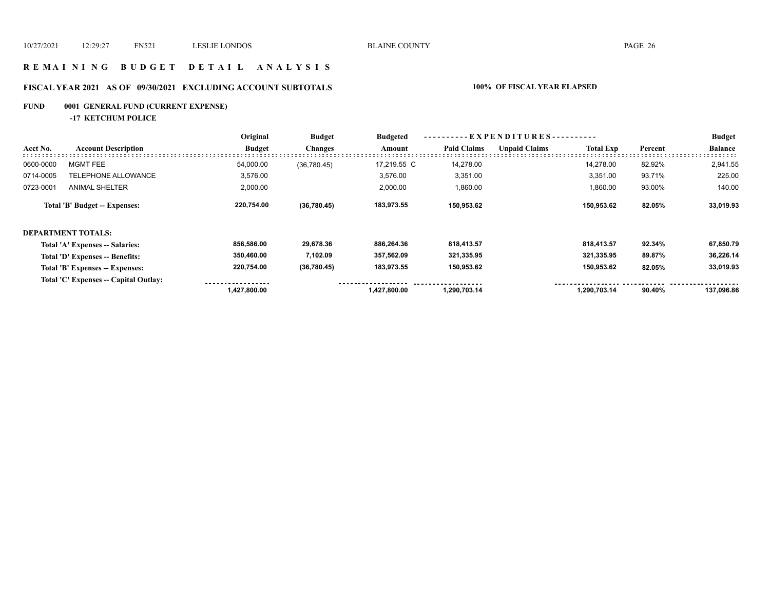#### **R E M A I N I N G B U D G E T D E T A I L A N A L Y S I S**

## **FISCAL YEAR 2021 AS OF 09/30/2021 EXCLUDING ACCOUNT SUBTOTALS 100% OF FISCAL YEAR ELAPSED**

## **FUND 0001 GENERAL FUND (CURRENT EXPENSE)**

**-17 KETCHUM POLICE**

|           |                                       | Original      | <b>Budget</b>  | <b>Budgeted</b> | ----------EXPENDITURES---------- |                      |                  |         | <b>Budget</b>  |
|-----------|---------------------------------------|---------------|----------------|-----------------|----------------------------------|----------------------|------------------|---------|----------------|
| Acct No.  | <b>Account Description</b>            | <b>Budget</b> | <b>Changes</b> | Amount          | <b>Paid Claims</b>               | <b>Unpaid Claims</b> | <b>Total Exp</b> | Percent | <b>Balance</b> |
| 0600-0000 | <b>MGMT FEE</b>                       | 54,000.00     | (36,780.45)    | 17.219.55 C     | 14,278.00                        |                      | 14.278.00        | 82.92%  | 2,941.55       |
| 0714-0005 | <b>TELEPHONE ALLOWANCE</b>            | 3,576.00      |                | 3,576.00        | 3,351.00                         |                      | 3,351.00         | 93.71%  | 225.00         |
| 0723-0001 | <b>ANIMAL SHELTER</b>                 | 2,000.00      |                | 2,000.00        | 1,860.00                         |                      | 1,860.00         | 93.00%  | 140.00         |
|           | Total 'B' Budget -- Expenses:         | 220,754.00    | (36, 780.45)   | 183,973.55      | 150,953.62                       |                      | 150,953.62       | 82.05%  | 33,019.93      |
|           | <b>DEPARTMENT TOTALS:</b>             |               |                |                 |                                  |                      |                  |         |                |
|           | Total 'A' Expenses -- Salaries:       | 856,586.00    | 29,678.36      | 886,264.36      | 818,413.57                       |                      | 818,413.57       | 92.34%  | 67,850.79      |
|           | Total 'D' Expenses -- Benefits:       | 350,460.00    | 7,102.09       | 357,562.09      | 321,335.95                       |                      | 321,335.95       | 89.87%  | 36,226.14      |
|           | Total 'B' Expenses -- Expenses:       | 220,754.00    | (36,780.45)    | 183,973.55      | 150,953.62                       |                      | 150,953.62       | 82.05%  | 33,019.93      |
|           | Total 'C' Expenses -- Capital Outlay: | 1,427,800.00  |                | 1,427,800.00    | 1,290,703.14                     |                      | 1,290,703.14     | 90.40%  | 137,096.86     |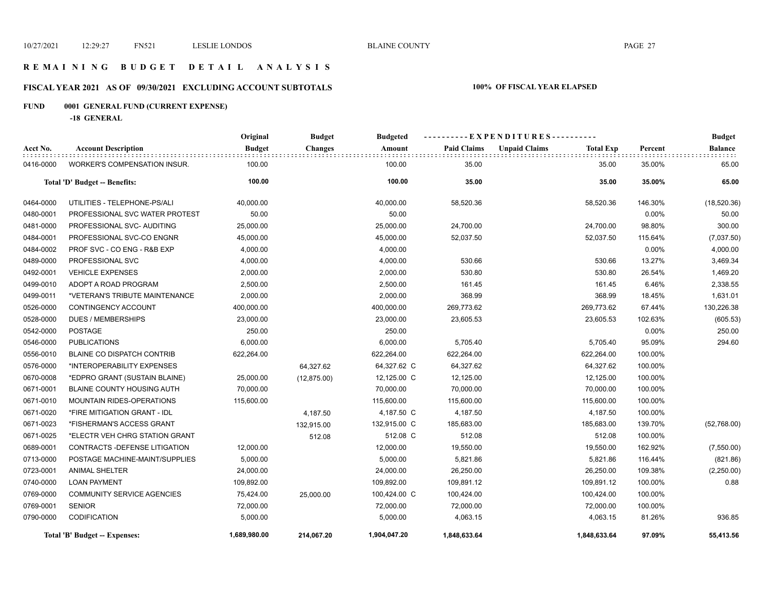#### **R E M A I N I N G B U D G E T D E T A I L A N A L Y S I S**

## **FISCAL YEAR 2021 AS OF 09/30/2021 EXCLUDING ACCOUNT SUBTOTALS 100% OF FISCAL YEAR ELAPSED**

## **FUND 0001 GENERAL FUND (CURRENT EXPENSE)**

**-18 GENERAL**

|           |                                     | Original      | <b>Budget</b>  | <b>Budgeted</b> |                    | ----EXPENDITURES----------               |         | <b>Budget</b> |
|-----------|-------------------------------------|---------------|----------------|-----------------|--------------------|------------------------------------------|---------|---------------|
| Acct No.  | <b>Account Description</b>          | <b>Budget</b> | <b>Changes</b> | Amount          | <b>Paid Claims</b> | <b>Unpaid Claims</b><br><b>Total Exp</b> | Percent | Balance       |
| 0416-0000 | <b>WORKER'S COMPENSATION INSUR.</b> | 100.00        |                | 100.00          | 35.00              | 35.00                                    | 35.00%  | 65.00         |
|           | Total 'D' Budget -- Benefits:       | 100.00        |                | 100.00          | 35.00              | 35.00                                    | 35.00%  | 65.00         |
| 0464-0000 | UTILITIES - TELEPHONE-PS/ALI        | 40,000.00     |                | 40,000.00       | 58,520.36          | 58,520.36                                | 146.30% | (18,520.36)   |
| 0480-0001 | PROFESSIONAL SVC WATER PROTEST      | 50.00         |                | 50.00           |                    |                                          | 0.00%   | 50.00         |
| 0481-0000 | PROFESSIONAL SVC- AUDITING          | 25,000.00     |                | 25,000.00       | 24,700.00          | 24,700.00                                | 98.80%  | 300.00        |
| 0484-0001 | PROFESSIONAL SVC-CO ENGNR           | 45,000.00     |                | 45,000.00       | 52,037.50          | 52,037.50                                | 115.64% | (7,037.50)    |
| 0484-0002 | PROF SVC - CO ENG - R&B EXP         | 4,000.00      |                | 4,000.00        |                    |                                          | 0.00%   | 4,000.00      |
| 0489-0000 | PROFESSIONAL SVC                    | 4,000.00      |                | 4,000.00        | 530.66             | 530.66                                   | 13.27%  | 3,469.34      |
| 0492-0001 | <b>VEHICLE EXPENSES</b>             | 2,000.00      |                | 2,000.00        | 530.80             | 530.80                                   | 26.54%  | 1,469.20      |
| 0499-0010 | ADOPT A ROAD PROGRAM                | 2,500.00      |                | 2,500.00        | 161.45             | 161.45                                   | 6.46%   | 2,338.55      |
| 0499-0011 | *VETERAN'S TRIBUTE MAINTENANCE      | 2,000.00      |                | 2,000.00        | 368.99             | 368.99                                   | 18.45%  | 1,631.01      |
| 0526-0000 | CONTINGENCY ACCOUNT                 | 400,000.00    |                | 400,000.00      | 269,773.62         | 269,773.62                               | 67.44%  | 130,226.38    |
| 0528-0000 | <b>DUES / MEMBERSHIPS</b>           | 23,000.00     |                | 23,000.00       | 23,605.53          | 23,605.53                                | 102.63% | (605.53)      |
| 0542-0000 | <b>POSTAGE</b>                      | 250.00        |                | 250.00          |                    |                                          | 0.00%   | 250.00        |
| 0546-0000 | <b>PUBLICATIONS</b>                 | 6,000.00      |                | 6,000.00        | 5,705.40           | 5,705.40                                 | 95.09%  | 294.60        |
| 0556-0010 | <b>BLAINE CO DISPATCH CONTRIB</b>   | 622,264.00    |                | 622,264.00      | 622,264.00         | 622,264.00                               | 100.00% |               |
| 0576-0000 | *INTEROPERABILITY EXPENSES          |               | 64,327.62      | 64,327.62 C     | 64,327.62          | 64,327.62                                | 100.00% |               |
| 0670-0008 | *EDPRO GRANT (SUSTAIN BLAINE)       | 25,000.00     | (12, 875.00)   | 12,125.00 C     | 12,125.00          | 12,125.00                                | 100.00% |               |
| 0671-0001 | BLAINE COUNTY HOUSING AUTH          | 70,000.00     |                | 70,000.00       | 70,000.00          | 70,000.00                                | 100.00% |               |
| 0671-0010 | <b>MOUNTAIN RIDES-OPERATIONS</b>    | 115,600.00    |                | 115,600.00      | 115,600.00         | 115,600.00                               | 100.00% |               |
| 0671-0020 | *FIRE MITIGATION GRANT - IDL        |               | 4,187.50       | 4,187.50 C      | 4,187.50           | 4,187.50                                 | 100.00% |               |
| 0671-0023 | *FISHERMAN'S ACCESS GRANT           |               | 132,915.00     | 132,915.00 C    | 185,683.00         | 185,683.00                               | 139.70% | (52,768.00)   |
| 0671-0025 | *ELECTR VEH CHRG STATION GRANT      |               | 512.08         | 512.08 C        | 512.08             | 512.08                                   | 100.00% |               |
| 0689-0001 | CONTRACTS - DEFENSE LITIGATION      | 12,000.00     |                | 12,000.00       | 19,550.00          | 19,550.00                                | 162.92% | (7,550.00)    |
| 0713-0000 | POSTAGE MACHINE-MAINT/SUPPLIES      | 5,000.00      |                | 5,000.00        | 5,821.86           | 5,821.86                                 | 116.44% | (821.86)      |
| 0723-0001 | <b>ANIMAL SHELTER</b>               | 24,000.00     |                | 24,000.00       | 26,250.00          | 26,250.00                                | 109.38% | (2,250.00)    |
| 0740-0000 | <b>LOAN PAYMENT</b>                 | 109,892.00    |                | 109,892.00      | 109,891.12         | 109,891.12                               | 100.00% | 0.88          |
| 0769-0000 | <b>COMMUNITY SERVICE AGENCIES</b>   | 75,424.00     | 25,000.00      | 100,424.00 C    | 100,424.00         | 100,424.00                               | 100.00% |               |
| 0769-0001 | <b>SENIOR</b>                       | 72,000.00     |                | 72,000.00       | 72,000.00          | 72,000.00                                | 100.00% |               |
| 0790-0000 | <b>CODIFICATION</b>                 | 5,000.00      |                | 5,000.00        | 4,063.15           | 4,063.15                                 | 81.26%  | 936.85        |
|           | Total 'B' Budget -- Expenses:       | 1,689,980.00  | 214,067.20     | 1,904,047.20    | 1,848,633.64       | 1,848,633.64                             | 97.09%  | 55,413.56     |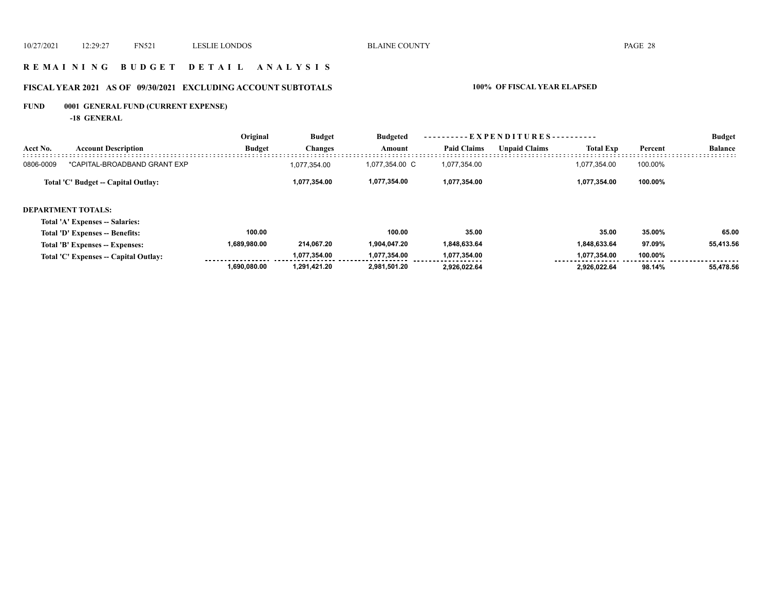#### **R E M A I N I N G B U D G E T D E T A I L A N A L Y S I S**

## **FISCAL YEAR 2021 AS OF 09/30/2021 EXCLUDING ACCOUNT SUBTOTALS 100% OF FISCAL YEAR ELAPSED**

## **FUND 0001 GENERAL FUND (CURRENT EXPENSE)**

**-18 GENERAL**

|           |                                     | Original      | <b>Budget</b>  | Budgeted       | ----------EXPENDITURES---------- |                      |                  |         | <b>Budget</b>  |
|-----------|-------------------------------------|---------------|----------------|----------------|----------------------------------|----------------------|------------------|---------|----------------|
| Acct No.  | <b>Account Description</b>          | <b>Budget</b> | <b>Changes</b> | Amount         | <b>Paid Claims</b>               | <b>Unpaid Claims</b> | <b>Total Exp</b> | Percent | <b>Balance</b> |
| 0806-0009 | *CAPITAL-BROADBAND GRANT EXP        |               | 1,077,354.00   | 1,077,354.00 C | 1,077,354.00                     |                      | 1,077,354.00     | 100.00% |                |
|           | Total 'C' Budget -- Capital Outlay: |               | 1,077,354.00   | 1,077,354.00   | 1,077,354.00                     |                      | 1,077,354.00     | 100.00% |                |

#### **DEPARTMENT TOTALS:**

#### **Total 'A' Expenses -- Salaries:**

| Total 'D' Expenses -- Benefits:       | 100.00       |              | 100.00       | 35.00                               | 35.00        | 35.00%  | 65.00     |
|---------------------------------------|--------------|--------------|--------------|-------------------------------------|--------------|---------|-----------|
| Total 'B' Expenses -- Expenses:       | 1.689.980.00 | 214.067.20   | 1.904.047.20 | 1,848,633.64                        | 1.848.633.64 | 97.09%  | 55,413.56 |
| Total 'C' Expenses -- Capital Outlay: |              | 1.077.354.00 | 1.077.354.00 | 1.077.354.00<br>------------------- | 1.077.354.00 | 100.00% |           |
|                                       | 1.690.080.00 | 1.291.421.20 | 2.981.501.20 | 2.926.022.64                        | 2.926.022.64 | 98.14%  | 55.478.56 |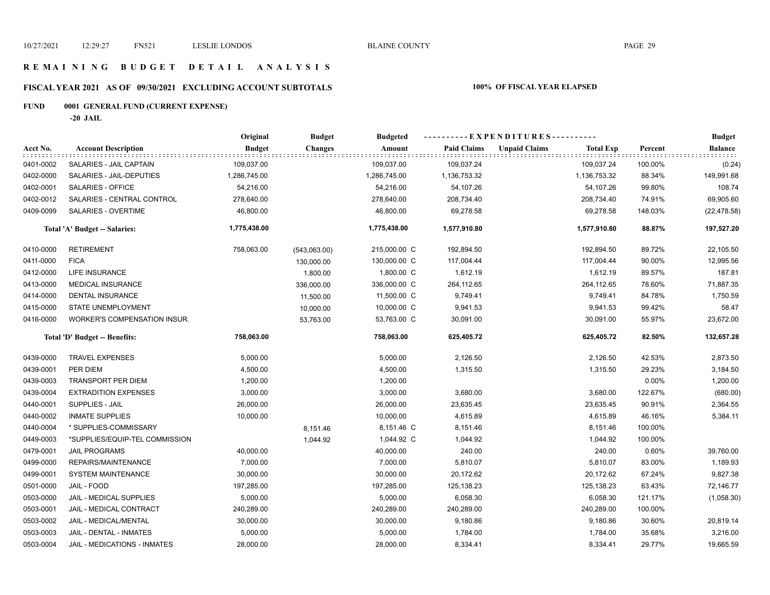#### **R E M A I N I N G B U D G E T D E T A I L A N A L Y S I S**

## **FISCAL YEAR 2021 AS OF 09/30/2021 EXCLUDING ACCOUNT SUBTOTALS 100% OF FISCAL YEAR ELAPSED**

## **FUND 0001 GENERAL FUND (CURRENT EXPENSE)**

**-20 JAIL**

|           |                                     | Original      | <b>Budget</b>  | <b>Budgeted</b> | ----------EXPENDITURES---------- |                      |                  |         | <b>Budget</b>  |
|-----------|-------------------------------------|---------------|----------------|-----------------|----------------------------------|----------------------|------------------|---------|----------------|
| Acct No.  | <b>Account Description</b>          | <b>Budget</b> | <b>Changes</b> | Amount          | <b>Paid Claims</b>               | <b>Unpaid Claims</b> | <b>Total Exp</b> | Percent | <b>Balance</b> |
| 0401-0002 | SALARIES - JAIL CAPTAIN             | 109,037.00    |                | 109,037.00      | 109,037.24                       |                      | 109,037.24       | 100.00% | (0.24)         |
| 0402-0000 | SALARIES - JAIL-DEPUTIES            | 1,286,745.00  |                | 1,286,745.00    | 1,136,753.32                     |                      | 1,136,753.32     | 88.34%  | 149,991.68     |
| 0402-0001 | SALARIES - OFFICE                   | 54,216.00     |                | 54,216.00       | 54,107.26                        |                      | 54,107.26        | 99.80%  | 108.74         |
| 0402-0012 | SALARIES - CENTRAL CONTROL          | 278,640.00    |                | 278,640.00      | 208,734.40                       |                      | 208,734.40       | 74.91%  | 69,905.60      |
| 0409-0099 | SALARIES - OVERTIME                 | 46,800.00     |                | 46,800.00       | 69,278.58                        |                      | 69,278.58        | 148.03% | (22, 478.58)   |
|           | Total 'A' Budget -- Salaries:       | 1,775,438.00  |                | 1,775,438.00    | 1,577,910.80                     |                      | 1,577,910.80     | 88.87%  | 197,527.20     |
| 0410-0000 | <b>RETIREMENT</b>                   | 758,063.00    | (543,063.00)   | 215,000.00 C    | 192,894.50                       |                      | 192,894.50       | 89.72%  | 22,105.50      |
| 0411-0000 | <b>FICA</b>                         |               | 130,000.00     | 130,000.00 C    | 117,004.44                       |                      | 117,004.44       | 90.00%  | 12,995.56      |
| 0412-0000 | <b>LIFE INSURANCE</b>               |               | 1,800.00       | 1,800.00 C      | 1,612.19                         |                      | 1,612.19         | 89.57%  | 187.81         |
| 0413-0000 | <b>MEDICAL INSURANCE</b>            |               | 336,000.00     | 336,000.00 C    | 264,112.65                       |                      | 264,112.65       | 78.60%  | 71,887.35      |
| 0414-0000 | <b>DENTAL INSURANCE</b>             |               | 11,500.00      | 11,500.00 C     | 9,749.41                         |                      | 9,749.41         | 84.78%  | 1,750.59       |
| 0415-0000 | STATE UNEMPLOYMENT                  |               | 10,000.00      | 10,000.00 C     | 9,941.53                         |                      | 9,941.53         | 99.42%  | 58.47          |
| 0416-0000 | <b>WORKER'S COMPENSATION INSUR.</b> |               | 53,763.00      | 53,763.00 C     | 30,091.00                        |                      | 30,091.00        | 55.97%  | 23,672.00      |
|           | Total 'D' Budget -- Benefits:       | 758,063.00    |                | 758,063.00      | 625,405.72                       |                      | 625,405.72       | 82.50%  | 132,657.28     |
| 0439-0000 | <b>TRAVEL EXPENSES</b>              | 5,000.00      |                | 5,000.00        | 2,126.50                         |                      | 2,126.50         | 42.53%  | 2,873.50       |
| 0439-0001 | PER DIEM                            | 4,500.00      |                | 4,500.00        | 1,315.50                         |                      | 1,315.50         | 29.23%  | 3,184.50       |
| 0439-0003 | <b>TRANSPORT PER DIEM</b>           | 1,200.00      |                | 1,200.00        |                                  |                      |                  | 0.00%   | 1,200.00       |
| 0439-0004 | <b>EXTRADITION EXPENSES</b>         | 3,000.00      |                | 3,000.00        | 3,680.00                         |                      | 3,680.00         | 122.67% | (680.00)       |
| 0440-0001 | <b>SUPPLIES - JAIL</b>              | 26,000.00     |                | 26,000.00       | 23,635.45                        |                      | 23,635.45        | 90.91%  | 2,364.55       |
| 0440-0002 | <b>INMATE SUPPLIES</b>              | 10,000.00     |                | 10,000.00       | 4,615.89                         |                      | 4,615.89         | 46.16%  | 5,384.11       |
| 0440-0004 | * SUPPLIES-COMMISSARY               |               | 8,151.46       | 8,151.46 C      | 8,151.46                         |                      | 8,151.46         | 100.00% |                |
| 0449-0003 | *SUPPLIES/EQUIP-TEL COMMISSION      |               | 1,044.92       | 1,044.92 C      | 1,044.92                         |                      | 1,044.92         | 100.00% |                |
| 0479-0001 | <b>JAIL PROGRAMS</b>                | 40,000.00     |                | 40,000.00       | 240.00                           |                      | 240.00           | 0.60%   | 39,760.00      |
| 0499-0000 | REPAIRS/MAINTENANCE                 | 7,000.00      |                | 7,000.00        | 5,810.07                         |                      | 5,810.07         | 83.00%  | 1,189.93       |
| 0499-0001 | <b>SYSTEM MAINTENANCE</b>           | 30,000.00     |                | 30,000.00       | 20,172.62                        |                      | 20,172.62        | 67.24%  | 9,827.38       |
| 0501-0000 | JAIL - FOOD                         | 197,285.00    |                | 197,285.00      | 125,138.23                       |                      | 125,138.23       | 63.43%  | 72,146.77      |
| 0503-0000 | JAIL - MEDICAL SUPPLIES             | 5,000.00      |                | 5,000.00        | 6,058.30                         |                      | 6,058.30         | 121.17% | (1,058.30)     |
| 0503-0001 | JAIL - MEDICAL CONTRACT             | 240,289.00    |                | 240,289.00      | 240,289.00                       |                      | 240,289.00       | 100.00% |                |
| 0503-0002 | JAIL - MEDICAL/MENTAL               | 30,000.00     |                | 30,000.00       | 9,180.86                         |                      | 9,180.86         | 30.60%  | 20,819.14      |
| 0503-0003 | JAIL - DENTAL - INMATES             | 5,000.00      |                | 5,000.00        | 1,784.00                         |                      | 1,784.00         | 35.68%  | 3,216.00       |
| 0503-0004 | JAIL - MEDICATIONS - INMATES        | 28,000.00     |                | 28,000.00       | 8,334.41                         |                      | 8,334.41         | 29.77%  | 19,665.59      |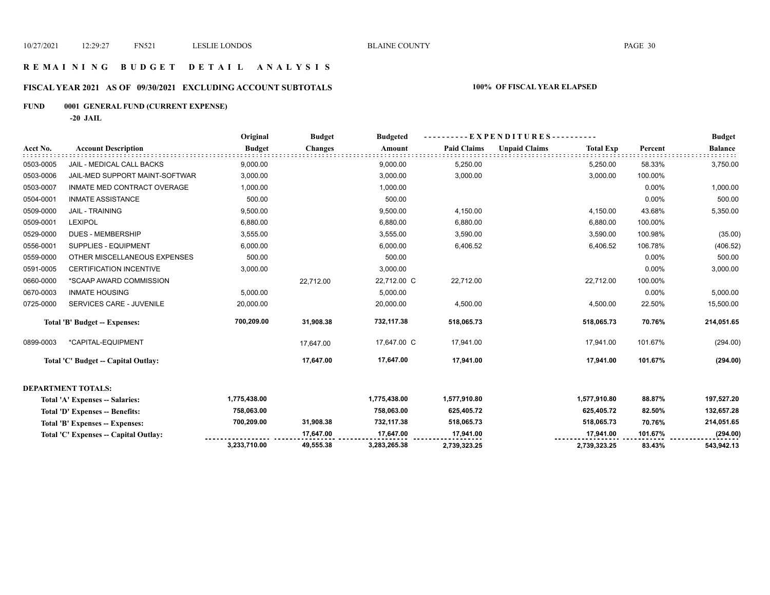#### **R E M A I N I N G B U D G E T D E T A I L A N A L Y S I S**

## **FISCAL YEAR 2021 AS OF 09/30/2021 EXCLUDING ACCOUNT SUBTOTALS 100% OF FISCAL YEAR ELAPSED**

## **FUND 0001 GENERAL FUND (CURRENT EXPENSE)**

**-20 JAIL**

|           |                                       | Original      | <b>Budget</b>  | <b>Budgeted</b> | - E X P E N D I T U R E S - - - - - - - - - |                      |                  |         | <b>Budget</b>  |
|-----------|---------------------------------------|---------------|----------------|-----------------|---------------------------------------------|----------------------|------------------|---------|----------------|
| Acct No.  | <b>Account Description</b>            | <b>Budget</b> | <b>Changes</b> | Amount          | <b>Paid Claims</b>                          | <b>Unpaid Claims</b> | <b>Total Exp</b> | Percent | <b>Balance</b> |
| 0503-0005 | JAIL - MEDICAL CALL BACKS             | 9,000.00      |                | 9,000.00        | 5,250.00                                    |                      | 5,250.00         | 58.33%  | 3,750.00       |
| 0503-0006 | JAIL-MED SUPPORT MAINT-SOFTWAR        | 3,000.00      |                | 3,000.00        | 3,000.00                                    |                      | 3,000.00         | 100.00% |                |
| 0503-0007 | INMATE MED CONTRACT OVERAGE           | 1,000.00      |                | 1,000.00        |                                             |                      |                  | 0.00%   | 1,000.00       |
| 0504-0001 | <b>INMATE ASSISTANCE</b>              | 500.00        |                | 500.00          |                                             |                      |                  | 0.00%   | 500.00         |
| 0509-0000 | <b>JAIL - TRAINING</b>                | 9,500.00      |                | 9,500.00        | 4,150.00                                    |                      | 4,150.00         | 43.68%  | 5,350.00       |
| 0509-0001 | <b>LEXIPOL</b>                        | 6,880.00      |                | 6,880.00        | 6,880.00                                    |                      | 6,880.00         | 100.00% |                |
| 0529-0000 | <b>DUES - MEMBERSHIP</b>              | 3,555.00      |                | 3,555.00        | 3,590.00                                    |                      | 3,590.00         | 100.98% | (35.00)        |
| 0556-0001 | <b>SUPPLIES - EQUIPMENT</b>           | 6,000.00      |                | 6,000.00        | 6,406.52                                    |                      | 6,406.52         | 106.78% | (406.52)       |
| 0559-0000 | OTHER MISCELLANEOUS EXPENSES          | 500.00        |                | 500.00          |                                             |                      |                  | 0.00%   | 500.00         |
| 0591-0005 | <b>CERTIFICATION INCENTIVE</b>        | 3,000.00      |                | 3,000.00        |                                             |                      |                  | 0.00%   | 3,000.00       |
| 0660-0000 | *SCAAP AWARD COMMISSION               |               | 22,712.00      | 22,712.00 C     | 22,712.00                                   |                      | 22,712.00        | 100.00% |                |
| 0670-0003 | <b>INMATE HOUSING</b>                 | 5,000.00      |                | 5,000.00        |                                             |                      |                  | 0.00%   | 5,000.00       |
| 0725-0000 | SERVICES CARE - JUVENILE              | 20,000.00     |                | 20,000.00       | 4,500.00                                    |                      | 4,500.00         | 22.50%  | 15,500.00      |
|           | Total 'B' Budget -- Expenses:         | 700,209.00    | 31,908.38      | 732,117.38      | 518,065.73                                  |                      | 518,065.73       | 70.76%  | 214,051.65     |
| 0899-0003 | *CAPITAL-EQUIPMENT                    |               | 17,647.00      | 17,647.00 C     | 17,941.00                                   |                      | 17,941.00        | 101.67% | (294.00)       |
|           | Total 'C' Budget -- Capital Outlay:   |               | 17,647.00      | 17,647.00       | 17,941.00                                   |                      | 17,941.00        | 101.67% | (294.00)       |
|           | <b>DEPARTMENT TOTALS:</b>             |               |                |                 |                                             |                      |                  |         |                |
|           | Total 'A' Expenses -- Salaries:       | 1,775,438.00  |                | 1,775,438.00    | 1,577,910.80                                |                      | 1,577,910.80     | 88.87%  | 197,527.20     |
|           | Total 'D' Expenses -- Benefits:       | 758,063.00    |                | 758,063.00      | 625,405.72                                  |                      | 625,405.72       | 82.50%  | 132,657.28     |
|           | Total 'B' Expenses -- Expenses:       | 700,209.00    | 31,908.38      | 732,117.38      | 518,065.73                                  |                      | 518,065.73       | 70.76%  | 214,051.65     |
|           | Total 'C' Expenses -- Capital Outlay: |               | 17,647.00      | 17,647.00       | 17,941.00                                   |                      | 17,941.00        | 101.67% | (294.00)       |
|           |                                       | 3,233,710.00  | 49,555.38      | 3,283,265.38    | 2,739,323.25                                |                      | 2,739,323.25     | 83.43%  | 543,942.13     |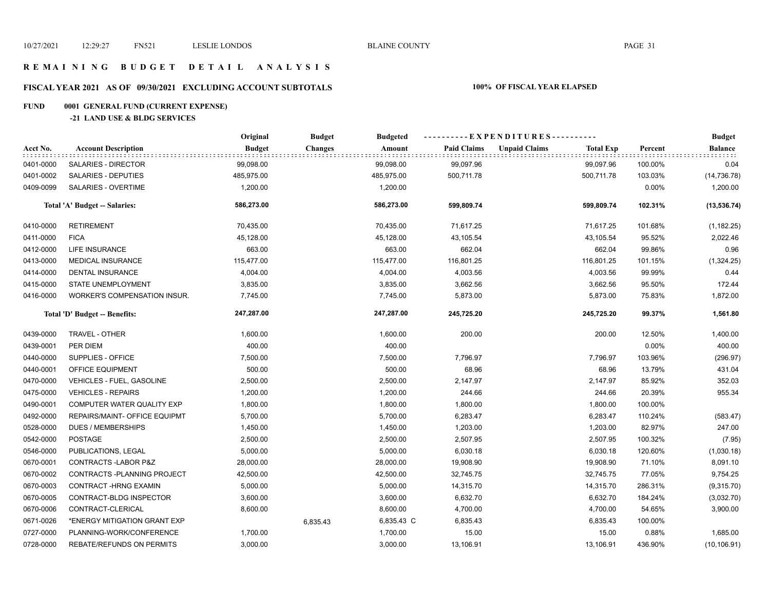#### **R E M A I N I N G B U D G E T D E T A I L A N A L Y S I S**

## **FISCAL YEAR 2021 AS OF 09/30/2021 EXCLUDING ACCOUNT SUBTOTALS 100% OF FISCAL YEAR ELAPSED**

## **FUND 0001 GENERAL FUND (CURRENT EXPENSE)**

#### **-21 LAND USE & BLDG SERVICES**

|           |                                  | Original      | <b>Budget</b>  | <b>Budgeted</b> | ----------EXPENDITURES---------- |                      |                  |          | <b>Budget</b>  |  |
|-----------|----------------------------------|---------------|----------------|-----------------|----------------------------------|----------------------|------------------|----------|----------------|--|
| Acct No.  | <b>Account Description</b>       | <b>Budget</b> | <b>Changes</b> | Amount          | <b>Paid Claims</b>               | <b>Unpaid Claims</b> | <b>Total Exp</b> | Percent  | <b>Balance</b> |  |
| 0401-0000 | SALARIES - DIRECTOR              | 99,098.00     |                | 99,098.00       | 99,097.96                        |                      | 99,097.96        | 100.00%  | 0.04           |  |
| 0401-0002 | SALARIES - DEPUTIES              | 485,975.00    |                | 485,975.00      | 500,711.78                       |                      | 500,711.78       | 103.03%  | (14, 736.78)   |  |
| 0409-0099 | SALARIES - OVERTIME              | 1,200.00      |                | 1,200.00        |                                  |                      |                  | $0.00\%$ | 1,200.00       |  |
|           | Total 'A' Budget -- Salaries:    | 586,273.00    |                | 586,273.00      | 599,809.74                       |                      | 599,809.74       | 102.31%  | (13, 536.74)   |  |
| 0410-0000 | <b>RETIREMENT</b>                | 70,435.00     |                | 70,435.00       | 71,617.25                        |                      | 71,617.25        | 101.68%  | (1, 182.25)    |  |
| 0411-0000 | <b>FICA</b>                      | 45,128.00     |                | 45,128.00       | 43,105.54                        |                      | 43,105.54        | 95.52%   | 2,022.46       |  |
| 0412-0000 | <b>LIFE INSURANCE</b>            | 663.00        |                | 663.00          | 662.04                           |                      | 662.04           | 99.86%   | 0.96           |  |
| 0413-0000 | <b>MEDICAL INSURANCE</b>         | 115,477.00    |                | 115,477.00      | 116,801.25                       |                      | 116,801.25       | 101.15%  | (1,324.25)     |  |
| 0414-0000 | <b>DENTAL INSURANCE</b>          | 4,004.00      |                | 4,004.00        | 4,003.56                         |                      | 4,003.56         | 99.99%   | 0.44           |  |
| 0415-0000 | STATE UNEMPLOYMENT               | 3,835.00      |                | 3,835.00        | 3,662.56                         |                      | 3,662.56         | 95.50%   | 172.44         |  |
| 0416-0000 | WORKER'S COMPENSATION INSUR.     | 7,745.00      |                | 7,745.00        | 5,873.00                         |                      | 5,873.00         | 75.83%   | 1,872.00       |  |
|           | Total 'D' Budget -- Benefits:    | 247,287.00    |                | 247,287.00      | 245,725.20                       |                      | 245,725.20       | 99.37%   | 1,561.80       |  |
| 0439-0000 | TRAVEL - OTHER                   | 1,600.00      |                | 1,600.00        | 200.00                           |                      | 200.00           | 12.50%   | 1,400.00       |  |
| 0439-0001 | PER DIEM                         | 400.00        |                | 400.00          |                                  |                      |                  | 0.00%    | 400.00         |  |
| 0440-0000 | SUPPLIES - OFFICE                | 7,500.00      |                | 7,500.00        | 7,796.97                         |                      | 7,796.97         | 103.96%  | (296.97)       |  |
| 0440-0001 | <b>OFFICE EQUIPMENT</b>          | 500.00        |                | 500.00          | 68.96                            |                      | 68.96            | 13.79%   | 431.04         |  |
| 0470-0000 | VEHICLES - FUEL, GASOLINE        | 2,500.00      |                | 2,500.00        | 2,147.97                         |                      | 2,147.97         | 85.92%   | 352.03         |  |
| 0475-0000 | <b>VEHICLES - REPAIRS</b>        | 1,200.00      |                | 1,200.00        | 244.66                           |                      | 244.66           | 20.39%   | 955.34         |  |
| 0490-0001 | COMPUTER WATER QUALITY EXP       | 1,800.00      |                | 1,800.00        | 1,800.00                         |                      | 1,800.00         | 100.00%  |                |  |
| 0492-0000 | REPAIRS/MAINT- OFFICE EQUIPMT    | 5,700.00      |                | 5,700.00        | 6,283.47                         |                      | 6,283.47         | 110.24%  | (583.47)       |  |
| 0528-0000 | <b>DUES / MEMBERSHIPS</b>        | 1,450.00      |                | 1,450.00        | 1,203.00                         |                      | 1,203.00         | 82.97%   | 247.00         |  |
| 0542-0000 | <b>POSTAGE</b>                   | 2,500.00      |                | 2,500.00        | 2,507.95                         |                      | 2,507.95         | 100.32%  | (7.95)         |  |
| 0546-0000 | PUBLICATIONS, LEGAL              | 5,000.00      |                | 5,000.00        | 6,030.18                         |                      | 6,030.18         | 120.60%  | (1,030.18)     |  |
| 0670-0001 | <b>CONTRACTS - LABOR P&amp;Z</b> | 28,000.00     |                | 28,000.00       | 19,908.90                        |                      | 19,908.90        | 71.10%   | 8,091.10       |  |
| 0670-0002 | CONTRACTS - PLANNING PROJECT     | 42,500.00     |                | 42,500.00       | 32,745.75                        |                      | 32,745.75        | 77.05%   | 9,754.25       |  |
| 0670-0003 | CONTRACT-HRNG EXAMIN             | 5,000.00      |                | 5,000.00        | 14,315.70                        |                      | 14,315.70        | 286.31%  | (9,315.70)     |  |
| 0670-0005 | CONTRACT-BLDG INSPECTOR          | 3,600.00      |                | 3,600.00        | 6,632.70                         |                      | 6,632.70         | 184.24%  | (3,032.70)     |  |
| 0670-0006 | CONTRACT-CLERICAL                | 8,600.00      |                | 8,600.00        | 4,700.00                         |                      | 4,700.00         | 54.65%   | 3,900.00       |  |
| 0671-0026 | *ENERGY MITIGATION GRANT EXP     |               | 6,835.43       | 6,835.43 C      | 6,835.43                         |                      | 6,835.43         | 100.00%  |                |  |
| 0727-0000 | PLANNING-WORK/CONFERENCE         | 1,700.00      |                | 1,700.00        | 15.00                            |                      | 15.00            | 0.88%    | 1,685.00       |  |
| 0728-0000 | <b>REBATE/REFUNDS ON PERMITS</b> | 3,000.00      |                | 3,000.00        | 13,106.91                        |                      | 13,106.91        | 436.90%  | (10, 106.91)   |  |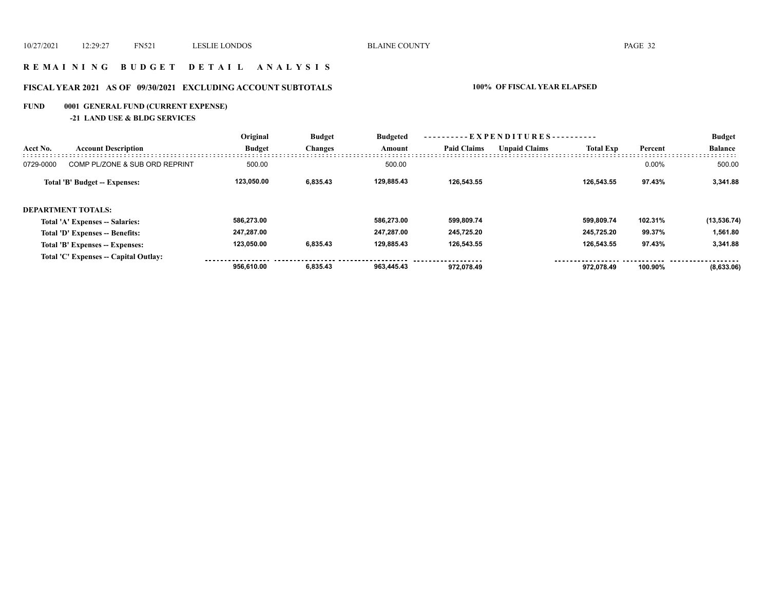#### **R E M A I N I N G B U D G E T D E T A I L A N A L Y S I S**

## **FISCAL YEAR 2021 AS OF 09/30/2021 EXCLUDING ACCOUNT SUBTOTALS 100% OF FISCAL YEAR ELAPSED**

## **FUND 0001 GENERAL FUND (CURRENT EXPENSE)**

**-21 LAND USE & BLDG SERVICES**

|           |                                       | Original      | <b>Budget</b>  | <b>Budgeted</b> | --- EXPENDITURES---------- |                      |                  |         | <b>Budget</b>  |
|-----------|---------------------------------------|---------------|----------------|-----------------|----------------------------|----------------------|------------------|---------|----------------|
| Acct No.  | <b>Account Description</b>            | <b>Budget</b> | <b>Changes</b> | Amount          | <b>Paid Claims</b>         | <b>Unpaid Claims</b> | <b>Total Exp</b> | Percent | <b>Balance</b> |
| 0729-0000 | COMP PL/ZONE & SUB ORD REPRINT        | 500.00        |                | 500.00          |                            |                      |                  | 0.00%   | 500.00         |
|           | Total 'B' Budget -- Expenses:         | 123.050.00    | 6,835.43       | 129.885.43      | 126.543.55                 |                      | 126.543.55       | 97.43%  | 3,341.88       |
|           | <b>DEPARTMENT TOTALS:</b>             |               |                |                 |                            |                      |                  |         |                |
|           | Total 'A' Expenses -- Salaries:       | 586.273.00    |                | 586.273.00      | 599.809.74                 |                      | 599.809.74       | 102.31% | (13, 536.74)   |
|           | Total 'D' Expenses -- Benefits:       | 247,287.00    |                | 247.287.00      | 245.725.20                 |                      | 245.725.20       | 99.37%  | 1,561.80       |
|           | Total 'B' Expenses -- Expenses:       | 123.050.00    | 6,835.43       | 129.885.43      | 126.543.55                 |                      | 126.543.55       | 97.43%  | 3,341.88       |
|           | Total 'C' Expenses -- Capital Outlay: |               |                |                 |                            |                      |                  |         |                |
|           |                                       | 956.610.00    | 6.835.43       | 963.445.43      | 972.078.49                 |                      | 972.078.49       | 100.90% | (8,633.06)     |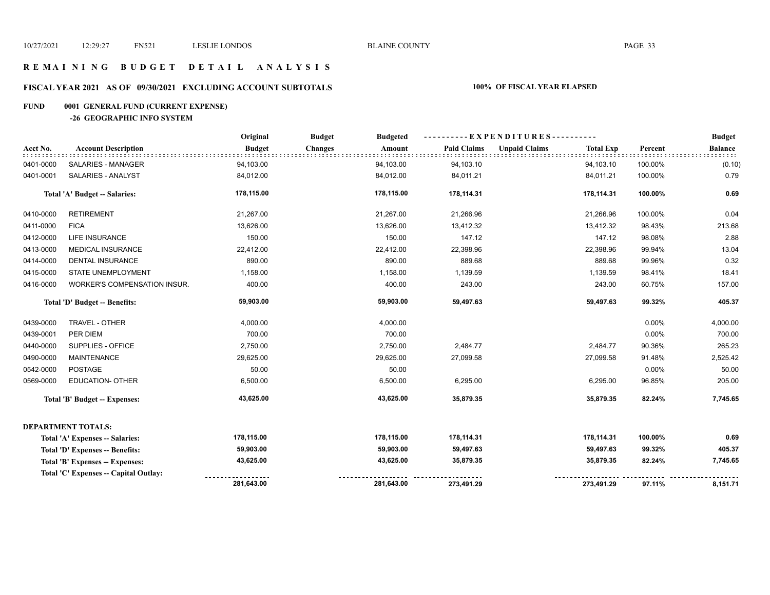#### **R E M A I N I N G B U D G E T D E T A I L A N A L Y S I S**

## **FISCAL YEAR 2021 AS OF 09/30/2021 EXCLUDING ACCOUNT SUBTOTALS 100% OF FISCAL YEAR ELAPSED**

#### **FUND 0001 GENERAL FUND (CURRENT EXPENSE)**

#### **-26 GEOGRAPHIC INFO SYSTEM**

|           |                                       | Original      | <b>Budget</b><br><b>Budgeted</b> |                    | ----------EXPENDITURES----------         |         | <b>Budget</b>  |
|-----------|---------------------------------------|---------------|----------------------------------|--------------------|------------------------------------------|---------|----------------|
| Acct No.  | <b>Account Description</b>            | <b>Budget</b> | <b>Changes</b><br>Amount         | <b>Paid Claims</b> | <b>Unpaid Claims</b><br><b>Total Exp</b> | Percent | <b>Balance</b> |
| 0401-0000 | SALARIES - MANAGER                    | 94,103.00     | 94,103.00                        | 94,103.10          | 94,103.10                                | 100.00% | (0.10)         |
| 0401-0001 | SALARIES - ANALYST                    | 84,012.00     | 84,012.00                        | 84,011.21          | 84,011.21                                | 100.00% | 0.79           |
|           | <b>Total 'A' Budget -- Salaries:</b>  | 178,115.00    | 178,115.00                       | 178,114.31         | 178,114.31                               | 100.00% | 0.69           |
| 0410-0000 | <b>RETIREMENT</b>                     | 21,267.00     | 21,267.00                        | 21,266.96          | 21,266.96                                | 100.00% | 0.04           |
| 0411-0000 | <b>FICA</b>                           | 13,626.00     | 13,626.00                        | 13,412.32          | 13,412.32                                | 98.43%  | 213.68         |
| 0412-0000 | <b>LIFE INSURANCE</b>                 | 150.00        | 150.00                           | 147.12             | 147.12                                   | 98.08%  | 2.88           |
| 0413-0000 | <b>MEDICAL INSURANCE</b>              | 22,412.00     | 22,412.00                        | 22,398.96          | 22,398.96                                | 99.94%  | 13.04          |
| 0414-0000 | <b>DENTAL INSURANCE</b>               | 890.00        | 890.00                           | 889.68             | 889.68                                   | 99.96%  | 0.32           |
| 0415-0000 | STATE UNEMPLOYMENT                    | 1,158.00      | 1,158.00                         | 1,139.59           | 1,139.59                                 | 98.41%  | 18.41          |
| 0416-0000 | WORKER'S COMPENSATION INSUR.          | 400.00        | 400.00                           | 243.00             | 243.00                                   | 60.75%  | 157.00         |
|           | Total 'D' Budget -- Benefits:         | 59,903.00     | 59,903.00                        | 59,497.63          | 59,497.63                                | 99.32%  | 405.37         |
| 0439-0000 | TRAVEL - OTHER                        | 4,000.00      | 4,000.00                         |                    |                                          | 0.00%   | 4,000.00       |
| 0439-0001 | PER DIEM                              | 700.00        | 700.00                           |                    |                                          | 0.00%   | 700.00         |
| 0440-0000 | SUPPLIES - OFFICE                     | 2,750.00      | 2,750.00                         | 2,484.77           | 2,484.77                                 | 90.36%  | 265.23         |
| 0490-0000 | <b>MAINTENANCE</b>                    | 29,625.00     | 29,625.00                        | 27,099.58          | 27,099.58                                | 91.48%  | 2,525.42       |
| 0542-0000 | <b>POSTAGE</b>                        | 50.00         | 50.00                            |                    |                                          | 0.00%   | 50.00          |
| 0569-0000 | <b>EDUCATION- OTHER</b>               | 6,500.00      | 6,500.00                         | 6,295.00           | 6,295.00                                 | 96.85%  | 205.00         |
|           | Total 'B' Budget -- Expenses:         | 43,625.00     | 43,625.00                        | 35,879.35          | 35,879.35                                | 82.24%  | 7,745.65       |
|           | <b>DEPARTMENT TOTALS:</b>             |               |                                  |                    |                                          |         |                |
|           | Total 'A' Expenses -- Salaries:       | 178,115.00    | 178,115.00                       | 178,114.31         | 178,114.31                               | 100.00% | 0.69           |
|           | Total 'D' Expenses -- Benefits:       | 59,903.00     | 59,903.00                        | 59,497.63          | 59,497.63                                | 99.32%  | 405.37         |
|           | Total 'B' Expenses -- Expenses:       | 43,625.00     | 43,625.00                        | 35,879.35          | 35,879.35                                | 82.24%  | 7,745.65       |
|           | Total 'C' Expenses -- Capital Outlay: |               |                                  |                    |                                          |         |                |
|           |                                       | 281,643.00    | 281,643.00                       | 273,491.29         | 273,491.29                               | 97.11%  | 8,151.71       |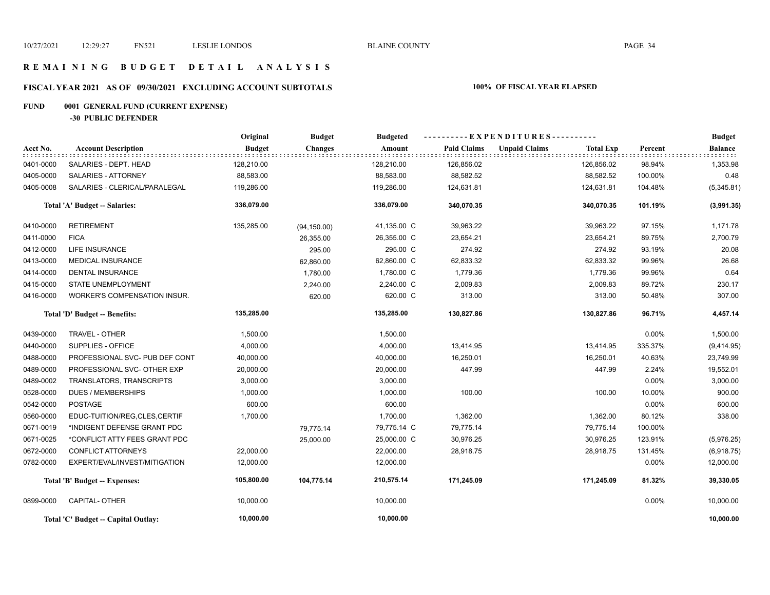#### **R E M A I N I N G B U D G E T D E T A I L A N A L Y S I S**

## **FISCAL YEAR 2021 AS OF 09/30/2021 EXCLUDING ACCOUNT SUBTOTALS 100% OF FISCAL YEAR ELAPSED**

## **FUND 0001 GENERAL FUND (CURRENT EXPENSE)**

**-30 PUBLIC DEFENDER**

|           |                                     | Original      | <b>Budget</b><br><b>Budgeted</b> |             | ----------EXPENDITURES---------- |                      |                  |          | <b>Budget</b>  |
|-----------|-------------------------------------|---------------|----------------------------------|-------------|----------------------------------|----------------------|------------------|----------|----------------|
| Acct No.  | <b>Account Description</b>          | <b>Budget</b> | <b>Changes</b>                   | Amount      | <b>Paid Claims</b>               | <b>Unpaid Claims</b> | <b>Total Exp</b> | Percent  | <b>Balance</b> |
| 0401-0000 | SALARIES - DEPT. HEAD               | 128,210.00    |                                  | 128,210.00  | 126,856.02                       |                      | 126,856.02       | 98.94%   | 1,353.98       |
| 0405-0000 | SALARIES - ATTORNEY                 | 88,583.00     |                                  | 88,583.00   | 88,582.52                        |                      | 88,582.52        | 100.00%  | 0.48           |
| 0405-0008 | SALARIES - CLERICAL/PARALEGAL       | 119,286.00    |                                  | 119,286.00  | 124,631.81                       |                      | 124,631.81       | 104.48%  | (5,345.81)     |
|           | Total 'A' Budget -- Salaries:       | 336,079.00    |                                  | 336,079.00  | 340,070.35                       |                      | 340,070.35       | 101.19%  | (3,991.35)     |
| 0410-0000 | <b>RETIREMENT</b>                   | 135,285.00    | (94, 150.00)                     | 41,135.00 C | 39,963.22                        |                      | 39,963.22        | 97.15%   | 1,171.78       |
| 0411-0000 | <b>FICA</b>                         |               | 26,355.00                        | 26,355.00 C | 23,654.21                        |                      | 23,654.21        | 89.75%   | 2,700.79       |
| 0412-0000 | LIFE INSURANCE                      |               | 295.00                           | 295.00 C    | 274.92                           |                      | 274.92           | 93.19%   | 20.08          |
| 0413-0000 | <b>MEDICAL INSURANCE</b>            |               | 62,860.00                        | 62,860.00 C | 62,833.32                        |                      | 62,833.32        | 99.96%   | 26.68          |
| 0414-0000 | <b>DENTAL INSURANCE</b>             |               | 1,780.00                         | 1,780.00 C  | 1,779.36                         |                      | 1,779.36         | 99.96%   | 0.64           |
| 0415-0000 | STATE UNEMPLOYMENT                  |               | 2,240.00                         | 2,240.00 C  | 2,009.83                         |                      | 2,009.83         | 89.72%   | 230.17         |
| 0416-0000 | WORKER'S COMPENSATION INSUR.        |               | 620.00                           | 620.00 C    | 313.00                           |                      | 313.00           | 50.48%   | 307.00         |
|           | Total 'D' Budget -- Benefits:       | 135,285.00    |                                  | 135,285.00  | 130,827.86                       |                      | 130,827.86       | 96.71%   | 4,457.14       |
| 0439-0000 | TRAVEL - OTHER                      | 1,500.00      |                                  | 1,500.00    |                                  |                      |                  | $0.00\%$ | 1,500.00       |
| 0440-0000 | SUPPLIES - OFFICE                   | 4,000.00      |                                  | 4,000.00    | 13,414.95                        |                      | 13,414.95        | 335.37%  | (9,414.95)     |
| 0488-0000 | PROFESSIONAL SVC- PUB DEF CONT      | 40,000.00     |                                  | 40,000.00   | 16,250.01                        |                      | 16,250.01        | 40.63%   | 23,749.99      |
| 0489-0000 | PROFESSIONAL SVC- OTHER EXP         | 20,000.00     |                                  | 20,000.00   | 447.99                           |                      | 447.99           | 2.24%    | 19,552.01      |
| 0489-0002 | TRANSLATORS, TRANSCRIPTS            | 3,000.00      |                                  | 3,000.00    |                                  |                      |                  | $0.00\%$ | 3,000.00       |
| 0528-0000 | <b>DUES / MEMBERSHIPS</b>           | 1,000.00      |                                  | 1,000.00    | 100.00                           |                      | 100.00           | 10.00%   | 900.00         |
| 0542-0000 | <b>POSTAGE</b>                      | 600.00        |                                  | 600.00      |                                  |                      |                  | 0.00%    | 600.00         |
| 0560-0000 | EDUC-TUITION/REG.CLES.CERTIF        | 1,700.00      |                                  | 1,700.00    | 1,362.00                         |                      | 1,362.00         | 80.12%   | 338.00         |
| 0671-0019 | *INDIGENT DEFENSE GRANT PDC         |               | 79,775.14                        | 79,775.14 C | 79,775.14                        |                      | 79,775.14        | 100.00%  |                |
| 0671-0025 | *CONFLICT ATTY FEES GRANT PDC       |               | 25,000.00                        | 25,000.00 C | 30,976.25                        |                      | 30,976.25        | 123.91%  | (5,976.25)     |
| 0672-0000 | <b>CONFLICT ATTORNEYS</b>           | 22,000.00     |                                  | 22,000.00   | 28,918.75                        |                      | 28,918.75        | 131.45%  | (6,918.75)     |
| 0782-0000 | EXPERT/EVAL/INVEST/MITIGATION       | 12,000.00     |                                  | 12,000.00   |                                  |                      |                  | 0.00%    | 12,000.00      |
|           | Total 'B' Budget -- Expenses:       | 105,800.00    | 104,775.14                       | 210,575.14  | 171,245.09                       |                      | 171,245.09       | 81.32%   | 39,330.05      |
| 0899-0000 | CAPITAL- OTHER                      | 10,000.00     |                                  | 10,000.00   |                                  |                      |                  | 0.00%    | 10,000.00      |
|           | Total 'C' Budget -- Capital Outlay: | 10,000.00     |                                  | 10,000.00   |                                  |                      |                  |          | 10,000.00      |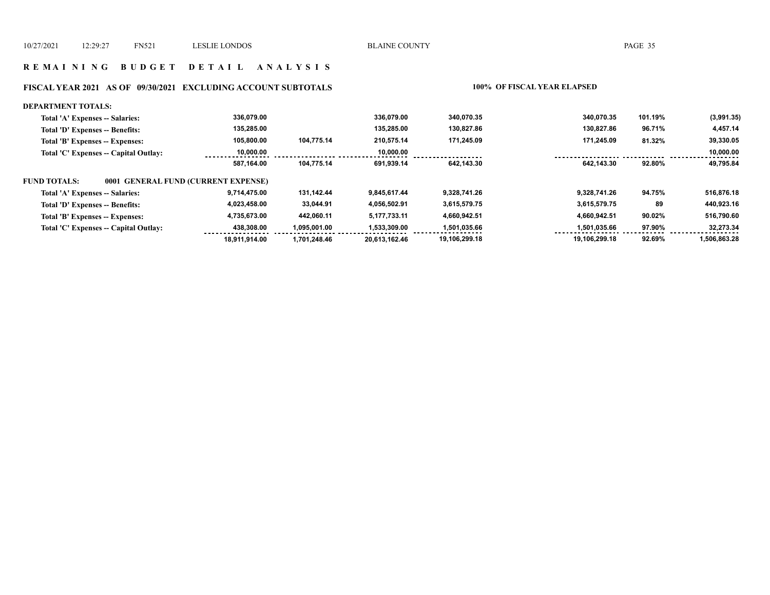#### **R E M A I N I N G B U D G E T D E T A I L A N A L Y S I S**

## **FISCAL YEAR 2021 AS OF 09/30/2021 EXCLUDING ACCOUNT SUBTOTALS 100% OF FISCAL YEAR ELAPSED**

#### **DEPARTMENT TOTALS:**

| Total 'A' Expenses -- Salaries:                     | 336.079.00    |              | 336.079.00    | 340.070.35    | 340.070.35    | 101.19% | (3,991.35)   |
|-----------------------------------------------------|---------------|--------------|---------------|---------------|---------------|---------|--------------|
| Total 'D' Expenses -- Benefits:                     | 135.285.00    |              | 135.285.00    | 130.827.86    | 130.827.86    | 96.71%  | 4,457.14     |
| Total 'B' Expenses -- Expenses:                     | 105.800.00    | 104.775.14   | 210.575.14    | 171.245.09    | 171.245.09    | 81.32%  | 39,330.05    |
| Total 'C' Expenses -- Capital Outlay:               | 10.000.00     |              | 10.000.00     |               |               |         | 10,000.00    |
|                                                     | 587.164.00    | 104.775.14   | 691.939.14    | 642.143.30    | 642.143.30    | 92.80%  | 49.795.84    |
| 0001 GENERAL FUND (CURRENT EXPENSE)<br>FUND TOTALS: |               |              |               |               |               |         |              |
| Total 'A' Expenses -- Salaries:                     | 9.714.475.00  | 131.142.44   | 9.845.617.44  | 9.328.741.26  | 9.328.741.26  | 94.75%  | 516,876.18   |
| Total 'D' Expenses -- Benefits:                     | 4,023,458.00  | 33.044.91    | 4.056.502.91  | 3.615.579.75  | 3.615.579.75  | 89      | 440.923.16   |
| Total 'B' Expenses -- Expenses:                     | 4,735,673.00  | 442,060.11   | 5.177.733.11  | 4,660,942.51  | 4.660.942.51  | 90.02%  | 516,790.60   |
| Total 'C' Expenses -- Capital Outlay:               | 438.308.00    | 1.095.001.00 | 1,533,309.00  | 1,501,035.66  | 1,501,035.66  | 97.90%  | 32,273.34    |
|                                                     | 18.911.914.00 | 1.701.248.46 | 20,613,162.46 | 19,106,299.18 | 19,106,299.18 | 92.69%  | 1,506,863.28 |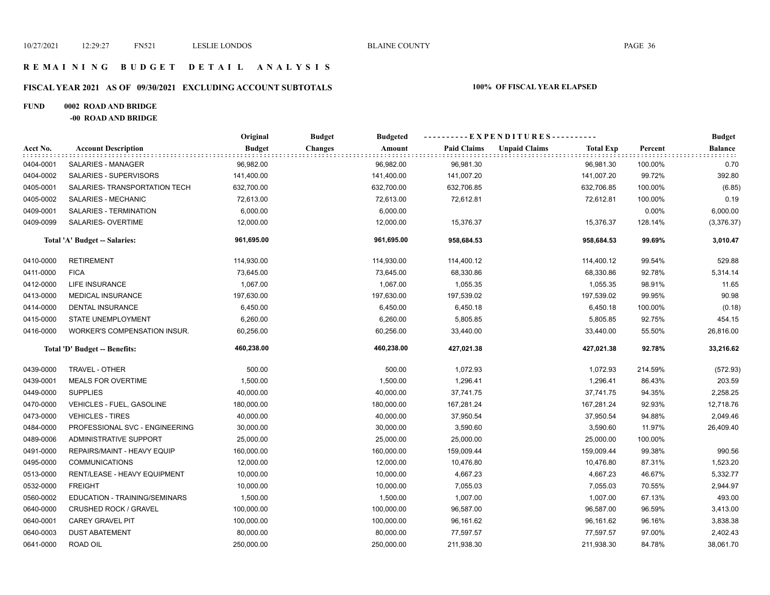#### **R E M A I N I N G B U D G E T D E T A I L A N A L Y S I S**

## **FISCAL YEAR 2021 AS OF 09/30/2021 EXCLUDING ACCOUNT SUBTOTALS 100% OF FISCAL YEAR ELAPSED**

#### **FUND 0002 ROAD AND BRIDGE**

**-00 ROAD AND BRIDGE**

|           |                                     | Original      | <b>Budget</b><br><b>Budgeted</b> |                    | - - - - - - - - - - E X P E N D I T U R E S - - - - - - - - - - - |         | <b>Budget</b>  |
|-----------|-------------------------------------|---------------|----------------------------------|--------------------|-------------------------------------------------------------------|---------|----------------|
| Acct No.  | <b>Account Description</b>          | <b>Budget</b> | Amount<br><b>Changes</b>         | <b>Paid Claims</b> | <b>Unpaid Claims</b><br><b>Total Exp</b>                          | Percent | <b>Balance</b> |
| 0404-0001 | SALARIES - MANAGER                  | 96,982.00     | 96,982.00                        | 96,981.30          | 96,981.30                                                         | 100.00% | 0.70           |
| 0404-0002 | SALARIES - SUPERVISORS              | 141,400.00    | 141,400.00                       | 141,007.20         | 141,007.20                                                        | 99.72%  | 392.80         |
| 0405-0001 | SALARIES- TRANSPORTATION TECH       | 632,700.00    | 632,700.00                       | 632,706.85         | 632,706.85                                                        | 100.00% | (6.85)         |
| 0405-0002 | SALARIES - MECHANIC                 | 72,613.00     | 72,613.00                        | 72,612.81          | 72,612.81                                                         | 100.00% | 0.19           |
| 0409-0001 | SALARIES - TERMINATION              | 6,000.00      | 6,000.00                         |                    |                                                                   | 0.00%   | 6,000.00       |
| 0409-0099 | SALARIES- OVERTIME                  | 12,000.00     | 12,000.00                        | 15,376.37          | 15,376.37                                                         | 128.14% | (3,376.37)     |
|           | Total 'A' Budget -- Salaries:       | 961,695.00    | 961,695.00                       | 958,684.53         | 958,684.53                                                        | 99.69%  | 3,010.47       |
| 0410-0000 | <b>RETIREMENT</b>                   | 114,930.00    | 114,930.00                       | 114,400.12         | 114,400.12                                                        | 99.54%  | 529.88         |
| 0411-0000 | <b>FICA</b>                         | 73,645.00     | 73,645.00                        | 68,330.86          | 68,330.86                                                         | 92.78%  | 5,314.14       |
| 0412-0000 | LIFE INSURANCE                      | 1,067.00      | 1,067.00                         | 1,055.35           | 1,055.35                                                          | 98.91%  | 11.65          |
| 0413-0000 | MEDICAL INSURANCE                   | 197,630.00    | 197,630.00                       | 197,539.02         | 197,539.02                                                        | 99.95%  | 90.98          |
| 0414-0000 | DENTAL INSURANCE                    | 6,450.00      | 6,450.00                         | 6,450.18           | 6,450.18                                                          | 100.00% | (0.18)         |
| 0415-0000 | STATE UNEMPLOYMENT                  | 6,260.00      | 6,260.00                         | 5,805.85           | 5,805.85                                                          | 92.75%  | 454.15         |
| 0416-0000 | <b>WORKER'S COMPENSATION INSUR.</b> | 60,256.00     | 60,256.00                        | 33,440.00          | 33,440.00                                                         | 55.50%  | 26,816.00      |
|           | Total 'D' Budget -- Benefits:       | 460,238.00    | 460,238.00                       | 427,021.38         | 427,021.38                                                        | 92.78%  | 33,216.62      |
| 0439-0000 | TRAVEL - OTHER                      | 500.00        | 500.00                           | 1,072.93           | 1,072.93                                                          | 214.59% | (572.93)       |
| 0439-0001 | <b>MEALS FOR OVERTIME</b>           | 1,500.00      | 1,500.00                         | 1,296.41           | 1,296.41                                                          | 86.43%  | 203.59         |
| 0449-0000 | <b>SUPPLIES</b>                     | 40,000.00     | 40,000.00                        | 37,741.75          | 37,741.75                                                         | 94.35%  | 2,258.25       |
| 0470-0000 | VEHICLES - FUEL, GASOLINE           | 180,000.00    | 180,000.00                       | 167,281.24         | 167,281.24                                                        | 92.93%  | 12,718.76      |
| 0473-0000 | <b>VEHICLES - TIRES</b>             | 40,000.00     | 40,000.00                        | 37,950.54          | 37,950.54                                                         | 94.88%  | 2,049.46       |
| 0484-0000 | PROFESSIONAL SVC - ENGINEERING      | 30,000.00     | 30,000.00                        | 3,590.60           | 3,590.60                                                          | 11.97%  | 26,409.40      |
| 0489-0006 | ADMINISTRATIVE SUPPORT              | 25,000.00     | 25,000.00                        | 25,000.00          | 25,000.00                                                         | 100.00% |                |
| 0491-0000 | REPAIRS/MAINT - HEAVY EQUIP         | 160,000.00    | 160,000.00                       | 159,009.44         | 159,009.44                                                        | 99.38%  | 990.56         |
| 0495-0000 | <b>COMMUNICATIONS</b>               | 12,000.00     | 12,000.00                        | 10,476.80          | 10,476.80                                                         | 87.31%  | 1,523.20       |
| 0513-0000 | RENT/LEASE - HEAVY EQUIPMENT        | 10,000.00     | 10,000.00                        | 4,667.23           | 4,667.23                                                          | 46.67%  | 5,332.77       |
| 0532-0000 | <b>FREIGHT</b>                      | 10,000.00     | 10,000.00                        | 7,055.03           | 7,055.03                                                          | 70.55%  | 2,944.97       |
| 0560-0002 | EDUCATION - TRAINING/SEMINARS       | 1,500.00      | 1,500.00                         | 1,007.00           | 1,007.00                                                          | 67.13%  | 493.00         |
| 0640-0000 | <b>CRUSHED ROCK / GRAVEL</b>        | 100,000.00    | 100,000.00                       | 96,587.00          | 96,587.00                                                         | 96.59%  | 3,413.00       |
| 0640-0001 | CAREY GRAVEL PIT                    | 100,000.00    | 100,000.00                       | 96,161.62          | 96,161.62                                                         | 96.16%  | 3,838.38       |
| 0640-0003 | <b>DUST ABATEMENT</b>               | 80,000.00     | 80,000.00                        | 77,597.57          | 77,597.57                                                         | 97.00%  | 2,402.43       |
| 0641-0000 | ROAD OIL                            | 250,000.00    | 250,000.00                       | 211,938.30         | 211,938.30                                                        | 84.78%  | 38,061.70      |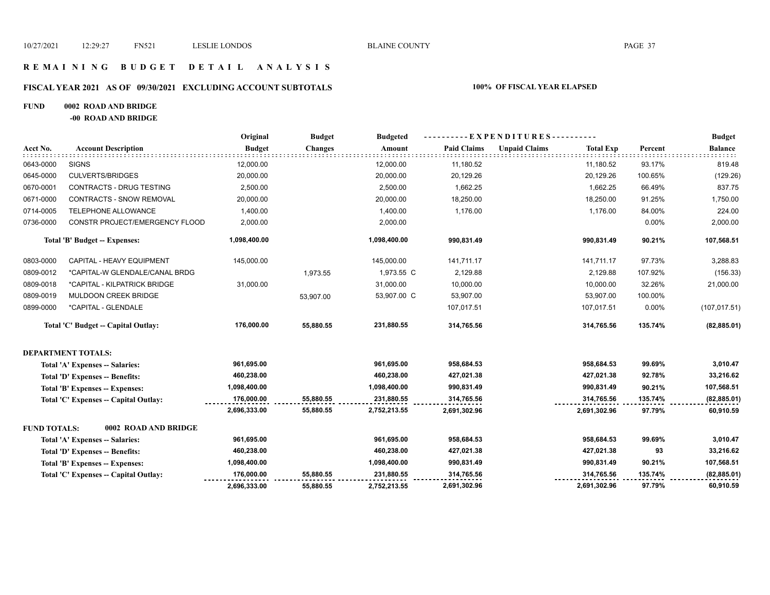# **R E M A I N I N G B U D G E T D E T A I L A N A L Y S I S**

#### **FISCAL YEAR 2021 AS OF 09/30/2021 EXCLUDING ACCOUNT SUBTOTALS 100% OF FISCAL YEAR ELAPSED**

#### **FUND 0002 ROAD AND BRIDGE**

**-00 ROAD AND BRIDGE**

|                     |                                       | Original      | <b>Budget</b>  | <b>Budgeted</b> |                    | ----------EXPENDITURES---------- |                  |         |                |
|---------------------|---------------------------------------|---------------|----------------|-----------------|--------------------|----------------------------------|------------------|---------|----------------|
| Acct No.            | <b>Account Description</b>            | <b>Budget</b> | <b>Changes</b> | Amount          | <b>Paid Claims</b> | <b>Unpaid Claims</b>             | <b>Total Exp</b> | Percent | <b>Balance</b> |
| 0643-0000           | <b>SIGNS</b>                          | 12,000.00     |                | 12,000.00       | 11,180.52          |                                  | 11,180.52        | 93.17%  | 819.48         |
| 0645-0000           | <b>CULVERTS/BRIDGES</b>               | 20,000.00     |                | 20,000.00       | 20,129.26          |                                  | 20,129.26        | 100.65% | (129.26)       |
| 0670-0001           | CONTRACTS - DRUG TESTING              | 2,500.00      |                | 2,500.00        | 1,662.25           |                                  | 1,662.25         | 66.49%  | 837.75         |
| 0671-0000           | <b>CONTRACTS - SNOW REMOVAL</b>       | 20,000.00     |                | 20,000.00       | 18,250.00          |                                  | 18,250.00        | 91.25%  | 1,750.00       |
| 0714-0005           | TELEPHONE ALLOWANCE                   | 1,400.00      |                | 1,400.00        | 1,176.00           |                                  | 1,176.00         | 84.00%  | 224.00         |
| 0736-0000           | CONSTR PROJECT/EMERGENCY FLOOD        | 2,000.00      |                | 2,000.00        |                    |                                  |                  | 0.00%   | 2,000.00       |
|                     | Total 'B' Budget -- Expenses:         | 1,098,400.00  |                | 1,098,400.00    | 990,831.49         |                                  | 990,831.49       | 90.21%  | 107,568.51     |
| 0803-0000           | CAPITAL - HEAVY EQUIPMENT             | 145,000.00    |                | 145,000.00      | 141,711.17         |                                  | 141,711.17       | 97.73%  | 3,288.83       |
| 0809-0012           | *CAPITAL-W GLENDALE/CANAL BRDG        |               | 1,973.55       | 1,973.55 C      | 2,129.88           |                                  | 2,129.88         | 107.92% | (156.33)       |
| 0809-0018           | *CAPITAL - KILPATRICK BRIDGE          | 31,000.00     |                | 31,000.00       | 10,000.00          |                                  | 10,000.00        | 32.26%  | 21,000.00      |
| 0809-0019           | MULDOON CREEK BRIDGE                  |               | 53,907.00      | 53,907.00 C     | 53,907.00          |                                  | 53,907.00        | 100.00% |                |
| 0899-0000           | *CAPITAL - GLENDALE                   |               |                |                 | 107,017.51         |                                  | 107,017.51       | 0.00%   | (107, 017.51)  |
|                     | Total 'C' Budget -- Capital Outlay:   | 176,000.00    | 55,880.55      | 231,880.55      | 314,765.56         |                                  | 314,765.56       | 135.74% | (82, 885.01)   |
|                     | <b>DEPARTMENT TOTALS:</b>             |               |                |                 |                    |                                  |                  |         |                |
|                     | Total 'A' Expenses -- Salaries:       | 961,695.00    |                | 961,695.00      | 958,684.53         |                                  | 958,684.53       | 99.69%  | 3,010.47       |
|                     | Total 'D' Expenses -- Benefits:       | 460,238.00    |                | 460,238.00      | 427,021.38         |                                  | 427,021.38       | 92.78%  | 33,216.62      |
|                     | Total 'B' Expenses -- Expenses:       | 1,098,400.00  |                | 1,098,400.00    | 990,831.49         |                                  | 990,831.49       | 90.21%  | 107,568.51     |
|                     | Total 'C' Expenses -- Capital Outlay: | 176,000.00    | 55,880.55      | 231,880.55      | 314,765.56         |                                  | 314,765.56       | 135.74% | (82, 885.01)   |
|                     |                                       | 2,696,333.00  | 55,880.55      | 2,752,213.55    | 2,691,302.96       |                                  | 2,691,302.96     | 97.79%  | 60,910.59      |
| <b>FUND TOTALS:</b> | 0002 ROAD AND BRIDGE                  |               |                |                 |                    |                                  |                  |         |                |
|                     | Total 'A' Expenses -- Salaries:       | 961,695.00    |                | 961,695.00      | 958,684.53         |                                  | 958,684.53       | 99.69%  | 3,010.47       |
|                     | Total 'D' Expenses -- Benefits:       | 460,238.00    |                | 460,238.00      | 427,021.38         |                                  | 427,021.38       | 93      | 33,216.62      |
|                     | Total 'B' Expenses -- Expenses:       | 1,098,400.00  |                | 1,098,400.00    | 990,831.49         |                                  | 990,831.49       | 90.21%  | 107,568.51     |
|                     | Total 'C' Expenses -- Capital Outlay: | 176,000.00    | 55,880.55      | 231,880.55      | 314,765.56         |                                  | 314,765.56       | 135.74% | (82, 885.01)   |
|                     |                                       | 2,696,333.00  | 55,880.55      | 2,752,213.55    | 2,691,302.96       |                                  | 2,691,302.96     | 97.79%  | 60,910.59      |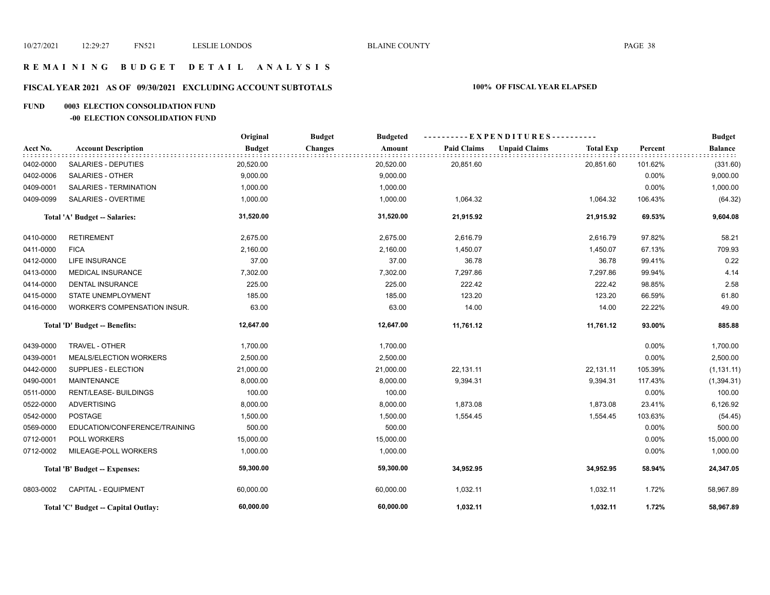#### **R E M A I N I N G B U D G E T D E T A I L A N A L Y S I S**

## **FISCAL YEAR 2021 AS OF 09/30/2021 EXCLUDING ACCOUNT SUBTOTALS 100% OF FISCAL YEAR ELAPSED**

#### **FUND 0003 ELECTION CONSOLIDATION FUND**

#### **-00 ELECTION CONSOLIDATION FUND**

|           |                                     | Original      | <b>Budget</b><br><b>Budgeted</b> |                    | ----------EXPENDITURES----------         |          | <b>Budget</b>  |
|-----------|-------------------------------------|---------------|----------------------------------|--------------------|------------------------------------------|----------|----------------|
| Acct No.  | <b>Account Description</b>          | <b>Budget</b> | <b>Changes</b><br>Amount         | <b>Paid Claims</b> | <b>Unpaid Claims</b><br><b>Total Exp</b> | Percent  | <b>Balance</b> |
| 0402-0000 | <b>SALARIES - DEPUTIES</b>          | 20,520.00     | 20,520.00                        | 20,851.60          | 20,851.60                                | 101.62%  | (331.60)       |
| 0402-0006 | <b>SALARIES - OTHER</b>             | 9,000.00      | 9,000.00                         |                    |                                          | $0.00\%$ | 9,000.00       |
| 0409-0001 | SALARIES - TERMINATION              | 1,000.00      | 1,000.00                         |                    |                                          | 0.00%    | 1,000.00       |
| 0409-0099 | <b>SALARIES - OVERTIME</b>          | 1,000.00      | 1,000.00                         | 1,064.32           | 1,064.32                                 | 106.43%  | (64.32)        |
|           | Total 'A' Budget -- Salaries:       | 31,520.00     | 31,520.00                        | 21,915.92          | 21,915.92                                | 69.53%   | 9,604.08       |
| 0410-0000 | <b>RETIREMENT</b>                   | 2,675.00      | 2,675.00                         | 2,616.79           | 2,616.79                                 | 97.82%   | 58.21          |
| 0411-0000 | <b>FICA</b>                         | 2,160.00      | 2,160.00                         | 1,450.07           | 1,450.07                                 | 67.13%   | 709.93         |
| 0412-0000 | LIFE INSURANCE                      | 37.00         | 37.00                            | 36.78              | 36.78                                    | 99.41%   | 0.22           |
| 0413-0000 | <b>MEDICAL INSURANCE</b>            | 7,302.00      | 7,302.00                         | 7,297.86           | 7,297.86                                 | 99.94%   | 4.14           |
| 0414-0000 | <b>DENTAL INSURANCE</b>             | 225.00        | 225.00                           | 222.42             | 222.42                                   | 98.85%   | 2.58           |
| 0415-0000 | STATE UNEMPLOYMENT                  | 185.00        | 185.00                           | 123.20             | 123.20                                   | 66.59%   | 61.80          |
| 0416-0000 | WORKER'S COMPENSATION INSUR.        | 63.00         | 63.00                            | 14.00              | 14.00                                    | 22.22%   | 49.00          |
|           | Total 'D' Budget -- Benefits:       | 12,647.00     | 12,647.00                        | 11,761.12          | 11,761.12                                | 93.00%   | 885.88         |
| 0439-0000 | TRAVEL - OTHER                      | 1,700.00      | 1,700.00                         |                    |                                          | 0.00%    | 1,700.00       |
| 0439-0001 | MEALS/ELECTION WORKERS              | 2,500.00      | 2,500.00                         |                    |                                          | 0.00%    | 2,500.00       |
| 0442-0000 | SUPPLIES - ELECTION                 | 21,000.00     | 21,000.00                        | 22,131.11          | 22,131.11                                | 105.39%  | (1, 131.11)    |
| 0490-0001 | <b>MAINTENANCE</b>                  | 8,000.00      | 8,000.00                         | 9,394.31           | 9,394.31                                 | 117.43%  | (1,394.31)     |
| 0511-0000 | <b>RENT/LEASE- BUILDINGS</b>        | 100.00        | 100.00                           |                    |                                          | 0.00%    | 100.00         |
| 0522-0000 | <b>ADVERTISING</b>                  | 8,000.00      | 8,000.00                         | 1,873.08           | 1,873.08                                 | 23.41%   | 6,126.92       |
| 0542-0000 | <b>POSTAGE</b>                      | 1,500.00      | 1,500.00                         | 1,554.45           | 1,554.45                                 | 103.63%  | (54.45)        |
| 0569-0000 | EDUCATION/CONFERENCE/TRAINING       | 500.00        | 500.00                           |                    |                                          | 0.00%    | 500.00         |
| 0712-0001 | <b>POLL WORKERS</b>                 | 15,000.00     | 15,000.00                        |                    |                                          | 0.00%    | 15,000.00      |
| 0712-0002 | MILEAGE-POLL WORKERS                | 1,000.00      | 1,000.00                         |                    |                                          | 0.00%    | 1,000.00       |
|           | Total 'B' Budget -- Expenses:       | 59,300.00     | 59,300.00                        | 34,952.95          | 34,952.95                                | 58.94%   | 24,347.05      |
| 0803-0002 | <b>CAPITAL - EQUIPMENT</b>          | 60,000.00     | 60,000.00                        | 1,032.11           | 1,032.11                                 | 1.72%    | 58,967.89      |
|           | Total 'C' Budget -- Capital Outlay: | 60,000.00     | 60,000.00                        | 1,032.11           | 1,032.11                                 | 1.72%    | 58,967.89      |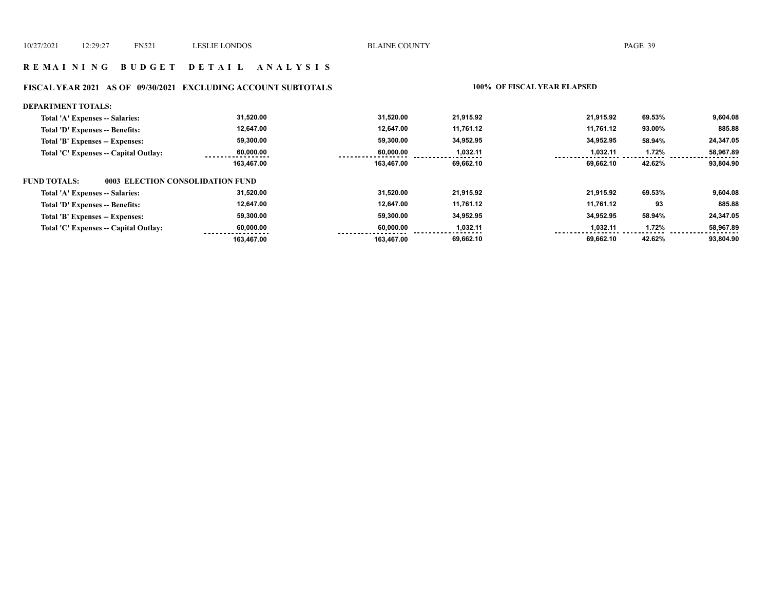#### **R E M A I N I N G B U D G E T D E T A I L A N A L Y S I S**

## **FISCAL YEAR 2021 AS OF 09/30/2021 EXCLUDING ACCOUNT SUBTOTALS 100% OF FISCAL YEAR ELAPSED**

| <b>DEPARTMENT TOTALS:</b>                               |            |            |           |           |        |           |
|---------------------------------------------------------|------------|------------|-----------|-----------|--------|-----------|
| Total 'A' Expenses -- Salaries:                         | 31,520.00  | 31.520.00  | 21.915.92 | 21.915.92 | 69.53% | 9,604.08  |
| Total 'D' Expenses -- Benefits:                         | 12,647.00  | 12.647.00  | 11.761.12 | 11.761.12 | 93.00% | 885.88    |
| Total 'B' Expenses -- Expenses:                         | 59,300.00  | 59,300.00  | 34,952.95 | 34,952.95 | 58.94% | 24,347.05 |
| Total 'C' Expenses -- Capital Outlay:                   | 60,000.00  | 60.000.00  | 1,032.11  | 1,032.11  | 1.72%  | 58,967.89 |
|                                                         | 163,467.00 | 163.467.00 | 69.662.10 | 69.662.10 | 42.62% | 93.804.90 |
| <b>FUND TOTALS:</b><br>0003 ELECTION CONSOLIDATION FUND |            |            |           |           |        |           |
| Total 'A' Expenses -- Salaries:                         | 31,520.00  | 31.520.00  | 21.915.92 | 21.915.92 | 69.53% | 9,604.08  |
| Total 'D' Expenses -- Benefits:                         | 12,647.00  | 12.647.00  | 11,761.12 | 11,761.12 | 93     | 885.88    |
| Total 'B' Expenses -- Expenses:                         | 59,300.00  | 59.300.00  | 34.952.95 | 34.952.95 | 58.94% | 24,347.05 |
| Total 'C' Expenses -- Capital Outlay:                   | 60,000.00  | 60.000.00  | 1,032.11  | 1,032.11  | 1.72%  | 58,967.89 |
|                                                         | 163,467.00 | 163.467.00 | 69,662.10 | 69.662.10 | 42.62% | 93,804.90 |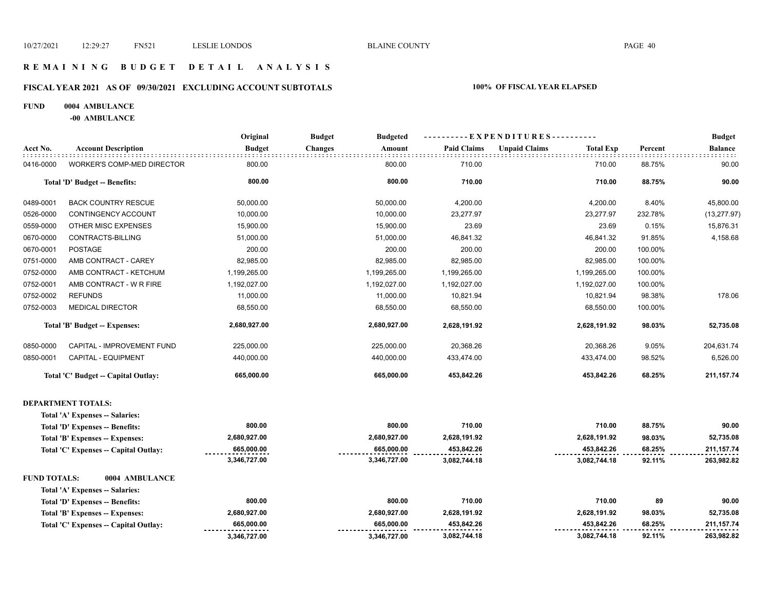#### **R E M A I N I N G B U D G E T D E T A I L A N A L Y S I S**

## **FISCAL YEAR 2021 AS OF 09/30/2021 EXCLUDING ACCOUNT SUBTOTALS 100% OF FISCAL YEAR ELAPSED**

#### **FUND 0004 AMBULANCE**

**-00 AMBULANCE**

|                     |                                      | Original      | <b>Budget</b><br><b>Budgeted</b> |                    | ---- EXPENDITURES----------              |         | <b>Budget</b>  |
|---------------------|--------------------------------------|---------------|----------------------------------|--------------------|------------------------------------------|---------|----------------|
| Acct No.            | <b>Account Description</b>           | <b>Budget</b> | <b>Changes</b><br>Amount         | <b>Paid Claims</b> | <b>Unpaid Claims</b><br><b>Total Exp</b> | Percent | <b>Balance</b> |
| 0416-0000           | <b>WORKER'S COMP-MED DIRECTOR</b>    | 800.00        | 800.00                           | 710.00             | 710.00                                   | 88.75%  | 90.00          |
|                     | Total 'D' Budget -- Benefits:        | 800.00        | 800.00                           | 710.00             | 710.00                                   | 88.75%  | 90.00          |
| 0489-0001           | <b>BACK COUNTRY RESCUE</b>           | 50,000.00     | 50,000.00                        | 4,200.00           | 4,200.00                                 | 8.40%   | 45,800.00      |
| 0526-0000           | CONTINGENCY ACCOUNT                  | 10,000.00     | 10,000.00                        | 23,277.97          | 23,277.97                                | 232.78% | (13, 277.97)   |
| 0559-0000           | OTHER MISC EXPENSES                  | 15,900.00     | 15,900.00                        | 23.69              | 23.69                                    | 0.15%   | 15,876.31      |
| 0670-0000           | CONTRACTS-BILLING                    | 51,000.00     | 51,000.00                        | 46,841.32          | 46,841.32                                | 91.85%  | 4,158.68       |
| 0670-0001           | <b>POSTAGE</b>                       | 200.00        | 200.00                           | 200.00             | 200.00                                   | 100.00% |                |
| 0751-0000           | AMB CONTRACT - CAREY                 | 82,985.00     | 82,985.00                        | 82,985.00          | 82,985.00                                | 100.00% |                |
| 0752-0000           | AMB CONTRACT - KETCHUM               | 1,199,265.00  | 1,199,265.00                     | 1,199,265.00       | 1,199,265.00                             | 100.00% |                |
| 0752-0001           | AMB CONTRACT - W R FIRE              | 1,192,027.00  | 1,192,027.00                     | 1,192,027.00       | 1,192,027.00                             | 100.00% |                |
| 0752-0002           | <b>REFUNDS</b>                       | 11,000.00     | 11,000.00                        | 10,821.94          | 10,821.94                                | 98.38%  | 178.06         |
| 0752-0003           | <b>MEDICAL DIRECTOR</b>              | 68,550.00     | 68,550.00                        | 68,550.00          | 68,550.00                                | 100.00% |                |
|                     | <b>Total 'B' Budget -- Expenses:</b> | 2,680,927.00  | 2,680,927.00                     | 2,628,191.92       | 2,628,191.92                             | 98.03%  | 52,735.08      |
| 0850-0000           | CAPITAL - IMPROVEMENT FUND           | 225,000.00    | 225,000.00                       | 20,368.26          | 20,368.26                                | 9.05%   | 204,631.74     |
| 0850-0001           | CAPITAL - EQUIPMENT                  | 440,000.00    | 440,000.00                       | 433,474.00         | 433,474.00                               | 98.52%  | 6,526.00       |
|                     | Total 'C' Budget -- Capital Outlay:  | 665,000.00    | 665,000.00                       | 453,842.26         | 453,842.26                               | 68.25%  | 211, 157. 74   |
|                     | <b>DEPARTMENT TOTALS:</b>            |               |                                  |                    |                                          |         |                |
|                     | Total 'A' Expenses -- Salaries:      |               |                                  |                    |                                          |         |                |
|                     | Total 'D' Expenses -- Benefits:      | 800.00        | 800.00                           | 710.00             | 710.00                                   | 88.75%  | 90.00          |
|                     | Total 'B' Expenses -- Expenses:      | 2,680,927.00  | 2,680,927.00                     | 2,628,191.92       | 2,628,191.92                             | 98.03%  | 52,735.08      |
|                     | Total 'C' Expenses - Capital Outlay: | 665,000.00    | 665,000.00                       | 453,842.26         | 453,842.26                               | 68.25%  | 211, 157. 74   |
|                     |                                      | 3,346,727.00  | 3,346,727.00                     | 3,082,744.18       | 3,082,744.18                             | 92.11%  | 263,982.82     |
| <b>FUND TOTALS:</b> | 0004 AMBULANCE                       |               |                                  |                    |                                          |         |                |
|                     | Total 'A' Expenses -- Salaries:      |               |                                  |                    |                                          |         |                |
|                     | Total 'D' Expenses -- Benefits:      | 800.00        | 800.00                           | 710.00             | 710.00                                   | 89      | 90.00          |
|                     | Total 'B' Expenses -- Expenses:      | 2,680,927.00  | 2,680,927.00                     | 2,628,191.92       | 2,628,191.92                             | 98.03%  | 52,735.08      |
|                     | Total 'C' Expenses - Capital Outlay: | 665,000.00    | 665,000.00                       | 453,842.26         | 453,842.26                               | 68.25%  | 211, 157. 74   |
|                     |                                      | 3,346,727.00  | 3,346,727.00                     | 3,082,744.18       | 3,082,744.18                             | 92.11%  | 263,982.82     |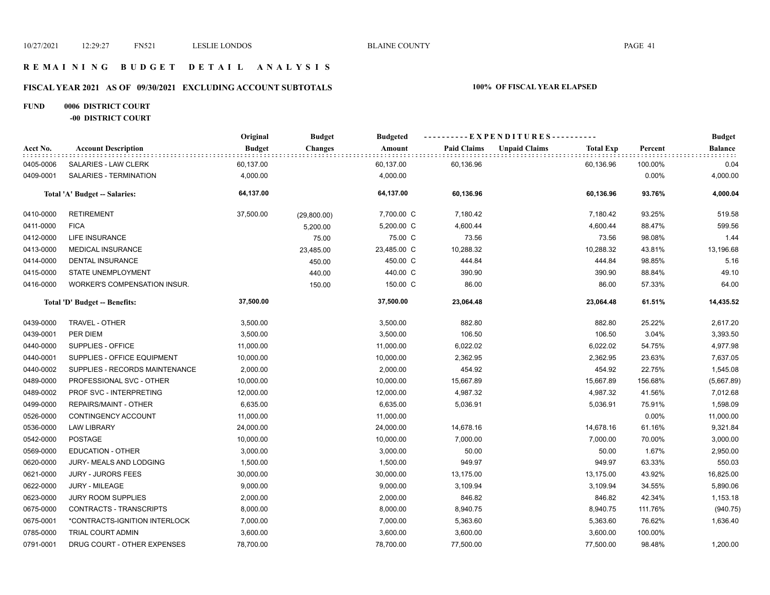#### **R E M A I N I N G B U D G E T D E T A I L A N A L Y S I S**

## **FISCAL YEAR 2021 AS OF 09/30/2021 EXCLUDING ACCOUNT SUBTOTALS 100% OF FISCAL YEAR ELAPSED**

#### **FUND 0006 DISTRICT COURT -00 DISTRICT COURT**

|           |                                | Original      | <b>Budget</b>  | <b>Budgeted</b> |                    | ----------EXPENDITURES---------- |                  |         | <b>Budget</b><br><b>Balance</b><br>did didi<br>0.04<br>4,000.00<br>4,000.04<br>519.58<br>599.56<br>1.44<br>13,196.68<br>5.16<br>49.10<br>64.00<br>14,435.52 |
|-----------|--------------------------------|---------------|----------------|-----------------|--------------------|----------------------------------|------------------|---------|-------------------------------------------------------------------------------------------------------------------------------------------------------------|
| Acct No.  | <b>Account Description</b>     | <b>Budget</b> | <b>Changes</b> | Amount          | <b>Paid Claims</b> | <b>Unpaid Claims</b>             | <b>Total Exp</b> | Percent |                                                                                                                                                             |
| 0405-0006 | SALARIES - LAW CLERK           | 60,137.00     |                | 60,137.00       | 60,136.96          |                                  | 60,136.96        | 100.00% |                                                                                                                                                             |
| 0409-0001 | SALARIES - TERMINATION         | 4,000.00      |                | 4,000.00        |                    |                                  |                  | 0.00%   |                                                                                                                                                             |
|           | Total 'A' Budget -- Salaries:  | 64,137.00     |                | 64,137.00       | 60,136.96          |                                  | 60,136.96        | 93.76%  |                                                                                                                                                             |
| 0410-0000 | <b>RETIREMENT</b>              | 37,500.00     | (29,800.00)    | 7,700.00 C      | 7,180.42           |                                  | 7,180.42         | 93.25%  |                                                                                                                                                             |
| 0411-0000 | <b>FICA</b>                    |               | 5,200.00       | 5,200.00 C      | 4,600.44           |                                  | 4,600.44         | 88.47%  |                                                                                                                                                             |
| 0412-0000 | LIFE INSURANCE                 |               | 75.00          | 75.00 C         | 73.56              |                                  | 73.56            | 98.08%  |                                                                                                                                                             |
| 0413-0000 | <b>MEDICAL INSURANCE</b>       |               | 23,485.00      | 23,485.00 C     | 10,288.32          |                                  | 10,288.32        | 43.81%  |                                                                                                                                                             |
| 0414-0000 | <b>DENTAL INSURANCE</b>        |               | 450.00         | 450.00 C        | 444.84             |                                  | 444.84           | 98.85%  |                                                                                                                                                             |
| 0415-0000 | STATE UNEMPLOYMENT             |               | 440.00         | 440.00 C        | 390.90             |                                  | 390.90           | 88.84%  |                                                                                                                                                             |
| 0416-0000 | WORKER'S COMPENSATION INSUR.   |               | 150.00         | 150.00 C        | 86.00              |                                  | 86.00            | 57.33%  |                                                                                                                                                             |
|           | Total 'D' Budget -- Benefits:  | 37,500.00     |                | 37,500.00       | 23,064.48          |                                  | 23,064.48        | 61.51%  |                                                                                                                                                             |
| 0439-0000 | TRAVEL - OTHER                 | 3,500.00      |                | 3,500.00        | 882.80             |                                  | 882.80           | 25.22%  | 2,617.20                                                                                                                                                    |
| 0439-0001 | PER DIEM                       | 3,500.00      |                | 3,500.00        | 106.50             |                                  | 106.50           | 3.04%   | 3,393.50                                                                                                                                                    |
| 0440-0000 | SUPPLIES - OFFICE              | 11,000.00     |                | 11,000.00       | 6,022.02           |                                  | 6,022.02         | 54.75%  | 4,977.98                                                                                                                                                    |
| 0440-0001 | SUPPLIES - OFFICE EQUIPMENT    | 10,000.00     |                | 10,000.00       | 2,362.95           |                                  | 2,362.95         | 23.63%  | 7,637.05                                                                                                                                                    |
| 0440-0002 | SUPPLIES - RECORDS MAINTENANCE | 2,000.00      |                | 2,000.00        | 454.92             |                                  | 454.92           | 22.75%  | 1,545.08                                                                                                                                                    |
| 0489-0000 | PROFESSIONAL SVC - OTHER       | 10,000.00     |                | 10,000.00       | 15,667.89          |                                  | 15,667.89        | 156.68% | (5,667.89)                                                                                                                                                  |
| 0489-0002 | PROF SVC - INTERPRETING        | 12,000.00     |                | 12,000.00       | 4,987.32           |                                  | 4,987.32         | 41.56%  | 7,012.68                                                                                                                                                    |
| 0499-0000 | REPAIRS/MAINT - OTHER          | 6,635.00      |                | 6,635.00        | 5,036.91           |                                  | 5,036.91         | 75.91%  | 1,598.09                                                                                                                                                    |
| 0526-0000 | CONTINGENCY ACCOUNT            | 11,000.00     |                | 11,000.00       |                    |                                  |                  | 0.00%   | 11,000.00                                                                                                                                                   |
| 0536-0000 | <b>LAW LIBRARY</b>             | 24,000.00     |                | 24,000.00       | 14,678.16          |                                  | 14,678.16        | 61.16%  | 9,321.84                                                                                                                                                    |
| 0542-0000 | <b>POSTAGE</b>                 | 10,000.00     |                | 10,000.00       | 7,000.00           |                                  | 7,000.00         | 70.00%  | 3,000.00                                                                                                                                                    |
| 0569-0000 | <b>EDUCATION - OTHER</b>       | 3,000.00      |                | 3,000.00        | 50.00              |                                  | 50.00            | 1.67%   | 2,950.00                                                                                                                                                    |
| 0620-0000 | JURY- MEALS AND LODGING        | 1,500.00      |                | 1,500.00        | 949.97             |                                  | 949.97           | 63.33%  | 550.03                                                                                                                                                      |
| 0621-0000 | <b>JURY - JURORS FEES</b>      | 30,000.00     |                | 30,000.00       | 13,175.00          |                                  | 13,175.00        | 43.92%  | 16,825.00                                                                                                                                                   |
| 0622-0000 | <b>JURY - MILEAGE</b>          | 9,000.00      |                | 9,000.00        | 3,109.94           |                                  | 3,109.94         | 34.55%  | 5,890.06                                                                                                                                                    |
| 0623-0000 | <b>JURY ROOM SUPPLIES</b>      | 2,000.00      |                | 2,000.00        | 846.82             |                                  | 846.82           | 42.34%  | 1,153.18                                                                                                                                                    |
| 0675-0000 | CONTRACTS - TRANSCRIPTS        | 8,000.00      |                | 8,000.00        | 8,940.75           |                                  | 8,940.75         | 111.76% | (940.75)                                                                                                                                                    |
| 0675-0001 | *CONTRACTS-IGNITION INTERLOCK  | 7,000.00      |                | 7,000.00        | 5,363.60           |                                  | 5,363.60         | 76.62%  | 1,636.40                                                                                                                                                    |
| 0785-0000 | TRIAL COURT ADMIN              | 3,600.00      |                | 3,600.00        | 3,600.00           |                                  | 3,600.00         | 100.00% |                                                                                                                                                             |
| 0791-0001 | DRUG COURT - OTHER EXPENSES    | 78,700.00     |                | 78,700.00       | 77,500.00          |                                  | 77,500.00        | 98.48%  | 1,200.00                                                                                                                                                    |
|           |                                |               |                |                 |                    |                                  |                  |         |                                                                                                                                                             |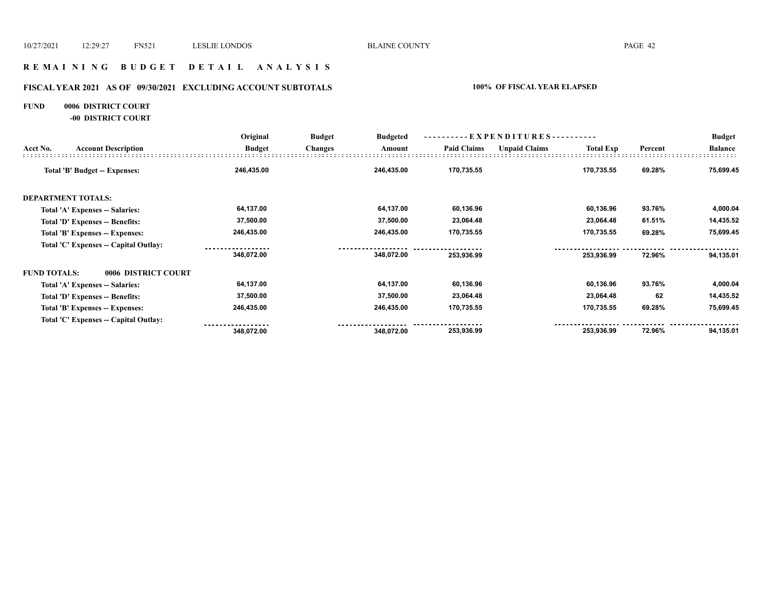#### **R E M A I N I N G B U D G E T D E T A I L A N A L Y S I S**

## **FISCAL YEAR 2021 AS OF 09/30/2021 EXCLUDING ACCOUNT SUBTOTALS 100% OF FISCAL YEAR ELAPSED**

#### **FUND 0006 DISTRICT COURT**

**-00 DISTRICT COURT**

|                     |                                       | Original      | <b>Budget</b>  | <b>Budgeted</b> |                    | ----------EXPENDITURES---------- |                  |         | <b>Budget</b>  |
|---------------------|---------------------------------------|---------------|----------------|-----------------|--------------------|----------------------------------|------------------|---------|----------------|
| Acct No.            | <b>Account Description</b>            | <b>Budget</b> | <b>Changes</b> | Amount          | <b>Paid Claims</b> | <b>Unpaid Claims</b>             | <b>Total Exp</b> | Percent | <b>Balance</b> |
|                     | Total 'B' Budget -- Expenses:         | 246,435.00    |                | 246,435.00      | 170,735.55         |                                  | 170,735.55       | 69.28%  | 75,699.45      |
|                     | <b>DEPARTMENT TOTALS:</b>             |               |                |                 |                    |                                  |                  |         |                |
|                     | Total 'A' Expenses -- Salaries:       | 64,137.00     |                | 64,137.00       | 60,136.96          |                                  | 60,136.96        | 93.76%  | 4,000.04       |
|                     | Total 'D' Expenses -- Benefits:       | 37,500.00     |                | 37,500.00       | 23,064.48          |                                  | 23,064.48        | 61.51%  | 14,435.52      |
|                     | Total 'B' Expenses -- Expenses:       | 246,435.00    |                | 246,435.00      | 170,735.55         |                                  | 170,735.55       | 69.28%  | 75,699.45      |
|                     | Total 'C' Expenses -- Capital Outlay: |               |                |                 |                    |                                  |                  |         |                |
|                     |                                       | 348,072.00    |                | 348,072.00      | 253,936.99         |                                  | 253,936.99       | 72.96%  | 94,135.01      |
| <b>FUND TOTALS:</b> | 0006 DISTRICT COURT                   |               |                |                 |                    |                                  |                  |         |                |
|                     | Total 'A' Expenses -- Salaries:       | 64,137.00     |                | 64,137.00       | 60,136.96          |                                  | 60,136.96        | 93.76%  | 4,000.04       |
|                     | Total 'D' Expenses -- Benefits:       | 37,500.00     |                | 37,500.00       | 23,064.48          |                                  | 23,064.48        | 62      | 14,435.52      |
|                     | Total 'B' Expenses -- Expenses:       | 246,435.00    |                | 246,435.00      | 170,735.55         |                                  | 170,735.55       | 69.28%  | 75,699.45      |
|                     | Total 'C' Expenses -- Capital Outlay: |               |                |                 |                    |                                  |                  |         |                |
|                     |                                       | 348,072.00    |                | 348,072.00      | 253,936.99         |                                  | 253,936.99       | 72.96%  | 94,135.01      |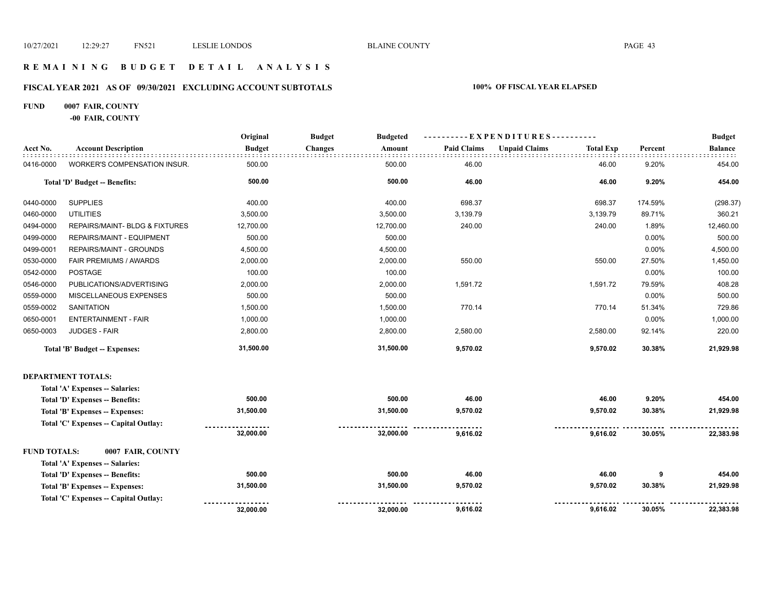**9,616.02 9,616.02 30.05% 22,383.98** 

#### **R E M A I N I N G B U D G E T D E T A I L A N A L Y S I S**

#### **FISCAL YEAR 2021 AS OF 09/30/2021 EXCLUDING ACCOUNT SUBTOTALS 100% OF FISCAL YEAR ELAPSED**

#### **FUND 0007 FAIR, COUNTY**

**-00 FAIR, COUNTY**

**Total 'C' Expenses -- Capital Outlay:**

|                     |                                      | Original      | <b>Budget</b><br><b>Budgeted</b> | --EXPENDITURES---------- |                      |                  |         |                |
|---------------------|--------------------------------------|---------------|----------------------------------|--------------------------|----------------------|------------------|---------|----------------|
| Acct No.            | <b>Account Description</b>           | <b>Budget</b> | <b>Changes</b><br>Amount         | <b>Paid Claims</b>       | <b>Unpaid Claims</b> | <b>Total Exp</b> | Percent | <b>Balance</b> |
| 0416-0000           | WORKER'S COMPENSATION INSUR.         | 500.00        | 500.00                           | 46.00                    |                      | 46.00            | 9.20%   | 454.00         |
|                     | Total 'D' Budget -- Benefits:        | 500.00        | 500.00                           | 46.00                    |                      | 46.00            | 9.20%   | 454.00         |
| 0440-0000           | <b>SUPPLIES</b>                      | 400.00        | 400.00                           | 698.37                   |                      | 698.37           | 174.59% | (298.37)       |
| 0460-0000           | <b>UTILITIES</b>                     | 3,500.00      | 3,500.00                         | 3,139.79                 |                      | 3,139.79         | 89.71%  | 360.21         |
| 0494-0000           | REPAIRS/MAINT- BLDG & FIXTURES       | 12,700.00     | 12,700.00                        | 240.00                   |                      | 240.00           | 1.89%   | 12,460.00      |
| 0499-0000           | REPAIRS/MAINT - EQUIPMENT            | 500.00        | 500.00                           |                          |                      |                  | 0.00%   | 500.00         |
| 0499-0001           | REPAIRS/MAINT - GROUNDS              | 4,500.00      | 4,500.00                         |                          |                      |                  | 0.00%   | 4,500.00       |
| 0530-0000           | FAIR PREMIUMS / AWARDS               | 2,000.00      | 2,000.00                         | 550.00                   |                      | 550.00           | 27.50%  | 1,450.00       |
| 0542-0000           | <b>POSTAGE</b>                       | 100.00        | 100.00                           |                          |                      |                  | 0.00%   | 100.00         |
| 0546-0000           | PUBLICATIONS/ADVERTISING             | 2,000.00      | 2,000.00                         | 1,591.72                 |                      | 1,591.72         | 79.59%  | 408.28         |
| 0559-0000           | MISCELLANEOUS EXPENSES               | 500.00        | 500.00                           |                          |                      |                  | 0.00%   | 500.00         |
| 0559-0002           | <b>SANITATION</b>                    | 1,500.00      | 1,500.00                         | 770.14                   |                      | 770.14           | 51.34%  | 729.86         |
| 0650-0001           | <b>ENTERTAINMENT - FAIR</b>          | 1,000.00      | 1,000.00                         |                          |                      |                  | 0.00%   | 1,000.00       |
| 0650-0003           | JUDGES - FAIR                        | 2,800.00      | 2,800.00                         | 2,580.00                 |                      | 2,580.00         | 92.14%  | 220.00         |
|                     | Total 'B' Budget -- Expenses:        | 31,500.00     | 31,500.00                        | 9,570.02                 |                      | 9,570.02         | 30.38%  | 21,929.98      |
|                     | <b>DEPARTMENT TOTALS:</b>            |               |                                  |                          |                      |                  |         |                |
|                     | Total 'A' Expenses -- Salaries:      |               |                                  |                          |                      |                  |         |                |
|                     | Total 'D' Expenses -- Benefits:      | 500.00        | 500.00                           | 46.00                    |                      | 46.00            | 9.20%   | 454.00         |
|                     | Total 'B' Expenses -- Expenses:      | 31,500.00     | 31,500.00                        | 9,570.02                 |                      | 9,570.02         | 30.38%  | 21,929.98      |
|                     | Total 'C' Expenses - Capital Outlay: |               |                                  |                          |                      |                  |         |                |
|                     |                                      | 32,000.00     | 32,000.00                        | 9,616.02                 |                      | 9,616.02         | 30.05%  | 22,383.98      |
| <b>FUND TOTALS:</b> | 0007 FAIR, COUNTY                    |               |                                  |                          |                      |                  |         |                |
|                     | Total 'A' Expenses -- Salaries:      |               |                                  |                          |                      |                  |         |                |
|                     | Total 'D' Expenses -- Benefits:      | 500.00        | 500.00                           | 46.00                    |                      | 46.00            | 9       | 454.00         |
|                     | Total 'B' Expenses -- Expenses:      | 31,500.00     | 31,500.00                        | 9,570.02                 |                      | 9,570.02         | 30.38%  | 21,929.98      |

 **32,000.00**

 **32,000.00** 

. . . . . . . . . . . . . . . . . .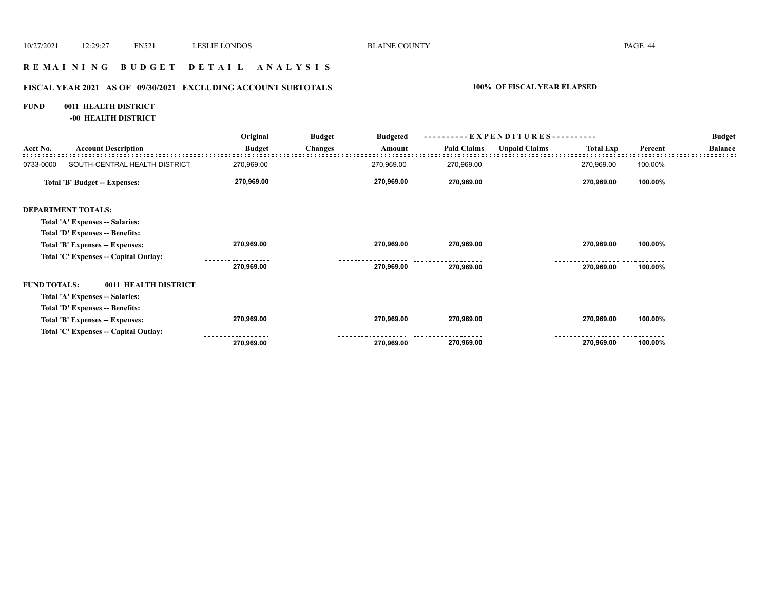#### **R E M A I N I N G B U D G E T D E T A I L A N A L Y S I S**

## **FISCAL YEAR 2021 AS OF 09/30/2021 EXCLUDING ACCOUNT SUBTOTALS 100% OF FISCAL YEAR ELAPSED**

## **FUND 0011 HEALTH DISTRICT**

**-00 HEALTH DISTRICT**

|                     |                                       | Original          | <b>Budget</b>  | <b>Budgeted</b> |                    | $-EXPENDITURES---$   |                  |                                                                       | <b>Budget</b> |
|---------------------|---------------------------------------|-------------------|----------------|-----------------|--------------------|----------------------|------------------|-----------------------------------------------------------------------|---------------|
| Acct No.            | <b>Account Description</b>            | <b>Budget</b>     | <b>Changes</b> | Amount          | <b>Paid Claims</b> | <b>Unpaid Claims</b> | <b>Total Exp</b> | Percent<br><b>Balance</b><br>100.00%<br>100.00%<br>100.00%<br>100.00% |               |
| 0733-0000           | SOUTH-CENTRAL HEALTH DISTRICT         | 270,969.00        |                | 270,969.00      | 270,969.00         |                      | 270,969.00       |                                                                       |               |
|                     | Total 'B' Budget -- Expenses:         | 270,969.00        |                | 270,969.00      | 270,969.00         |                      | 270,969.00       |                                                                       |               |
|                     | <b>DEPARTMENT TOTALS:</b>             |                   |                |                 |                    |                      |                  |                                                                       |               |
|                     | Total 'A' Expenses -- Salaries:       |                   |                |                 |                    |                      |                  |                                                                       |               |
|                     | Total 'D' Expenses -- Benefits:       |                   |                |                 |                    |                      |                  |                                                                       |               |
|                     | Total 'B' Expenses -- Expenses:       | 270,969.00        |                | 270,969.00      | 270,969.00         |                      | 270,969.00       |                                                                       |               |
|                     | Total 'C' Expenses -- Capital Outlay: |                   |                |                 |                    |                      |                  |                                                                       |               |
|                     |                                       | 270,969.00        |                | 270,969.00      | 270,969.00         |                      | 270,969.00       |                                                                       |               |
| <b>FUND TOTALS:</b> | 0011 HEALTH DISTRICT                  |                   |                |                 |                    |                      |                  |                                                                       |               |
|                     | Total 'A' Expenses -- Salaries:       |                   |                |                 |                    |                      |                  |                                                                       |               |
|                     | Total 'D' Expenses -- Benefits:       |                   |                |                 |                    |                      |                  |                                                                       |               |
|                     | Total 'B' Expenses -- Expenses:       | 270,969.00        |                | 270,969.00      | 270,969.00         |                      | 270,969.00       | 100.00%                                                               |               |
|                     | Total 'C' Expenses -- Capital Outlay: | ----------------- |                |                 |                    |                      |                  |                                                                       |               |
|                     |                                       | 270,969.00        |                | 270,969.00      | 270,969.00         |                      | 270,969.00       | 100.00%                                                               |               |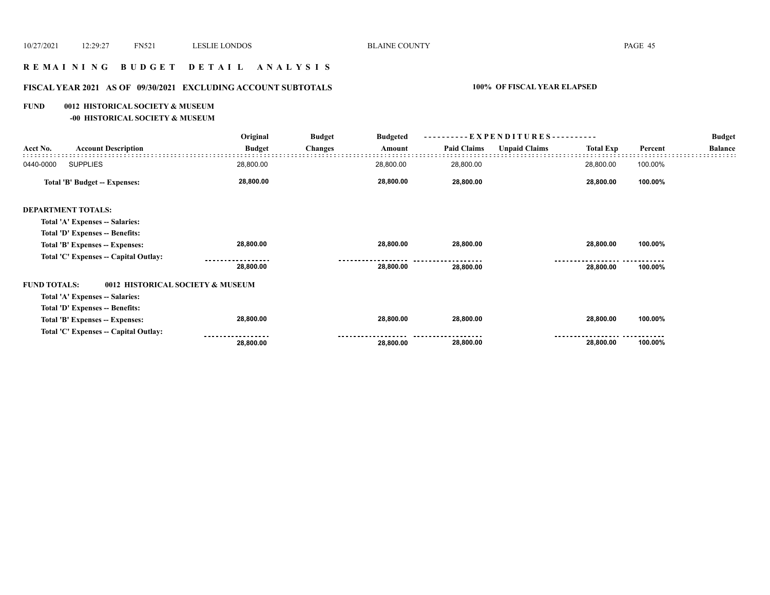#### **R E M A I N I N G B U D G E T D E T A I L A N A L Y S I S**

## **FISCAL YEAR 2021 AS OF 09/30/2021 EXCLUDING ACCOUNT SUBTOTALS 100% OF FISCAL YEAR ELAPSED**

#### **FUND 0012 HISTORICAL SOCIETY & MUSEUM**

**-00 HISTORICAL SOCIETY & MUSEUM**

|                     |                                       | Original      | <b>Budget</b>  | <b>Budgeted</b> |                    | ----------EXPENDITURES---------- |                  |         | <b>Budget</b>  |
|---------------------|---------------------------------------|---------------|----------------|-----------------|--------------------|----------------------------------|------------------|---------|----------------|
| Acct No.            | <b>Account Description</b>            | <b>Budget</b> | <b>Changes</b> | Amount          | <b>Paid Claims</b> | <b>Unpaid Claims</b>             | <b>Total Exp</b> | Percent | <b>Balance</b> |
| 0440-0000           | <b>SUPPLIES</b>                       | 28,800.00     |                | 28,800.00       | 28,800.00          |                                  | 28,800.00        | 100.00% |                |
|                     | Total 'B' Budget -- Expenses:         | 28,800.00     |                | 28,800.00       | 28,800.00          |                                  | 28,800.00        | 100.00% |                |
|                     | <b>DEPARTMENT TOTALS:</b>             |               |                |                 |                    |                                  |                  |         |                |
|                     | Total 'A' Expenses -- Salaries:       |               |                |                 |                    |                                  |                  |         |                |
|                     | Total 'D' Expenses -- Benefits:       |               |                |                 |                    |                                  |                  |         |                |
|                     | Total 'B' Expenses -- Expenses:       | 28,800.00     |                | 28,800.00       | 28,800.00          |                                  | 28,800.00        | 100.00% |                |
|                     | Total 'C' Expenses -- Capital Outlay: |               |                |                 |                    |                                  |                  |         |                |
|                     |                                       | 28,800.00     |                | 28,800.00       | 28,800.00          |                                  | 28,800.00        | 100.00% |                |
| <b>FUND TOTALS:</b> | 0012 HISTORICAL SOCIETY & MUSEUM      |               |                |                 |                    |                                  |                  |         |                |
|                     | Total 'A' Expenses -- Salaries:       |               |                |                 |                    |                                  |                  |         |                |
|                     | Total 'D' Expenses -- Benefits:       |               |                |                 |                    |                                  |                  |         |                |
|                     | Total 'B' Expenses -- Expenses:       | 28,800.00     |                | 28,800.00       | 28,800.00          |                                  | 28,800.00        | 100.00% |                |
|                     | Total 'C' Expenses -- Capital Outlay: | 28,800.00     |                | 28,800.00       | 28,800.00          |                                  | 28,800.00        | 100.00% |                |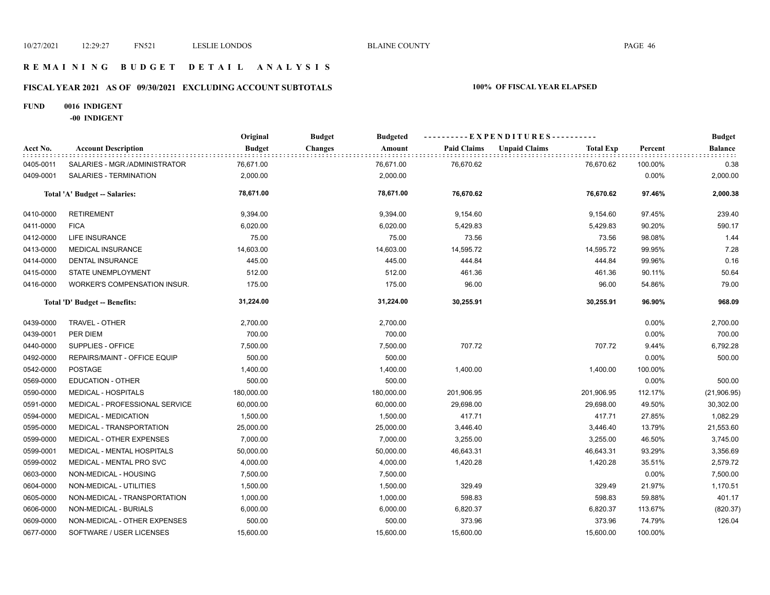#### **R E M A I N I N G B U D G E T D E T A I L A N A L Y S I S**

## **FISCAL YEAR 2021 AS OF 09/30/2021 EXCLUDING ACCOUNT SUBTOTALS 100% OF FISCAL YEAR ELAPSED**

#### **FUND 0016 INDIGENT**

**-00 INDIGENT**

|           |                                     | Original      | <b>Budget</b><br><b>Budgeted</b> |                    | ----------EXPENDITURES----------         |         | <b>Budget</b>  |
|-----------|-------------------------------------|---------------|----------------------------------|--------------------|------------------------------------------|---------|----------------|
| Acct No.  | <b>Account Description</b>          | <b>Budget</b> | <b>Changes</b><br>Amount         | <b>Paid Claims</b> | <b>Unpaid Claims</b><br><b>Total Exp</b> | Percent | <b>Balance</b> |
| 0405-0011 | SALARIES - MGR./ADMINISTRATOR       | 76,671.00     | 76,671.00                        | 76,670.62          | 76,670.62                                | 100.00% | 0.38           |
| 0409-0001 | SALARIES - TERMINATION              | 2,000.00      | 2,000.00                         |                    |                                          | 0.00%   | 2,000.00       |
|           | Total 'A' Budget -- Salaries:       | 78,671.00     | 78,671.00                        | 76,670.62          | 76,670.62                                | 97.46%  | 2,000.38       |
| 0410-0000 | <b>RETIREMENT</b>                   | 9,394.00      | 9,394.00                         | 9,154.60           | 9,154.60                                 | 97.45%  | 239.40         |
| 0411-0000 | <b>FICA</b>                         | 6,020.00      | 6,020.00                         | 5,429.83           | 5,429.83                                 | 90.20%  | 590.17         |
| 0412-0000 | <b>LIFE INSURANCE</b>               | 75.00         | 75.00                            | 73.56              | 73.56                                    | 98.08%  | 1.44           |
| 0413-0000 | MEDICAL INSURANCE                   | 14,603.00     | 14,603.00                        | 14,595.72          | 14,595.72                                | 99.95%  | 7.28           |
| 0414-0000 | <b>DENTAL INSURANCE</b>             | 445.00        | 445.00                           | 444.84             | 444.84                                   | 99.96%  | 0.16           |
| 0415-0000 | STATE UNEMPLOYMENT                  | 512.00        | 512.00                           | 461.36             | 461.36                                   | 90.11%  | 50.64          |
| 0416-0000 | <b>WORKER'S COMPENSATION INSUR.</b> | 175.00        | 175.00                           | 96.00              | 96.00                                    | 54.86%  | 79.00          |
|           | Total 'D' Budget -- Benefits:       | 31,224.00     | 31,224.00                        | 30,255.91          | 30,255.91                                | 96.90%  | 968.09         |
| 0439-0000 | TRAVEL - OTHER                      | 2,700.00      | 2,700.00                         |                    |                                          | 0.00%   | 2,700.00       |
| 0439-0001 | PER DIEM                            | 700.00        | 700.00                           |                    |                                          | 0.00%   | 700.00         |
| 0440-0000 | SUPPLIES - OFFICE                   | 7,500.00      | 7,500.00                         | 707.72             | 707.72                                   | 9.44%   | 6,792.28       |
| 0492-0000 | REPAIRS/MAINT - OFFICE EQUIP        | 500.00        | 500.00                           |                    |                                          | 0.00%   | 500.00         |
| 0542-0000 | <b>POSTAGE</b>                      | 1,400.00      | 1,400.00                         | 1,400.00           | 1,400.00                                 | 100.00% |                |
| 0569-0000 | <b>EDUCATION - OTHER</b>            | 500.00        | 500.00                           |                    |                                          | 0.00%   | 500.00         |
| 0590-0000 | <b>MEDICAL - HOSPITALS</b>          | 180,000.00    | 180,000.00                       | 201,906.95         | 201,906.95                               | 112.17% | (21,906.95)    |
| 0591-0000 | MEDICAL - PROFESSIONAL SERVICE      | 60,000.00     | 60,000.00                        | 29,698.00          | 29,698.00                                | 49.50%  | 30,302.00      |
| 0594-0000 | <b>MEDICAL - MEDICATION</b>         | 1,500.00      | 1,500.00                         | 417.71             | 417.71                                   | 27.85%  | 1,082.29       |
| 0595-0000 | MEDICAL - TRANSPORTATION            | 25,000.00     | 25,000.00                        | 3,446.40           | 3,446.40                                 | 13.79%  | 21,553.60      |
| 0599-0000 | MEDICAL - OTHER EXPENSES            | 7,000.00      | 7,000.00                         | 3,255.00           | 3,255.00                                 | 46.50%  | 3,745.00       |
| 0599-0001 | MEDICAL - MENTAL HOSPITALS          | 50,000.00     | 50,000.00                        | 46,643.31          | 46,643.31                                | 93.29%  | 3,356.69       |
| 0599-0002 | MEDICAL - MENTAL PRO SVC            | 4,000.00      | 4,000.00                         | 1,420.28           | 1,420.28                                 | 35.51%  | 2,579.72       |
| 0603-0000 | NON-MEDICAL - HOUSING               | 7,500.00      | 7,500.00                         |                    |                                          | 0.00%   | 7,500.00       |
| 0604-0000 | NON-MEDICAL - UTILITIES             | 1,500.00      | 1,500.00                         | 329.49             | 329.49                                   | 21.97%  | 1,170.51       |
| 0605-0000 | NON-MEDICAL - TRANSPORTATION        | 1,000.00      | 1,000.00                         | 598.83             | 598.83                                   | 59.88%  | 401.17         |
| 0606-0000 | NON-MEDICAL - BURIALS               | 6,000.00      | 6,000.00                         | 6,820.37           | 6,820.37                                 | 113.67% | (820.37)       |
| 0609-0000 | NON-MEDICAL - OTHER EXPENSES        | 500.00        | 500.00                           | 373.96             | 373.96                                   | 74.79%  | 126.04         |
| 0677-0000 | SOFTWARE / USER LICENSES            | 15,600.00     | 15,600.00                        | 15,600.00          | 15,600.00                                | 100.00% |                |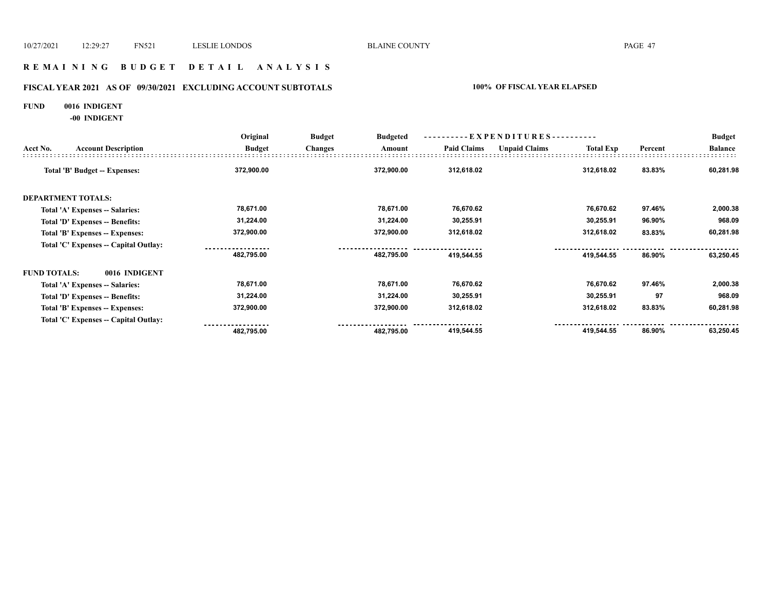#### **R E M A I N I N G B U D G E T D E T A I L A N A L Y S I S**

## **FISCAL YEAR 2021 AS OF 09/30/2021 EXCLUDING ACCOUNT SUBTOTALS 100% OF FISCAL YEAR ELAPSED**

#### **FUND 0016 INDIGENT**

**-00 INDIGENT**

|                     |                                       | Original      | <b>Budget</b>  | ----------EXPENDITURES----------<br><b>Budgeted</b> |                    |                      |                  |         | <b>Budget</b>  |
|---------------------|---------------------------------------|---------------|----------------|-----------------------------------------------------|--------------------|----------------------|------------------|---------|----------------|
| Acct No.            | <b>Account Description</b>            | <b>Budget</b> | <b>Changes</b> | Amount                                              | <b>Paid Claims</b> | <b>Unpaid Claims</b> | <b>Total Exp</b> | Percent | <b>Balance</b> |
|                     | Total 'B' Budget -- Expenses:         | 372,900.00    |                | 372,900.00                                          | 312,618.02         |                      | 312,618.02       | 83.83%  | 60,281.98      |
|                     | <b>DEPARTMENT TOTALS:</b>             |               |                |                                                     |                    |                      |                  |         |                |
|                     | Total 'A' Expenses -- Salaries:       | 78,671.00     |                | 78,671.00                                           | 76,670.62          |                      | 76,670.62        | 97.46%  | 2,000.38       |
|                     | Total 'D' Expenses -- Benefits:       | 31,224.00     |                | 31,224.00                                           | 30,255.91          |                      | 30,255.91        | 96.90%  | 968.09         |
|                     | Total 'B' Expenses -- Expenses:       | 372,900.00    |                | 372,900.00                                          | 312,618.02         |                      | 312,618.02       | 83.83%  | 60,281.98      |
|                     | Total 'C' Expenses -- Capital Outlay: |               |                |                                                     |                    |                      |                  |         |                |
|                     |                                       | 482,795.00    |                | 482,795.00                                          | 419,544.55         |                      | 419,544.55       | 86.90%  | 63,250.45      |
| <b>FUND TOTALS:</b> | 0016 INDIGENT                         |               |                |                                                     |                    |                      |                  |         |                |
|                     | Total 'A' Expenses -- Salaries:       | 78,671.00     |                | 78,671.00                                           | 76,670.62          |                      | 76,670.62        | 97.46%  | 2,000.38       |
|                     | Total 'D' Expenses -- Benefits:       | 31,224.00     |                | 31,224.00                                           | 30,255.91          |                      | 30,255.91        | 97      | 968.09         |
|                     | Total 'B' Expenses -- Expenses:       | 372,900.00    |                | 372,900.00                                          | 312,618.02         |                      | 312,618.02       | 83.83%  | 60,281.98      |
|                     | Total 'C' Expenses -- Capital Outlay: |               |                |                                                     |                    |                      |                  |         |                |
|                     |                                       | 482,795.00    |                | 482,795.00                                          | 419,544.55         |                      | 419,544.55       | 86.90%  | 63,250.45      |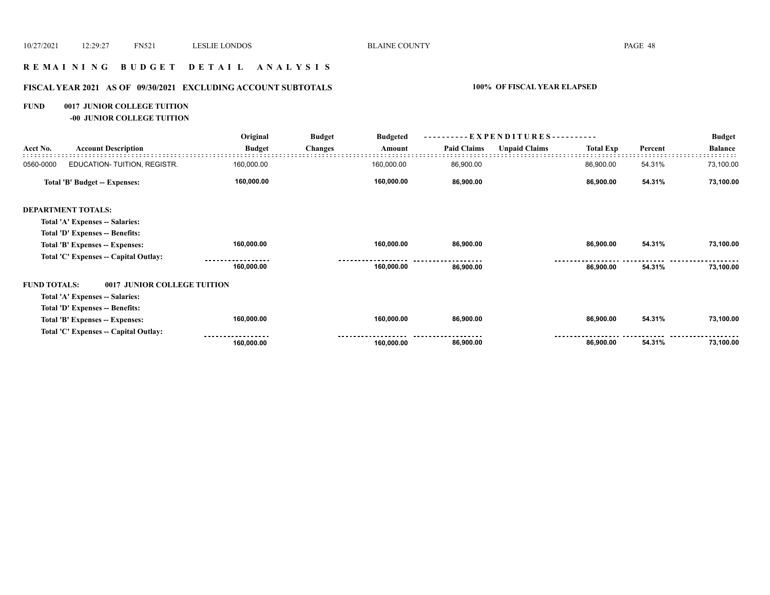#### **R E M A I N I N G B U D G E T D E T A I L A N A L Y S I S**

## **FISCAL YEAR 2021 AS OF 09/30/2021 EXCLUDING ACCOUNT SUBTOTALS 100% OF FISCAL YEAR ELAPSED**

#### **FUND 0017 JUNIOR COLLEGE TUITION**

**-00 JUNIOR COLLEGE TUITION**

|                     |                                       | Original      | <b>Budget</b>  | <b>Budgeted</b> |                    | ----------EXPENDITURES---------- |                  |         | <b>Budget</b>  |
|---------------------|---------------------------------------|---------------|----------------|-----------------|--------------------|----------------------------------|------------------|---------|----------------|
| Acct No.            | <b>Account Description</b>            | <b>Budget</b> | <b>Changes</b> | Amount          | <b>Paid Claims</b> | <b>Unpaid Claims</b>             | <b>Total Exp</b> | Percent | <b>Balance</b> |
| 0560-0000           | EDUCATION-TUITION, REGISTR.           | 160,000.00    |                | 160,000.00      | 86,900.00          |                                  | 86,900.00        | 54.31%  | 73,100.00      |
|                     | Total 'B' Budget -- Expenses:         | 160,000.00    |                | 160,000.00      | 86,900.00          |                                  | 86,900.00        | 54.31%  | 73,100.00      |
|                     | <b>DEPARTMENT TOTALS:</b>             |               |                |                 |                    |                                  |                  |         |                |
|                     | Total 'A' Expenses -- Salaries:       |               |                |                 |                    |                                  |                  |         |                |
|                     | Total 'D' Expenses -- Benefits:       |               |                |                 |                    |                                  |                  |         |                |
|                     | Total 'B' Expenses -- Expenses:       | 160,000.00    |                | 160,000.00      | 86,900.00          |                                  | 86,900.00        | 54.31%  | 73,100.00      |
|                     | Total 'C' Expenses -- Capital Outlay: |               |                |                 |                    |                                  |                  |         |                |
|                     |                                       | 160,000.00    |                | 160,000.00      | 86,900.00          |                                  | 86,900.00        | 54.31%  | 73,100.00      |
| <b>FUND TOTALS:</b> | 0017 JUNIOR COLLEGE TUITION           |               |                |                 |                    |                                  |                  |         |                |
|                     | Total 'A' Expenses -- Salaries:       |               |                |                 |                    |                                  |                  |         |                |
|                     | Total 'D' Expenses -- Benefits:       |               |                |                 |                    |                                  |                  |         |                |
|                     | Total 'B' Expenses -- Expenses:       | 160,000.00    |                | 160,000.00      | 86,900.00          |                                  | 86,900.00        | 54.31%  | 73,100.00      |
|                     | Total 'C' Expenses -- Capital Outlay: |               |                |                 |                    |                                  |                  |         |                |
|                     |                                       | 160,000.00    |                | 160,000.00      | 86,900.00          |                                  | 86,900.00        | 54.31%  | 73,100.00      |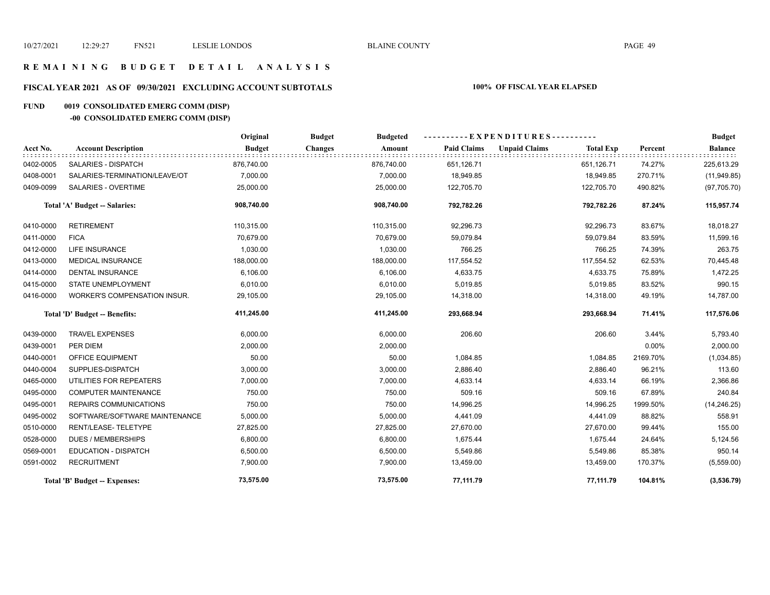#### **R E M A I N I N G B U D G E T D E T A I L A N A L Y S I S**

## **FISCAL YEAR 2021 AS OF 09/30/2021 EXCLUDING ACCOUNT SUBTOTALS 100% OF FISCAL YEAR ELAPSED**

## **FUND 0019 CONSOLIDATED EMERG COMM (DISP)**

## **-00 CONSOLIDATED EMERG COMM (DISP)**

|           |                               | Original      | <b>Budget</b><br><b>Budgeted</b> |                    | ---------- EXPENDITURES----------        |          | <b>Budget</b>  |
|-----------|-------------------------------|---------------|----------------------------------|--------------------|------------------------------------------|----------|----------------|
| Acct No.  | <b>Account Description</b>    | <b>Budget</b> | <b>Changes</b><br>Amount         | <b>Paid Claims</b> | <b>Unpaid Claims</b><br><b>Total Exp</b> | Percent  | <b>Balance</b> |
| 0402-0005 | <b>SALARIES - DISPATCH</b>    | 876,740.00    | 876,740.00                       | 651,126.71         | 651,126.71                               | 74.27%   | 225,613.29     |
| 0408-0001 | SALARIES-TERMINATION/LEAVE/OT | 7,000.00      | 7,000.00                         | 18,949.85          | 18,949.85                                | 270.71%  | (11, 949.85)   |
| 0409-0099 | <b>SALARIES - OVERTIME</b>    | 25,000.00     | 25,000.00                        | 122,705.70         | 122,705.70                               | 490.82%  | (97, 705.70)   |
|           | Total 'A' Budget -- Salaries: | 908,740.00    | 908,740.00                       | 792,782.26         | 792,782.26                               | 87.24%   | 115,957.74     |
| 0410-0000 | <b>RETIREMENT</b>             | 110,315.00    | 110,315.00                       | 92,296.73          | 92,296.73                                | 83.67%   | 18,018.27      |
| 0411-0000 | <b>FICA</b>                   | 70,679.00     | 70,679.00                        | 59,079.84          | 59,079.84                                | 83.59%   | 11,599.16      |
| 0412-0000 | <b>LIFE INSURANCE</b>         | 1,030.00      | 1,030.00                         | 766.25             | 766.25                                   | 74.39%   | 263.75         |
| 0413-0000 | <b>MEDICAL INSURANCE</b>      | 188,000.00    | 188,000.00                       | 117,554.52         | 117,554.52                               | 62.53%   | 70,445.48      |
| 0414-0000 | DENTAL INSURANCE              | 6,106.00      | 6,106.00                         | 4,633.75           | 4,633.75                                 | 75.89%   | 1,472.25       |
| 0415-0000 | <b>STATE UNEMPLOYMENT</b>     | 6,010.00      | 6,010.00                         | 5,019.85           | 5,019.85                                 | 83.52%   | 990.15         |
| 0416-0000 | WORKER'S COMPENSATION INSUR.  | 29,105.00     | 29,105.00                        | 14,318.00          | 14,318.00                                | 49.19%   | 14,787.00      |
|           | Total 'D' Budget -- Benefits: | 411,245.00    | 411,245.00                       | 293,668.94         | 293,668.94                               | 71.41%   | 117,576.06     |
| 0439-0000 | <b>TRAVEL EXPENSES</b>        | 6,000.00      | 6,000.00                         | 206.60             | 206.60                                   | 3.44%    | 5,793.40       |
| 0439-0001 | PER DIEM                      | 2,000.00      | 2,000.00                         |                    |                                          | 0.00%    | 2,000.00       |
| 0440-0001 | OFFICE EQUIPMENT              | 50.00         | 50.00                            | 1,084.85           | 1,084.85                                 | 2169.70% | (1,034.85)     |
| 0440-0004 | SUPPLIES-DISPATCH             | 3,000.00      | 3,000.00                         | 2,886.40           | 2,886.40                                 | 96.21%   | 113.60         |
| 0465-0000 | UTILITIES FOR REPEATERS       | 7,000.00      | 7,000.00                         | 4,633.14           | 4,633.14                                 | 66.19%   | 2,366.86       |
| 0495-0000 | <b>COMPUTER MAINTENANCE</b>   | 750.00        | 750.00                           | 509.16             | 509.16                                   | 67.89%   | 240.84         |
| 0495-0001 | <b>REPAIRS COMMUNICATIONS</b> | 750.00        | 750.00                           | 14,996.25          | 14,996.25                                | 1999.50% | (14, 246.25)   |
| 0495-0002 | SOFTWARE/SOFTWARE MAINTENANCE | 5,000.00      | 5,000.00                         | 4,441.09           | 4,441.09                                 | 88.82%   | 558.91         |
| 0510-0000 | RENT/LEASE-TELETYPE           | 27,825.00     | 27,825.00                        | 27,670.00          | 27,670.00                                | 99.44%   | 155.00         |
| 0528-0000 | <b>DUES / MEMBERSHIPS</b>     | 6,800.00      | 6,800.00                         | 1,675.44           | 1,675.44                                 | 24.64%   | 5,124.56       |
| 0569-0001 | <b>EDUCATION - DISPATCH</b>   | 6,500.00      | 6,500.00                         | 5,549.86           | 5,549.86                                 | 85.38%   | 950.14         |
| 0591-0002 | <b>RECRUITMENT</b>            | 7,900.00      | 7,900.00                         | 13,459.00          | 13,459.00                                | 170.37%  | (5,559.00)     |
|           | Total 'B' Budget -- Expenses: | 73,575.00     | 73,575.00                        | 77,111.79          | 77,111.79                                | 104.81%  | (3,536.79)     |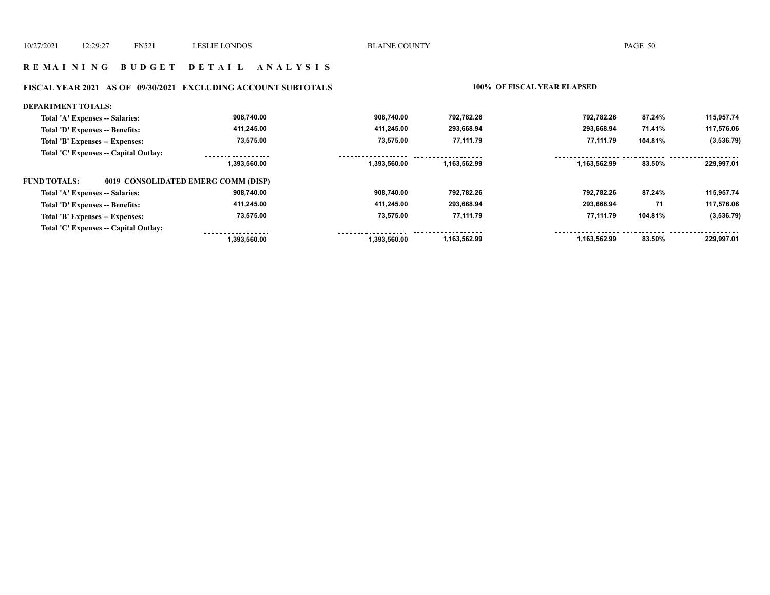#### **R E M A I N I N G B U D G E T D E T A I L A N A L Y S I S**

#### **FISCAL YEAR 2021 AS OF 09/30/2021 EXCLUDING ACCOUNT SUBTOTALS 100% OF FISCAL YEAR ELAPSED**

#### **DEPARTMENT TOTALS: 908,740.00 908,740.00 792,782.26 792,782.26 87.24% 115,957.74 Total 'A' Expenses -- Salaries: Total 'D' Expenses -- Benefits: 411,245.00 411,245.00 293,668.94 293,668.94 71.41% 117,576.06 73,575.00 73,575.00 77,111.79 77,111.79 (3,536.79) Total 'B' Expenses -- Expenses: 104.81% Total 'C' Expenses -- Capital Outlay:** ................. .................. ------------------................. . . . . . . . . . . . . . . . . . . . . . . . . .  **1,393,560.00 1,393,560.00 1,163,562.99 1,163,562.99 83.50% 229,997.01 FUND TOTALS: 0019 CONSOLIDATED EMERG COMM (DISP)Total 'A' Expenses -- Salaries: 908,740.00 908,740.00 792,782.26 792,782.26 87.24% 115,957.74 Total 'D' Expenses -- Benefits: 411,245.00 411,245.00 293,668.94 293,668.94 71 117,576.06 73,575.00 73,575.00 Total 'B' Expenses -- Expenses: 77,111.79 77,111.79 104.81% (3,536.79) Total 'C' Expenses -- Capital Outlay:** <u> -----------------</u> <u>...........</u> <u>.........</u> ................... ...... <u>. . . . . . . . . . . . . . . . .</u> . . . . . . .  **1,393,560.00 1,393,560.00 1,163,562.99 1,163,562.99 83.50% 229,997.01**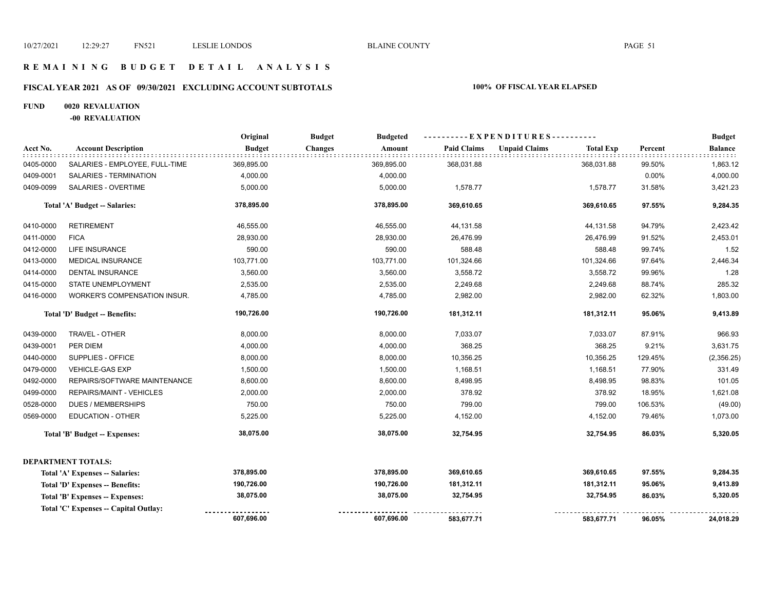#### **R E M A I N I N G B U D G E T D E T A I L A N A L Y S I S**

## **FISCAL YEAR 2021 AS OF 09/30/2021 EXCLUDING ACCOUNT SUBTOTALS 100% OF FISCAL YEAR ELAPSED**

#### **FUND 0020 REVALUATION**

**-00 REVALUATION**

|           |                                       | Original      | <b>Budget</b><br><b>Budgeted</b> |                    | ----------EXPENDITURES----------         |         | <b>Budget</b>  |
|-----------|---------------------------------------|---------------|----------------------------------|--------------------|------------------------------------------|---------|----------------|
| Acct No.  | <b>Account Description</b>            | <b>Budget</b> | <b>Changes</b><br>Amount         | <b>Paid Claims</b> | <b>Unpaid Claims</b><br><b>Total Exp</b> | Percent | <b>Balance</b> |
| 0405-0000 | SALARIES - EMPLOYEE, FULL-TIME        | 369,895.00    | 369,895.00                       | 368,031.88         | 368,031.88                               | 99.50%  | 1,863.12       |
| 0409-0001 | SALARIES - TERMINATION                | 4,000.00      | 4,000.00                         |                    |                                          | 0.00%   | 4,000.00       |
| 0409-0099 | SALARIES - OVERTIME                   | 5,000.00      | 5,000.00                         | 1,578.77           | 1,578.77                                 | 31.58%  | 3,421.23       |
|           | Total 'A' Budget -- Salaries:         | 378,895.00    | 378,895.00                       | 369,610.65         | 369,610.65                               | 97.55%  | 9,284.35       |
| 0410-0000 | <b>RETIREMENT</b>                     | 46,555.00     | 46,555.00                        | 44,131.58          | 44,131.58                                | 94.79%  | 2,423.42       |
| 0411-0000 | <b>FICA</b>                           | 28,930.00     | 28,930.00                        | 26,476.99          | 26,476.99                                | 91.52%  | 2,453.01       |
| 0412-0000 | LIFE INSURANCE                        | 590.00        | 590.00                           | 588.48             | 588.48                                   | 99.74%  | 1.52           |
| 0413-0000 | <b>MEDICAL INSURANCE</b>              | 103,771.00    | 103,771.00                       | 101,324.66         | 101,324.66                               | 97.64%  | 2,446.34       |
| 0414-0000 | DENTAL INSURANCE                      | 3,560.00      | 3,560.00                         | 3,558.72           | 3,558.72                                 | 99.96%  | 1.28           |
| 0415-0000 | STATE UNEMPLOYMENT                    | 2,535.00      | 2,535.00                         | 2,249.68           | 2,249.68                                 | 88.74%  | 285.32         |
| 0416-0000 | WORKER'S COMPENSATION INSUR.          | 4,785.00      | 4,785.00                         | 2,982.00           | 2,982.00                                 | 62.32%  | 1,803.00       |
|           | Total 'D' Budget -- Benefits:         | 190,726.00    | 190,726.00                       | 181,312.11         | 181,312.11                               | 95.06%  | 9,413.89       |
| 0439-0000 | TRAVEL - OTHER                        | 8,000.00      | 8,000.00                         | 7,033.07           | 7,033.07                                 | 87.91%  | 966.93         |
| 0439-0001 | PER DIEM                              | 4,000.00      | 4,000.00                         | 368.25             | 368.25                                   | 9.21%   | 3,631.75       |
| 0440-0000 | SUPPLIES - OFFICE                     | 8,000.00      | 8,000.00                         | 10,356.25          | 10,356.25                                | 129.45% | (2,356.25)     |
| 0479-0000 | <b>VEHICLE-GAS EXP</b>                | 1,500.00      | 1,500.00                         | 1,168.51           | 1,168.51                                 | 77.90%  | 331.49         |
| 0492-0000 | REPAIRS/SOFTWARE MAINTENANCE          | 8,600.00      | 8,600.00                         | 8,498.95           | 8,498.95                                 | 98.83%  | 101.05         |
| 0499-0000 | REPAIRS/MAINT - VEHICLES              | 2,000.00      | 2,000.00                         | 378.92             | 378.92                                   | 18.95%  | 1,621.08       |
| 0528-0000 | <b>DUES / MEMBERSHIPS</b>             | 750.00        | 750.00                           | 799.00             | 799.00                                   | 106.53% | (49.00)        |
| 0569-0000 | <b>EDUCATION - OTHER</b>              | 5,225.00      | 5,225.00                         | 4,152.00           | 4,152.00                                 | 79.46%  | 1,073.00       |
|           | <b>Total 'B' Budget -- Expenses:</b>  | 38,075.00     | 38,075.00                        | 32,754.95          | 32,754.95                                | 86.03%  | 5,320.05       |
|           | <b>DEPARTMENT TOTALS:</b>             |               |                                  |                    |                                          |         |                |
|           | Total 'A' Expenses -- Salaries:       | 378,895.00    | 378,895.00                       | 369,610.65         | 369,610.65                               | 97.55%  | 9,284.35       |
|           | Total 'D' Expenses -- Benefits:       | 190,726.00    | 190,726.00                       | 181,312.11         | 181,312.11                               | 95.06%  | 9,413.89       |
|           | Total 'B' Expenses -- Expenses:       | 38,075.00     | 38,075.00                        | 32,754.95          | 32,754.95                                | 86.03%  | 5,320.05       |
|           | Total 'C' Expenses -- Capital Outlay: |               |                                  |                    |                                          |         |                |
|           |                                       | 607,696.00    | 607,696.00                       | 583,677.71         | 583,677.71                               | 96.05%  | 24,018.29      |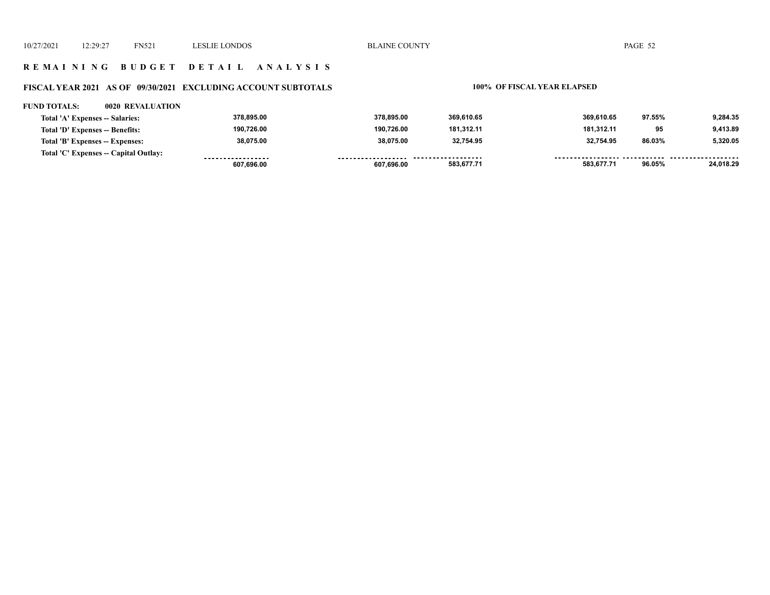#### **R E M A I N I N G B U D G E T D E T A I L A N A L Y S I S**

## **FISCAL YEAR 2021 AS OF 09/30/2021 EXCLUDING ACCOUNT SUBTOTALS 100% OF FISCAL YEAR ELAPSED**

#### **FUND TOTALS: 0020 REVALUATION**

| Total 'A' Expenses -- Salaries:       | 378.895.00        | 378.895.00 | 369.610.65 | 369.610.65 | 97.55% | 9.284.35  |
|---------------------------------------|-------------------|------------|------------|------------|--------|-----------|
| Total 'D' Expenses -- Benefits:       | 190.726.00        | 190,726.00 | 181.312.11 | 181.312.11 | 95     | 9,413.89  |
| Total 'B' Expenses -- Expenses:       | 38.075.00         | 38.075.00  | 32.754.95  | 32.754.95  | 86.03% | 5.320.05  |
| Total 'C' Expenses -- Capital Outlay: | ----------------- | .          | .          |            |        | --------  |
|                                       | 607.696.00        | 607.696.00 | 583,677.71 | 583,677.71 | 96.05% | 24,018.29 |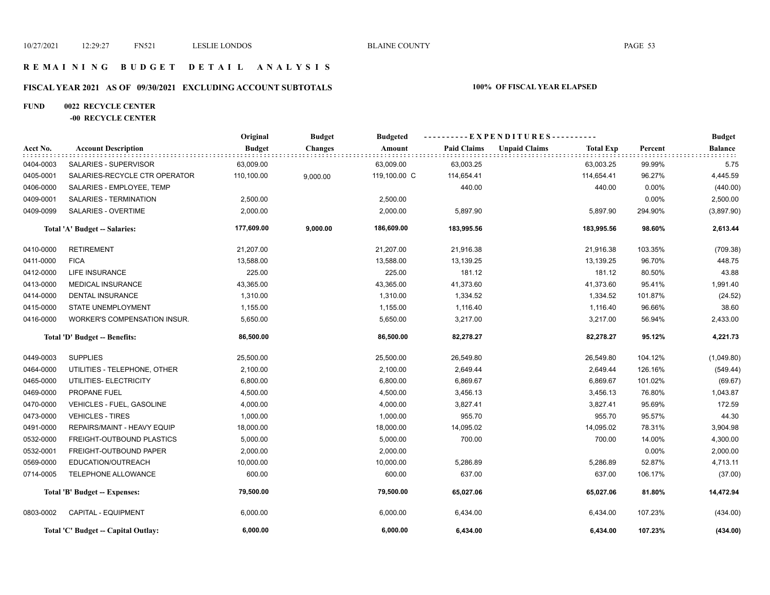#### **R E M A I N I N G B U D G E T D E T A I L A N A L Y S I S**

## **FISCAL YEAR 2021 AS OF 09/30/2021 EXCLUDING ACCOUNT SUBTOTALS 100% OF FISCAL YEAR ELAPSED**

#### **FUND 0022 RECYCLE CENTER**

#### **-00 RECYCLE CENTER**

|           |                                     | Original      | <b>Budget</b> | <b>Budgeted</b> |                    | ----------EXPENDITURES---------- |                  |          | <b>Budget</b>         |
|-----------|-------------------------------------|---------------|---------------|-----------------|--------------------|----------------------------------|------------------|----------|-----------------------|
| Acct No.  | <b>Account Description</b>          | <b>Budget</b> | Changes       | Amount          | <b>Paid Claims</b> | <b>Unpaid Claims</b>             | <b>Total Exp</b> | Percent  | <b>Balance</b><br>111 |
| 0404-0003 | SALARIES - SUPERVISOR               | 63,009.00     |               | 63,009.00       | 63,003.25          |                                  | 63,003.25        | 99.99%   | 5.75                  |
| 0405-0001 | SALARIES-RECYCLE CTR OPERATOR       | 110,100.00    | 9,000.00      | 119,100.00 C    | 114,654.41         |                                  | 114,654.41       | 96.27%   | 4,445.59              |
| 0406-0000 | SALARIES - EMPLOYEE, TEMP           |               |               |                 | 440.00             |                                  | 440.00           | 0.00%    | (440.00)              |
| 0409-0001 | SALARIES - TERMINATION              | 2,500.00      |               | 2,500.00        |                    |                                  |                  | $0.00\%$ | 2,500.00              |
| 0409-0099 | SALARIES - OVERTIME                 | 2,000.00      |               | 2,000.00        | 5,897.90           |                                  | 5,897.90         | 294.90%  | (3,897.90)            |
|           | Total 'A' Budget -- Salaries:       | 177,609.00    | 9,000.00      | 186,609.00      | 183,995.56         |                                  | 183,995.56       | 98.60%   | 2,613.44              |
| 0410-0000 | <b>RETIREMENT</b>                   | 21,207.00     |               | 21,207.00       | 21,916.38          |                                  | 21,916.38        | 103.35%  | (709.38)              |
| 0411-0000 | <b>FICA</b>                         | 13,588.00     |               | 13,588.00       | 13,139.25          |                                  | 13,139.25        | 96.70%   | 448.75                |
| 0412-0000 | <b>LIFE INSURANCE</b>               | 225.00        |               | 225.00          | 181.12             |                                  | 181.12           | 80.50%   | 43.88                 |
| 0413-0000 | <b>MEDICAL INSURANCE</b>            | 43,365.00     |               | 43,365.00       | 41,373.60          |                                  | 41,373.60        | 95.41%   | 1,991.40              |
| 0414-0000 | DENTAL INSURANCE                    | 1,310.00      |               | 1,310.00        | 1,334.52           |                                  | 1,334.52         | 101.87%  | (24.52)               |
| 0415-0000 | <b>STATE UNEMPLOYMENT</b>           | 1,155.00      |               | 1,155.00        | 1,116.40           |                                  | 1,116.40         | 96.66%   | 38.60                 |
| 0416-0000 | <b>WORKER'S COMPENSATION INSUR.</b> | 5,650.00      |               | 5,650.00        | 3,217.00           |                                  | 3,217.00         | 56.94%   | 2,433.00              |
|           | Total 'D' Budget -- Benefits:       | 86,500.00     |               | 86,500.00       | 82,278.27          |                                  | 82,278.27        | 95.12%   | 4,221.73              |
| 0449-0003 | <b>SUPPLIES</b>                     | 25,500.00     |               | 25,500.00       | 26,549.80          |                                  | 26,549.80        | 104.12%  | (1,049.80)            |
| 0464-0000 | UTILITIES - TELEPHONE, OTHER        | 2,100.00      |               | 2,100.00        | 2,649.44           |                                  | 2,649.44         | 126.16%  | (549.44)              |
| 0465-0000 | UTILITIES- ELECTRICITY              | 6,800.00      |               | 6,800.00        | 6,869.67           |                                  | 6,869.67         | 101.02%  | (69.67)               |
| 0469-0000 | PROPANE FUEL                        | 4,500.00      |               | 4,500.00        | 3,456.13           |                                  | 3,456.13         | 76.80%   | 1,043.87              |
| 0470-0000 | VEHICLES - FUEL, GASOLINE           | 4,000.00      |               | 4,000.00        | 3,827.41           |                                  | 3,827.41         | 95.69%   | 172.59                |
| 0473-0000 | <b>VEHICLES - TIRES</b>             | 1,000.00      |               | 1,000.00        | 955.70             |                                  | 955.70           | 95.57%   | 44.30                 |
| 0491-0000 | REPAIRS/MAINT - HEAVY EQUIP         | 18,000.00     |               | 18,000.00       | 14,095.02          |                                  | 14,095.02        | 78.31%   | 3,904.98              |
| 0532-0000 | FREIGHT-OUTBOUND PLASTICS           | 5,000.00      |               | 5,000.00        | 700.00             |                                  | 700.00           | 14.00%   | 4,300.00              |
| 0532-0001 | FREIGHT-OUTBOUND PAPER              | 2,000.00      |               | 2,000.00        |                    |                                  |                  | 0.00%    | 2,000.00              |
| 0569-0000 | EDUCATION/OUTREACH                  | 10,000.00     |               | 10,000.00       | 5,286.89           |                                  | 5,286.89         | 52.87%   | 4,713.11              |
| 0714-0005 | TELEPHONE ALLOWANCE                 | 600.00        |               | 600.00          | 637.00             |                                  | 637.00           | 106.17%  | (37.00)               |
|           | Total 'B' Budget -- Expenses:       | 79,500.00     |               | 79,500.00       | 65,027.06          |                                  | 65,027.06        | 81.80%   | 14,472.94             |
| 0803-0002 | <b>CAPITAL - EQUIPMENT</b>          | 6,000.00      |               | 6,000.00        | 6,434.00           |                                  | 6,434.00         | 107.23%  | (434.00)              |
|           | Total 'C' Budget -- Capital Outlay: | 6,000.00      |               | 6,000.00        | 6,434.00           |                                  | 6,434.00         | 107.23%  | (434.00)              |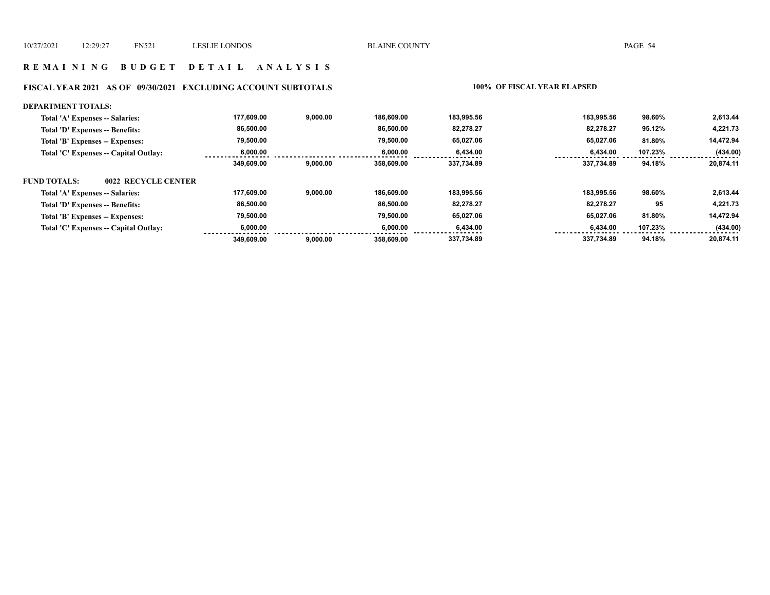#### **R E M A I N I N G B U D G E T D E T A I L A N A L Y S I S**

## **FISCAL YEAR 2021 AS OF 09/30/2021 EXCLUDING ACCOUNT SUBTOTALS 100% OF FISCAL YEAR ELAPSED**

| <b>DEPARTMENT TOTALS:</b>                  |            |          |            |            |            |         |           |
|--------------------------------------------|------------|----------|------------|------------|------------|---------|-----------|
| Total 'A' Expenses -- Salaries:            | 177.609.00 | 9.000.00 | 186.609.00 | 183.995.56 | 183.995.56 | 98.60%  | 2,613.44  |
| Total 'D' Expenses -- Benefits:            | 86,500.00  |          | 86,500.00  | 82,278.27  | 82.278.27  | 95.12%  | 4,221.73  |
| Total 'B' Expenses -- Expenses:            | 79.500.00  |          | 79.500.00  | 65.027.06  | 65.027.06  | 81.80%  | 14,472.94 |
| Total 'C' Expenses -- Capital Outlay:      | 6.000.00   |          | 6.000.00   | 6,434.00   | 6,434.00   | 107.23% | (434.00)  |
|                                            | 349,609.00 | 9,000.00 | 358.609.00 | 337.734.89 | 337.734.89 | 94.18%  | 20.874.11 |
| 0022 RECYCLE CENTER<br><b>FUND TOTALS:</b> |            |          |            |            |            |         |           |
| Total 'A' Expenses -- Salaries:            | 177,609.00 | 9.000.00 | 186.609.00 | 183.995.56 | 183.995.56 | 98.60%  | 2,613.44  |
| Total 'D' Expenses -- Benefits:            | 86,500.00  |          | 86.500.00  | 82.278.27  | 82.278.27  | 95      | 4,221.73  |
| Total 'B' Expenses -- Expenses:            | 79,500.00  |          | 79.500.00  | 65.027.06  | 65.027.06  | 81.80%  | 14,472.94 |
| Total 'C' Expenses -- Capital Outlay:      | 6,000.00   |          | 6.000.00   | 6,434.00   | 6,434.00   | 107.23% | (434.00)  |
|                                            | 349,609.00 | 9,000.00 | 358,609.00 | 337.734.89 | 337.734.89 | 94.18%  | 20.874.11 |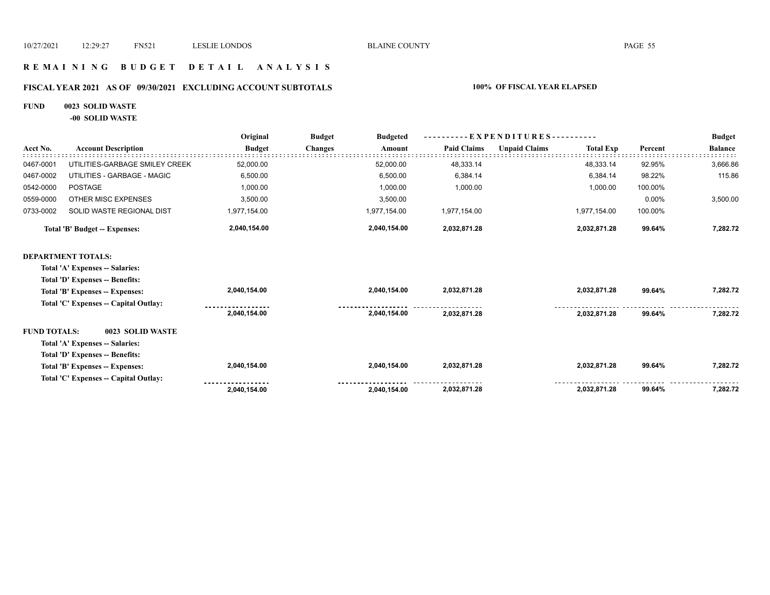#### **R E M A I N I N G B U D G E T D E T A I L A N A L Y S I S**

## **FISCAL YEAR 2021 AS OF 09/30/2021 EXCLUDING ACCOUNT SUBTOTALS 100% OF FISCAL YEAR ELAPSED**

#### **FUND 0023 SOLID WASTE**

**-00 SOLID WASTE**

|                     |                                       | Original      | <b>Budget</b><br>$-EXPENDITURES$ ---------<br><b>Budgeted</b> |                    |                      |                  |         | <b>Budget</b>  |
|---------------------|---------------------------------------|---------------|---------------------------------------------------------------|--------------------|----------------------|------------------|---------|----------------|
| Acct No.            | <b>Account Description</b>            | <b>Budget</b> | <b>Changes</b><br>Amount                                      | <b>Paid Claims</b> | <b>Unpaid Claims</b> | <b>Total Exp</b> | Percent | <b>Balance</b> |
| 0467-0001           | UTILITIES-GARBAGE SMILEY CREEK        | 52,000.00     | 52,000.00                                                     | 48,333.14          |                      | 48,333.14        | 92.95%  | 3,666.86       |
| 0467-0002           | UTILITIES - GARBAGE - MAGIC           | 6,500.00      | 6,500.00                                                      | 6,384.14           |                      | 6,384.14         | 98.22%  | 115.86         |
| 0542-0000           | <b>POSTAGE</b>                        | 1,000.00      | 1,000.00                                                      | 1,000.00           |                      | 1,000.00         | 100.00% |                |
| 0559-0000           | OTHER MISC EXPENSES                   | 3,500.00      | 3,500.00                                                      |                    |                      |                  | 0.00%   | 3,500.00       |
| 0733-0002           | SOLID WASTE REGIONAL DIST             | 1,977,154.00  | 1,977,154.00                                                  | 1,977,154.00       |                      | 1,977,154.00     | 100.00% |                |
|                     | <b>Total 'B' Budget -- Expenses:</b>  | 2,040,154.00  | 2,040,154.00                                                  | 2,032,871.28       |                      | 2,032,871.28     | 99.64%  | 7,282.72       |
|                     | <b>DEPARTMENT TOTALS:</b>             |               |                                                               |                    |                      |                  |         |                |
|                     | Total 'A' Expenses -- Salaries:       |               |                                                               |                    |                      |                  |         |                |
|                     | Total 'D' Expenses -- Benefits:       |               |                                                               |                    |                      |                  |         |                |
|                     | Total 'B' Expenses -- Expenses:       | 2,040,154.00  | 2,040,154.00                                                  | 2,032,871.28       |                      | 2,032,871.28     | 99.64%  | 7,282.72       |
|                     | Total 'C' Expenses -- Capital Outlay: |               |                                                               |                    |                      |                  |         |                |
|                     |                                       | 2,040,154.00  | 2,040,154.00                                                  | 2,032,871.28       |                      | 2,032,871.28     | 99.64%  | 7,282.72       |
| <b>FUND TOTALS:</b> | 0023 SOLID WASTE                      |               |                                                               |                    |                      |                  |         |                |
|                     | Total 'A' Expenses -- Salaries:       |               |                                                               |                    |                      |                  |         |                |
|                     | Total 'D' Expenses -- Benefits:       |               |                                                               |                    |                      |                  |         |                |
|                     | Total 'B' Expenses -- Expenses:       | 2,040,154.00  | 2,040,154.00                                                  | 2,032,871.28       |                      | 2,032,871.28     | 99.64%  | 7,282.72       |
|                     | Total 'C' Expenses - Capital Outlay:  |               |                                                               |                    |                      |                  |         |                |
|                     |                                       | 2,040,154.00  | 2,040,154.00                                                  | 2,032,871.28       |                      | 2,032,871.28     | 99.64%  | 7,282.72       |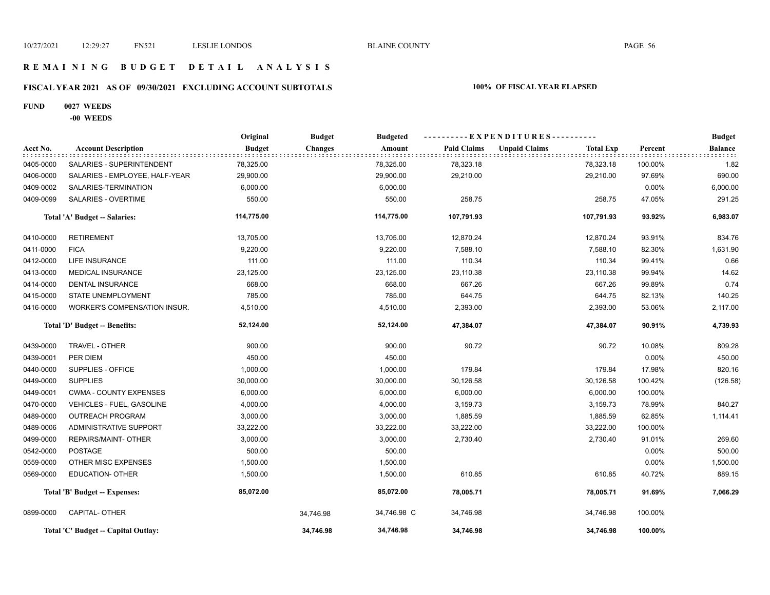#### **R E M A I N I N G B U D G E T D E T A I L A N A L Y S I S**

## **FISCAL YEAR 2021 AS OF 09/30/2021 EXCLUDING ACCOUNT SUBTOTALS 100% OF FISCAL YEAR ELAPSED**

#### **FUND 0027 WEEDS**

#### **-00 WEEDS**

|           |                                     | Original      | <b>Budget</b>  | <b>Budgeted</b> | ----------EXPENDITURES---------- |                      | <b>Budget</b>    |         |              |
|-----------|-------------------------------------|---------------|----------------|-----------------|----------------------------------|----------------------|------------------|---------|--------------|
| Acct No.  | <b>Account Description</b>          | <b>Budget</b> | <b>Changes</b> | Amount          | <b>Paid Claims</b>               | <b>Unpaid Claims</b> | <b>Total Exp</b> | Percent | Balance<br>. |
| 0405-0000 | SALARIES - SUPERINTENDENT           | 78,325.00     |                | 78,325.00       | 78,323.18                        |                      | 78,323.18        | 100.00% | 1.82         |
| 0406-0000 | SALARIES - EMPLOYEE, HALF-YEAR      | 29,900.00     |                | 29,900.00       | 29,210.00                        |                      | 29,210.00        | 97.69%  | 690.00       |
| 0409-0002 | SALARIES-TERMINATION                | 6,000.00      |                | 6,000.00        |                                  |                      |                  | 0.00%   | 6,000.00     |
| 0409-0099 | SALARIES - OVERTIME                 | 550.00        |                | 550.00          | 258.75                           |                      | 258.75           | 47.05%  | 291.25       |
|           | Total 'A' Budget -- Salaries:       | 114,775.00    |                | 114,775.00      | 107,791.93                       |                      | 107,791.93       | 93.92%  | 6,983.07     |
| 0410-0000 | <b>RETIREMENT</b>                   | 13,705.00     |                | 13,705.00       | 12,870.24                        |                      | 12,870.24        | 93.91%  | 834.76       |
| 0411-0000 | <b>FICA</b>                         | 9,220.00      |                | 9,220.00        | 7,588.10                         |                      | 7,588.10         | 82.30%  | 1,631.90     |
| 0412-0000 | <b>LIFE INSURANCE</b>               | 111.00        |                | 111.00          | 110.34                           |                      | 110.34           | 99.41%  | 0.66         |
| 0413-0000 | MEDICAL INSURANCE                   | 23,125.00     |                | 23,125.00       | 23,110.38                        |                      | 23,110.38        | 99.94%  | 14.62        |
| 0414-0000 | <b>DENTAL INSURANCE</b>             | 668.00        |                | 668.00          | 667.26                           |                      | 667.26           | 99.89%  | 0.74         |
| 0415-0000 | STATE UNEMPLOYMENT                  | 785.00        |                | 785.00          | 644.75                           |                      | 644.75           | 82.13%  | 140.25       |
| 0416-0000 | WORKER'S COMPENSATION INSUR.        | 4,510.00      |                | 4,510.00        | 2,393.00                         |                      | 2,393.00         | 53.06%  | 2,117.00     |
|           | Total 'D' Budget -- Benefits:       | 52,124.00     |                | 52,124.00       | 47,384.07                        |                      | 47,384.07        | 90.91%  | 4,739.93     |
| 0439-0000 | TRAVEL - OTHER                      | 900.00        |                | 900.00          | 90.72                            |                      | 90.72            | 10.08%  | 809.28       |
| 0439-0001 | PER DIEM                            | 450.00        |                | 450.00          |                                  |                      |                  | 0.00%   | 450.00       |
| 0440-0000 | SUPPLIES - OFFICE                   | 1,000.00      |                | 1,000.00        | 179.84                           |                      | 179.84           | 17.98%  | 820.16       |
| 0449-0000 | <b>SUPPLIES</b>                     | 30,000.00     |                | 30,000.00       | 30,126.58                        |                      | 30,126.58        | 100.42% | (126.58)     |
| 0449-0001 | <b>CWMA - COUNTY EXPENSES</b>       | 6,000.00      |                | 6,000.00        | 6,000.00                         |                      | 6,000.00         | 100.00% |              |
| 0470-0000 | <b>VEHICLES - FUEL, GASOLINE</b>    | 4,000.00      |                | 4,000.00        | 3,159.73                         |                      | 3,159.73         | 78.99%  | 840.27       |
| 0489-0000 | <b>OUTREACH PROGRAM</b>             | 3,000.00      |                | 3,000.00        | 1,885.59                         |                      | 1,885.59         | 62.85%  | 1,114.41     |
| 0489-0006 | <b>ADMINISTRATIVE SUPPORT</b>       | 33,222.00     |                | 33,222.00       | 33,222.00                        |                      | 33,222.00        | 100.00% |              |
| 0499-0000 | <b>REPAIRS/MAINT- OTHER</b>         | 3,000.00      |                | 3,000.00        | 2,730.40                         |                      | 2,730.40         | 91.01%  | 269.60       |
| 0542-0000 | <b>POSTAGE</b>                      | 500.00        |                | 500.00          |                                  |                      |                  | 0.00%   | 500.00       |
| 0559-0000 | OTHER MISC EXPENSES                 | 1,500.00      |                | 1,500.00        |                                  |                      |                  | 0.00%   | 1,500.00     |
| 0569-0000 | <b>EDUCATION- OTHER</b>             | 1,500.00      |                | 1,500.00        | 610.85                           |                      | 610.85           | 40.72%  | 889.15       |
|           | Total 'B' Budget -- Expenses:       | 85,072.00     |                | 85,072.00       | 78,005.71                        |                      | 78,005.71        | 91.69%  | 7,066.29     |
| 0899-0000 | <b>CAPITAL- OTHER</b>               |               | 34,746.98      | 34,746.98 C     | 34,746.98                        |                      | 34,746.98        | 100.00% |              |
|           | Total 'C' Budget -- Capital Outlay: |               | 34,746.98      | 34,746.98       | 34,746.98                        |                      | 34,746.98        | 100.00% |              |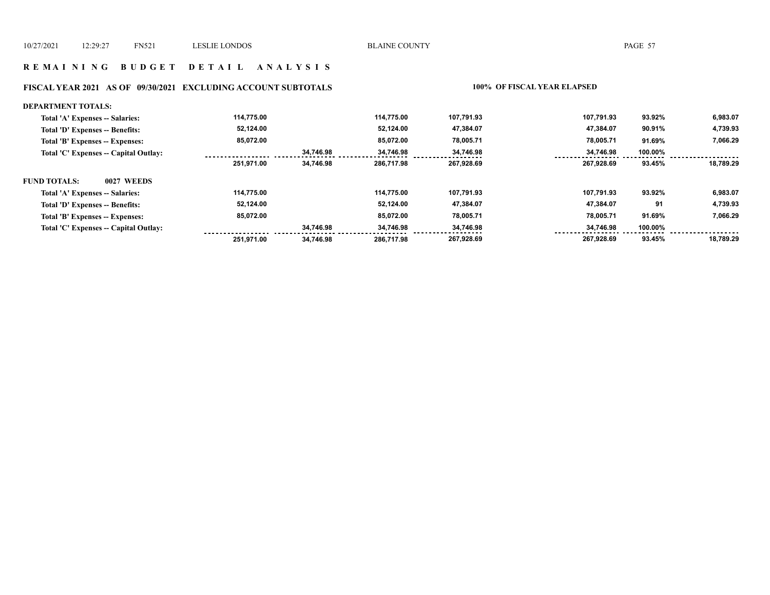#### **R E M A I N I N G B U D G E T D E T A I L A N A L Y S I S**

#### **FISCAL YEAR 2021 AS OF 09/30/2021 EXCLUDING ACCOUNT SUBTOTALS 100% OF FISCAL YEAR ELAPSED**

#### **DEPARTMENT TOTALS: 114,775.00 114,775.00 107,791.93 107,791.93 93.92% 6,983.07 Total 'A' Expenses -- Salaries: 4,739.93 Total 'D' Expenses -- Benefits: 52,124.00 52,124.00 47,384.07 47,384.07 90.91% 85,072.00 85,072.00 78,005.71 78,005.71 7,066.29 Total 'B' Expenses -- Expenses: 91.69% 34,746.98 34,746.98 100.00% Total 'C' Expenses -- Capital Outlay: 34,746.98 34,746.98** <u>. . . . . .</u> . . . . . . ........  **251,971.00 34,746.98 286,717.98 267,928.69 267,928.69 93.45% 18,789.29 FUND TOTALS: 0027 WEEDSTotal 'A' Expenses -- Salaries: 114,775.00 114,775.00 107,791.93 107,791.93 93.92% 6,983.07 52,124.00 52,124.00 47,384.07 47,384.07 4,739.93 Total 'D' Expenses -- Benefits: 91 85,072.00 85,072.00 78,005.71 78,005.71 91.69% 7,066.29 Total 'B' Expenses -- Expenses: Total 'C' Expenses -- Capital Outlay: 34,746.98 34,746.98 34,746.98 34,746.98 100.00%** ................. . . . .  **286,717.98 251,971.00 34,746.98 267,928.69 267,928.69 93.45% 18,789.29**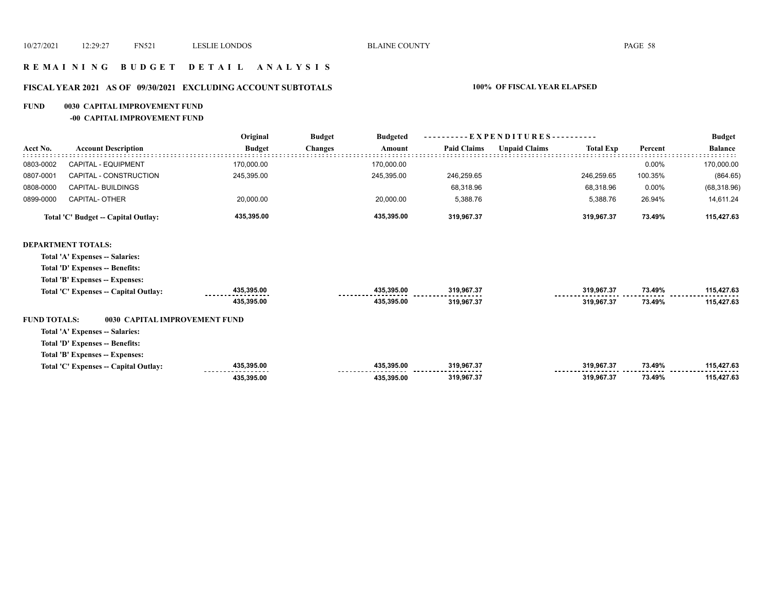#### **R E M A I N I N G B U D G E T D E T A I L A N A L Y S I S**

## **FISCAL YEAR 2021 AS OF 09/30/2021 EXCLUDING ACCOUNT SUBTOTALS 100% OF FISCAL YEAR ELAPSED**

#### **FUND 0030 CAPITAL IMPROVEMENT FUND**

**-00 CAPITAL IMPROVEMENT FUND**

|                     |                                       | Original      | <b>Budget</b><br><b>Budgeted</b> | $-EXPENDITURES$ --------- |                      |                  |         | <b>Budget</b>  |
|---------------------|---------------------------------------|---------------|----------------------------------|---------------------------|----------------------|------------------|---------|----------------|
| Acct No.            | <b>Account Description</b>            | <b>Budget</b> | <b>Changes</b><br>Amount         | <b>Paid Claims</b>        | <b>Unpaid Claims</b> | <b>Total Exp</b> | Percent | <b>Balance</b> |
| 0803-0002           | CAPITAL - EQUIPMENT                   | 170,000.00    | 170,000.00                       |                           |                      |                  | 0.00%   | 170,000.00     |
| 0807-0001           | CAPITAL - CONSTRUCTION                | 245,395.00    | 245,395.00                       | 246,259.65                |                      | 246,259.65       | 100.35% | (864.65)       |
| 0808-0000           | CAPITAL- BUILDINGS                    |               |                                  | 68,318.96                 |                      | 68,318.96        | 0.00%   | (68, 318.96)   |
| 0899-0000           | <b>CAPITAL- OTHER</b>                 | 20,000.00     | 20,000.00                        | 5,388.76                  |                      | 5,388.76         | 26.94%  | 14,611.24      |
|                     | Total 'C' Budget -- Capital Outlay:   | 435,395.00    | 435,395.00                       | 319,967.37                |                      | 319,967.37       | 73.49%  | 115,427.63     |
|                     | <b>DEPARTMENT TOTALS:</b>             |               |                                  |                           |                      |                  |         |                |
|                     | Total 'A' Expenses -- Salaries:       |               |                                  |                           |                      |                  |         |                |
|                     | Total 'D' Expenses -- Benefits:       |               |                                  |                           |                      |                  |         |                |
|                     | Total 'B' Expenses -- Expenses:       |               |                                  |                           |                      |                  |         |                |
|                     | Total 'C' Expenses -- Capital Outlay: | 435,395.00    | 435,395.00                       | 319,967.37                |                      | 319,967.37       | 73.49%  | 115,427.63     |
|                     |                                       | 435,395.00    | 435,395.00                       | 319.967.37                |                      | 319.967.37       | 73.49%  | 115,427.63     |
| <b>FUND TOTALS:</b> | 0030 CAPITAL IMPROVEMENT FUND         |               |                                  |                           |                      |                  |         |                |
|                     | Total 'A' Expenses -- Salaries:       |               |                                  |                           |                      |                  |         |                |
|                     | Total 'D' Expenses -- Benefits:       |               |                                  |                           |                      |                  |         |                |
|                     | Total 'B' Expenses -- Expenses:       |               |                                  |                           |                      |                  |         |                |
|                     | Total 'C' Expenses -- Capital Outlay: | 435,395.00    | 435,395.00                       | 319,967.37                |                      | 319,967.37       | 73.49%  | 115,427.63     |
|                     |                                       | 435,395.00    | 435,395.00                       | 319,967.37                |                      | 319,967.37       | 73.49%  | 115,427.63     |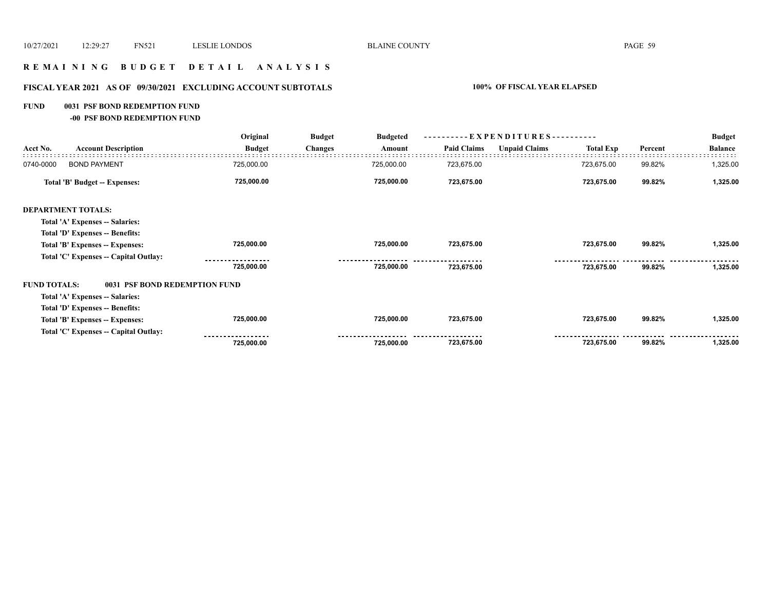#### **R E M A I N I N G B U D G E T D E T A I L A N A L Y S I S**

## **FISCAL YEAR 2021 AS OF 09/30/2021 EXCLUDING ACCOUNT SUBTOTALS 100% OF FISCAL YEAR ELAPSED**

#### **FUND 0031 PSF BOND REDEMPTION FUND**

**-00 PSF BOND REDEMPTION FUND**

|                                       | Original      | <b>Budget</b>                 | <b>Budgeted</b> |                    |                      |                  |                                  | <b>Budget</b>  |
|---------------------------------------|---------------|-------------------------------|-----------------|--------------------|----------------------|------------------|----------------------------------|----------------|
| <b>Account Description</b>            | <b>Budget</b> | <b>Changes</b>                | Amount          | <b>Paid Claims</b> | <b>Unpaid Claims</b> | <b>Total Exp</b> | Percent                          | <b>Balance</b> |
| <b>BOND PAYMENT</b>                   | 725,000.00    |                               | 725,000.00      | 723,675.00         |                      | 723,675.00       | 99.82%                           | 1,325.00       |
| Total 'B' Budget -- Expenses:         | 725,000.00    |                               | 725,000.00      | 723,675.00         |                      | 723,675.00       | 99.82%                           | 1,325.00       |
| <b>DEPARTMENT TOTALS:</b>             |               |                               |                 |                    |                      |                  |                                  |                |
| Total 'A' Expenses -- Salaries:       |               |                               |                 |                    |                      |                  |                                  |                |
| Total 'D' Expenses -- Benefits:       |               |                               |                 |                    |                      |                  |                                  |                |
| Total 'B' Expenses -- Expenses:       | 725,000.00    |                               | 725,000.00      | 723,675.00         |                      | 723,675.00       | 99.82%                           | 1,325.00       |
| Total 'C' Expenses -- Capital Outlay: |               |                               |                 |                    |                      |                  |                                  |                |
|                                       | 725,000.00    |                               | 725,000.00      | 723,675.00         |                      | 723,675.00       | 99.82%                           | 1,325.00       |
| <b>FUND TOTALS:</b>                   |               |                               |                 |                    |                      |                  |                                  |                |
| Total 'A' Expenses -- Salaries:       |               |                               |                 |                    |                      |                  |                                  |                |
| Total 'D' Expenses -- Benefits:       |               |                               |                 |                    |                      |                  |                                  |                |
| Total 'B' Expenses -- Expenses:       | 725,000.00    |                               | 725,000.00      | 723,675.00         |                      | 723,675.00       | 99.82%                           | 1,325.00       |
| Total 'C' Expenses -- Capital Outlay: |               |                               |                 |                    |                      |                  |                                  |                |
|                                       | 725,000.00    |                               | 725,000.00      | 723,675.00         |                      | 723,675.00       | 99.82%                           | 1,325.00       |
|                                       |               | 0031 PSF BOND REDEMPTION FUND |                 |                    |                      |                  | ----------EXPENDITURES---------- |                |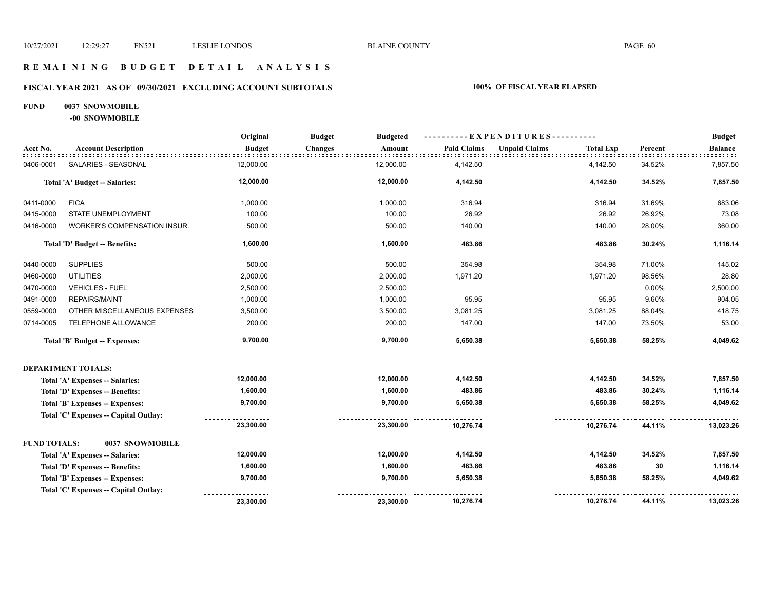#### **R E M A I N I N G B U D G E T D E T A I L A N A L Y S I S**

#### **FISCAL YEAR 2021 AS OF 09/30/2021 EXCLUDING ACCOUNT SUBTOTALS 100% OF FISCAL YEAR ELAPSED**

#### **FUND 0037 SNOWMOBILE**

**-00 SNOWMOBILE**

|                     |                                        | Original      | <b>Budget</b><br><b>Budgeted</b> |                    | $-$ EXPENDITURES----------               |         | <b>Budget</b>  |
|---------------------|----------------------------------------|---------------|----------------------------------|--------------------|------------------------------------------|---------|----------------|
| Acct No.            | <b>Account Description</b>             | <b>Budget</b> | <b>Changes</b><br>Amount         | <b>Paid Claims</b> | <b>Unpaid Claims</b><br><b>Total Exp</b> | Percent | <b>Balance</b> |
| 0406-0001           | SALARIES - SEASONAL                    | 12,000.00     | 12,000.00                        | 4,142.50           | 4,142.50                                 | 34.52%  | 7,857.50       |
|                     | <b>Total 'A' Budget -- Salaries:</b>   | 12,000.00     | 12,000.00                        | 4,142.50           | 4,142.50                                 | 34.52%  | 7,857.50       |
| 0411-0000           | <b>FICA</b>                            | 1,000.00      | 1,000.00                         | 316.94             | 316.94                                   | 31.69%  | 683.06         |
| 0415-0000           | STATE UNEMPLOYMENT                     | 100.00        | 100.00                           | 26.92              | 26.92                                    | 26.92%  | 73.08          |
| 0416-0000           | WORKER'S COMPENSATION INSUR.           | 500.00        | 500.00                           | 140.00             | 140.00                                   | 28.00%  | 360.00         |
|                     | Total 'D' Budget -- Benefits:          | 1,600.00      | 1,600.00                         | 483.86             | 483.86                                   | 30.24%  | 1,116.14       |
| 0440-0000           | <b>SUPPLIES</b>                        | 500.00        | 500.00                           | 354.98             | 354.98                                   | 71.00%  | 145.02         |
| 0460-0000           | <b>UTILITIES</b>                       | 2,000.00      | 2,000.00                         | 1,971.20           | 1,971.20                                 | 98.56%  | 28.80          |
| 0470-0000           | <b>VEHICLES - FUEL</b>                 | 2,500.00      | 2,500.00                         |                    |                                          | 0.00%   | 2,500.00       |
| 0491-0000           | <b>REPAIRS/MAINT</b>                   | 1,000.00      | 1,000.00                         | 95.95              | 95.95                                    | 9.60%   | 904.05         |
| 0559-0000           | OTHER MISCELLANEOUS EXPENSES           | 3,500.00      | 3,500.00                         | 3,081.25           | 3,081.25                                 | 88.04%  | 418.75         |
| 0714-0005           | TELEPHONE ALLOWANCE                    | 200.00        | 200.00                           | 147.00             | 147.00                                   | 73.50%  | 53.00          |
|                     | <b>Total 'B' Budget -- Expenses:</b>   | 9,700.00      | 9,700.00                         | 5,650.38           | 5,650.38                                 | 58.25%  | 4,049.62       |
|                     | <b>DEPARTMENT TOTALS:</b>              |               |                                  |                    |                                          |         |                |
|                     | Total 'A' Expenses -- Salaries:        | 12,000.00     | 12,000.00                        | 4,142.50           | 4,142.50                                 | 34.52%  | 7,857.50       |
|                     | Total 'D' Expenses -- Benefits:        | 1,600.00      | 1,600.00                         | 483.86             | 483.86                                   | 30.24%  | 1,116.14       |
|                     | Total 'B' Expenses -- Expenses:        | 9,700.00      | 9,700.00                         | 5,650.38           | 5,650.38                                 | 58.25%  | 4,049.62       |
|                     | Total 'C' Expenses - Capital Outlay:   |               |                                  |                    |                                          |         |                |
|                     |                                        | 23,300.00     | 23,300.00                        | 10,276.74          | 10,276.74                                | 44.11%  | 13,023.26      |
| <b>FUND TOTALS:</b> | 0037 SNOWMOBILE                        |               |                                  |                    |                                          |         |                |
|                     | Total 'A' Expenses -- Salaries:        | 12,000.00     | 12,000.00                        | 4,142.50           | 4,142.50                                 | 34.52%  | 7,857.50       |
|                     | <b>Total 'D' Expenses -- Benefits:</b> | 1,600.00      | 1,600.00                         | 483.86             | 483.86                                   | 30      | 1,116.14       |
|                     | Total 'B' Expenses -- Expenses:        | 9,700.00      | 9,700.00                         | 5,650.38           | 5,650.38                                 | 58.25%  | 4,049.62       |
|                     | Total 'C' Expenses -- Capital Outlay:  |               |                                  |                    |                                          |         |                |
|                     |                                        | 23,300.00     | 23,300.00                        | 10,276.74          | 10,276.74                                | 44.11%  | 13,023.26      |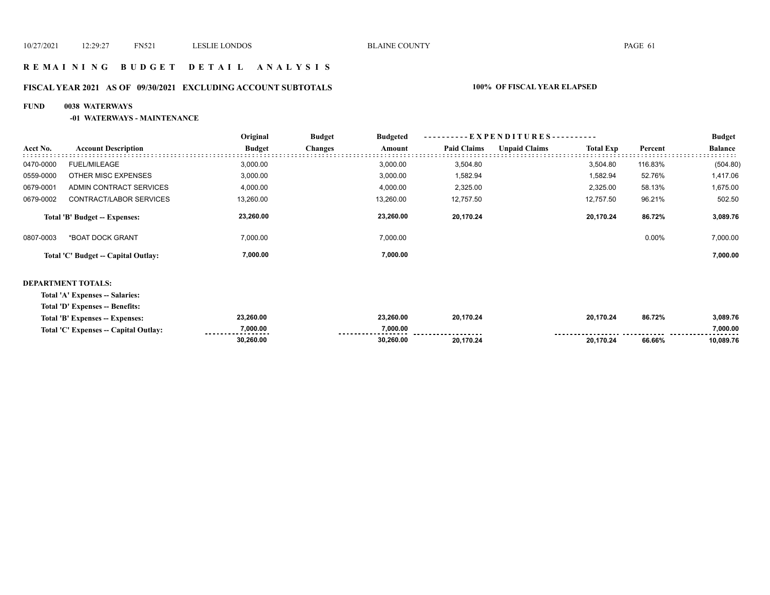#### **R E M A I N I N G B U D G E T D E T A I L A N A L Y S I S**

## **FISCAL YEAR 2021 AS OF 09/30/2021 EXCLUDING ACCOUNT SUBTOTALS 100% OF FISCAL YEAR ELAPSED**

#### **FUND 0038 WATERWAYS**

#### **-01 WATERWAYS - MAINTENANCE**

|           |                                     | Original      | <b>Budget</b>  | <b>Budgeted</b> | $-EXPENDITURES$ --------- |                      |                  |          | <b>Budget</b>  |
|-----------|-------------------------------------|---------------|----------------|-----------------|---------------------------|----------------------|------------------|----------|----------------|
| Acct No.  | <b>Account Description</b>          | <b>Budget</b> | <b>Changes</b> | Amount          | <b>Paid Claims</b>        | <b>Unpaid Claims</b> | <b>Total Exp</b> | Percent  | <b>Balance</b> |
| 0470-0000 | <b>FUEL/MILEAGE</b>                 | 3.000.00      |                | 3.000.00        | 3.504.80                  |                      | 3.504.80         | 116.83%  | (504.80)       |
| 0559-0000 | OTHER MISC EXPENSES                 | 3,000.00      |                | 3,000.00        | 1,582.94                  |                      | 1,582.94         | 52.76%   | 1,417.06       |
| 0679-0001 | ADMIN CONTRACT SERVICES             | 4,000.00      |                | 4,000.00        | 2,325.00                  |                      | 2,325.00         | 58.13%   | 1,675.00       |
| 0679-0002 | CONTRACT/LABOR SERVICES             | 13,260.00     |                | 13,260.00       | 12,757.50                 |                      | 12.757.50        | 96.21%   | 502.50         |
|           | Total 'B' Budget -- Expenses:       | 23,260.00     |                | 23,260.00       | 20,170.24                 |                      | 20.170.24        | 86.72%   | 3,089.76       |
| 0807-0003 | *BOAT DOCK GRANT                    | 7,000.00      |                | 7,000.00        |                           |                      |                  | $0.00\%$ | 7,000.00       |
|           | Total 'C' Budget -- Capital Outlay: | 7,000.00      |                | 7,000.00        |                           |                      |                  |          | 7,000.00       |
|           |                                     |               |                |                 |                           |                      |                  |          |                |

#### **DEPARTMENT TOTALS:**

**Total 'A' Expenses -- Salaries:**

**Total 'D' Expenses -- Benefits:**

| Total 'B' E<br>Exnenses<br>Expenses:              | 23.260.00     | 23.260.00 | 20.170.24            | 20.170.24 | 86.72% | 3.089.76  |
|---------------------------------------------------|---------------|-----------|----------------------|-----------|--------|-----------|
| Total 'C' Expenses -- 0<br><b>Capital Outlay:</b> | 7,000.00<br>. | 7.000.00  | -------------------- |           |        | 7.000.00  |
|                                                   | 30.260.00     | 30.260.00 | 20.170.24            | 20.170.24 | 66.66% | 10,089.76 |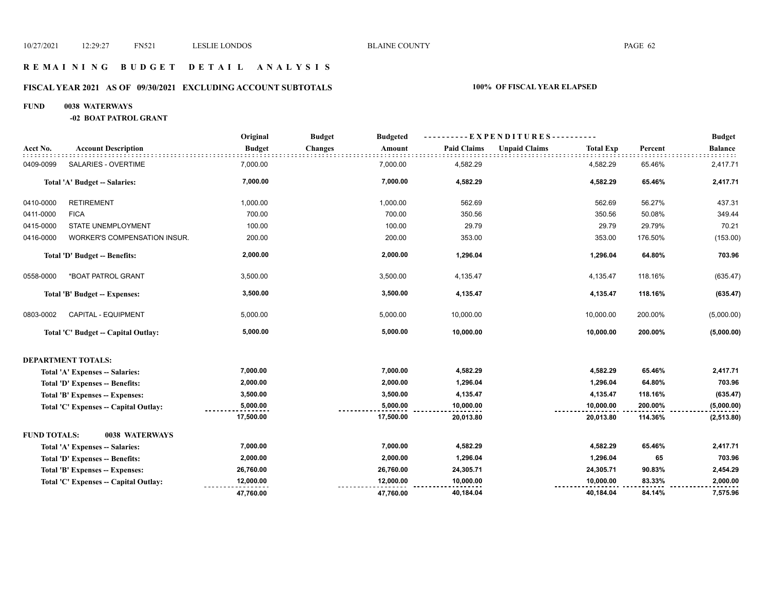#### **R E M A I N I N G B U D G E T D E T A I L A N A L Y S I S**

## **FISCAL YEAR 2021 AS OF 09/30/2021 EXCLUDING ACCOUNT SUBTOTALS 100% OF FISCAL YEAR ELAPSED**

#### **FUND 0038 WATERWAYS**

**-02 BOAT PATROL GRANT**

|                     |                                       | Original      | <b>Budget</b><br><b>Budgeted</b> |                    | ----------EXPENDITURES---------- |                  |         | <b>Budget</b>  |
|---------------------|---------------------------------------|---------------|----------------------------------|--------------------|----------------------------------|------------------|---------|----------------|
| Acct No.            | <b>Account Description</b>            | <b>Budget</b> | <b>Changes</b><br>Amount         | <b>Paid Claims</b> | <b>Unpaid Claims</b>             | <b>Total Exp</b> | Percent | <b>Balance</b> |
| 0409-0099           | SALARIES - OVERTIME                   | 7,000.00      | 7,000.00                         | 4,582.29           |                                  | 4,582.29         | 65.46%  | 2,417.71       |
|                     | Total 'A' Budget -- Salaries:         | 7,000.00      | 7,000.00                         | 4,582.29           |                                  | 4,582.29         | 65.46%  | 2,417.71       |
| 0410-0000           | <b>RETIREMENT</b>                     | 1,000.00      | 1,000.00                         | 562.69             |                                  | 562.69           | 56.27%  | 437.31         |
| 0411-0000           | <b>FICA</b>                           | 700.00        | 700.00                           | 350.56             |                                  | 350.56           | 50.08%  | 349.44         |
| 0415-0000           | STATE UNEMPLOYMENT                    | 100.00        | 100.00                           | 29.79              |                                  | 29.79            | 29.79%  | 70.21          |
| 0416-0000           | WORKER'S COMPENSATION INSUR.          | 200.00        | 200.00                           | 353.00             |                                  | 353.00           | 176.50% | (153.00)       |
|                     | Total 'D' Budget -- Benefits:         | 2,000.00      | 2,000.00                         | 1,296.04           |                                  | 1,296.04         | 64.80%  | 703.96         |
| 0558-0000           | *BOAT PATROL GRANT                    | 3,500.00      | 3,500.00                         | 4,135.47           |                                  | 4,135.47         | 118.16% | (635.47)       |
|                     | Total 'B' Budget -- Expenses:         | 3,500.00      | 3,500.00                         | 4,135.47           |                                  | 4,135.47         | 118.16% | (635.47)       |
| 0803-0002           | CAPITAL - EQUIPMENT                   | 5,000.00      | 5,000.00                         | 10,000.00          |                                  | 10,000.00        | 200.00% | (5,000.00)     |
|                     | Total 'C' Budget -- Capital Outlay:   | 5,000.00      | 5,000.00                         | 10,000.00          |                                  | 10,000.00        | 200.00% | (5,000.00)     |
|                     | <b>DEPARTMENT TOTALS:</b>             |               |                                  |                    |                                  |                  |         |                |
|                     | Total 'A' Expenses -- Salaries:       | 7,000.00      | 7,000.00                         | 4,582.29           |                                  | 4,582.29         | 65.46%  | 2,417.71       |
|                     | Total 'D' Expenses -- Benefits:       | 2,000.00      | 2,000.00                         | 1,296.04           |                                  | 1,296.04         | 64.80%  | 703.96         |
|                     | Total 'B' Expenses -- Expenses:       | 3,500.00      | 3,500.00                         | 4,135.47           |                                  | 4,135.47         | 118.16% | (635.47)       |
|                     | Total 'C' Expenses -- Capital Outlay: | 5,000.00      | 5,000.00                         | 10,000.00          |                                  | 10,000.00        | 200.00% | (5,000.00)     |
|                     |                                       | 17,500.00     | 17,500.00                        | 20,013.80          |                                  | 20,013.80        | 114.36% | (2, 513.80)    |
| <b>FUND TOTALS:</b> | 0038 WATERWAYS                        |               |                                  |                    |                                  |                  |         |                |
|                     | Total 'A' Expenses -- Salaries:       | 7,000.00      | 7,000.00                         | 4,582.29           |                                  | 4,582.29         | 65.46%  | 2,417.71       |
|                     | Total 'D' Expenses -- Benefits:       | 2,000.00      | 2,000.00                         | 1,296.04           |                                  | 1,296.04         | 65      | 703.96         |
|                     | Total 'B' Expenses -- Expenses:       | 26,760.00     | 26,760.00                        | 24,305.71          |                                  | 24,305.71        | 90.83%  | 2,454.29       |
|                     | Total 'C' Expenses - Capital Outlay:  | 12,000.00     | 12,000.00                        | 10,000.00          |                                  | 10,000.00        | 83.33%  | 2,000.00       |
|                     |                                       | 47.760.00     | 47,760.00                        | 40,184.04          |                                  | 40,184.04        | 84.14%  | 7,575.96       |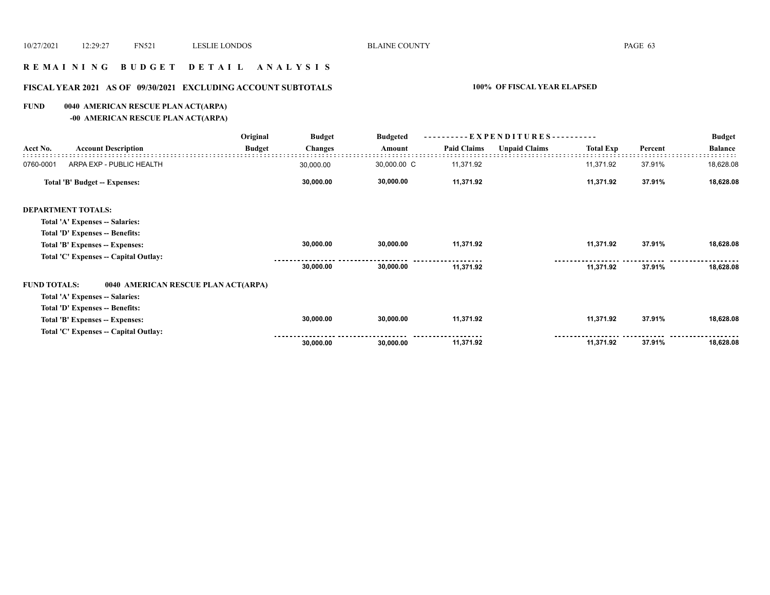#### **R E M A I N I N G B U D G E T D E T A I L A N A L Y S I S**

## **FISCAL YEAR 2021 AS OF 09/30/2021 EXCLUDING ACCOUNT SUBTOTALS 100% OF FISCAL YEAR ELAPSED**

#### **FUND 0040 AMERICAN RESCUE PLAN ACT(ARPA)**

**-00 AMERICAN RESCUE PLAN ACT(ARPA)**

|                     |                                       | Original      | <b>Budget</b>  | <b>Budgeted</b> | ----------EXPENDITURES---------- |                      |                  |         | <b>Budget</b>  |
|---------------------|---------------------------------------|---------------|----------------|-----------------|----------------------------------|----------------------|------------------|---------|----------------|
| Acct No.            | <b>Account Description</b>            | <b>Budget</b> | <b>Changes</b> | Amount          | <b>Paid Claims</b>               | <b>Unpaid Claims</b> | <b>Total Exp</b> | Percent | <b>Balance</b> |
| 0760-0001           | ARPA EXP - PUBLIC HEALTH              |               | 30,000.00      | 30,000.00 C     | 11,371.92                        |                      | 11,371.92        | 37.91%  | 18,628.08      |
|                     | Total 'B' Budget -- Expenses:         |               | 30,000.00      | 30,000.00       | 11,371.92                        |                      | 11,371.92        | 37.91%  | 18,628.08      |
|                     | <b>DEPARTMENT TOTALS:</b>             |               |                |                 |                                  |                      |                  |         |                |
|                     | Total 'A' Expenses -- Salaries:       |               |                |                 |                                  |                      |                  |         |                |
|                     | Total 'D' Expenses -- Benefits:       |               |                |                 |                                  |                      |                  |         |                |
|                     | Total 'B' Expenses -- Expenses:       |               | 30,000.00      | 30,000.00       | 11,371.92                        |                      | 11,371.92        | 37.91%  | 18,628.08      |
|                     | Total 'C' Expenses -- Capital Outlay: |               |                |                 |                                  |                      |                  |         |                |
|                     |                                       |               | 30,000.00      | 30,000.00       | 11,371.92                        |                      | 11,371.92        | 37.91%  | 18,628.08      |
| <b>FUND TOTALS:</b> | 0040 AMERICAN RESCUE PLAN ACT(ARPA)   |               |                |                 |                                  |                      |                  |         |                |
|                     | Total 'A' Expenses -- Salaries:       |               |                |                 |                                  |                      |                  |         |                |
|                     | Total 'D' Expenses -- Benefits:       |               |                |                 |                                  |                      |                  |         |                |
|                     | Total 'B' Expenses -- Expenses:       |               | 30,000.00      | 30,000.00       | 11,371.92                        |                      | 11,371.92        | 37.91%  | 18,628.08      |
|                     | Total 'C' Expenses -- Capital Outlay: |               |                |                 |                                  |                      |                  |         |                |
|                     |                                       |               | 30,000.00      | 30,000.00       | 11,371.92                        |                      | 11,371.92        | 37.91%  | 18,628.08      |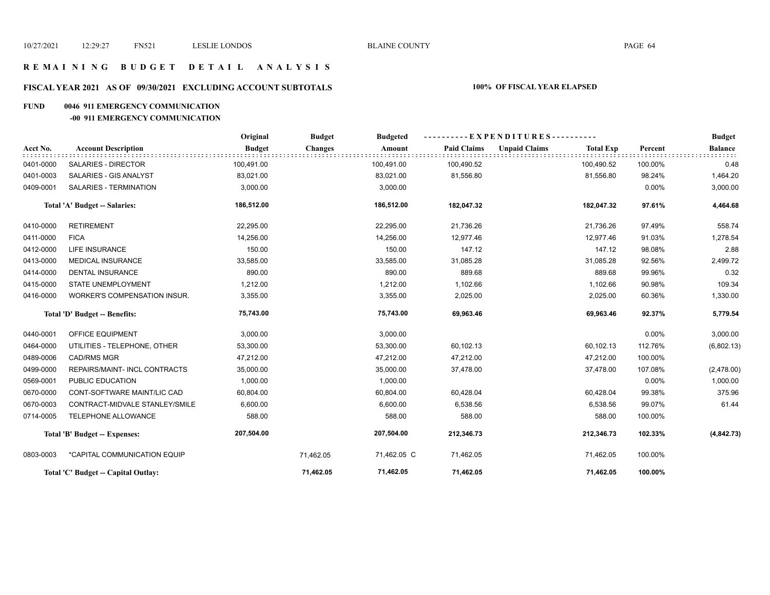#### **R E M A I N I N G B U D G E T D E T A I L A N A L Y S I S**

## **FISCAL YEAR 2021 AS OF 09/30/2021 EXCLUDING ACCOUNT SUBTOTALS 100% OF FISCAL YEAR ELAPSED**

#### **FUND 0046 911 EMERGENCY COMMUNICATION**

#### **-00 911 EMERGENCY COMMUNICATION**

|           |                                     | Original      | <b>Budget</b>  | <b>Budgeted</b> |                    | ----------EXPENDITURES---------- |                  |         | <b>Budget</b>  |
|-----------|-------------------------------------|---------------|----------------|-----------------|--------------------|----------------------------------|------------------|---------|----------------|
| Acct No.  | <b>Account Description</b>          | <b>Budget</b> | <b>Changes</b> | Amount          | <b>Paid Claims</b> | <b>Unpaid Claims</b>             | <b>Total Exp</b> | Percent | <b>Balance</b> |
| 0401-0000 | <b>SALARIES - DIRECTOR</b>          | 100,491.00    |                | 100,491.00      | 100,490.52         |                                  | 100,490.52       | 100.00% | 0.48           |
| 0401-0003 | SALARIES - GIS ANALYST              | 83,021.00     |                | 83,021.00       | 81,556.80          |                                  | 81,556.80        | 98.24%  | 1,464.20       |
| 0409-0001 | <b>SALARIES - TERMINATION</b>       | 3,000.00      |                | 3,000.00        |                    |                                  |                  | 0.00%   | 3,000.00       |
|           | Total 'A' Budget -- Salaries:       | 186,512.00    |                | 186,512.00      | 182,047.32         |                                  | 182,047.32       | 97.61%  | 4,464.68       |
| 0410-0000 | <b>RETIREMENT</b>                   | 22,295.00     |                | 22,295.00       | 21,736.26          |                                  | 21,736.26        | 97.49%  | 558.74         |
| 0411-0000 | <b>FICA</b>                         | 14,256.00     |                | 14,256.00       | 12,977.46          |                                  | 12,977.46        | 91.03%  | 1,278.54       |
| 0412-0000 | <b>LIFE INSURANCE</b>               | 150.00        |                | 150.00          | 147.12             |                                  | 147.12           | 98.08%  | 2.88           |
| 0413-0000 | <b>MEDICAL INSURANCE</b>            | 33,585.00     |                | 33,585.00       | 31,085.28          |                                  | 31,085.28        | 92.56%  | 2,499.72       |
| 0414-0000 | <b>DENTAL INSURANCE</b>             | 890.00        |                | 890.00          | 889.68             |                                  | 889.68           | 99.96%  | 0.32           |
| 0415-0000 | STATE UNEMPLOYMENT                  | 1,212.00      |                | 1,212.00        | 1,102.66           |                                  | 1,102.66         | 90.98%  | 109.34         |
| 0416-0000 | <b>WORKER'S COMPENSATION INSUR.</b> | 3,355.00      |                | 3,355.00        | 2,025.00           |                                  | 2,025.00         | 60.36%  | 1,330.00       |
|           | Total 'D' Budget -- Benefits:       | 75,743.00     |                | 75,743.00       | 69,963.46          |                                  | 69,963.46        | 92.37%  | 5,779.54       |
| 0440-0001 | OFFICE EQUIPMENT                    | 3,000.00      |                | 3,000.00        |                    |                                  |                  | 0.00%   | 3,000.00       |
| 0464-0000 | UTILITIES - TELEPHONE, OTHER        | 53,300.00     |                | 53,300.00       | 60,102.13          |                                  | 60,102.13        | 112.76% | (6,802.13)     |
| 0489-0006 | <b>CAD/RMS MGR</b>                  | 47,212.00     |                | 47,212.00       | 47,212.00          |                                  | 47,212.00        | 100.00% |                |
| 0499-0000 | REPAIRS/MAINT- INCL CONTRACTS       | 35,000.00     |                | 35,000.00       | 37,478.00          |                                  | 37,478.00        | 107.08% | (2,478.00)     |
| 0569-0001 | PUBLIC EDUCATION                    | 1,000.00      |                | 1,000.00        |                    |                                  |                  | 0.00%   | 1,000.00       |
| 0670-0000 | CONT-SOFTWARE MAINT/LIC CAD         | 60,804.00     |                | 60,804.00       | 60,428.04          |                                  | 60,428.04        | 99.38%  | 375.96         |
| 0670-0003 | CONTRACT-MIDVALE STANLEY/SMILE      | 6,600.00      |                | 6,600.00        | 6,538.56           |                                  | 6,538.56         | 99.07%  | 61.44          |
| 0714-0005 | TELEPHONE ALLOWANCE                 | 588.00        |                | 588.00          | 588.00             |                                  | 588.00           | 100.00% |                |
|           | Total 'B' Budget -- Expenses:       | 207,504.00    |                | 207,504.00      | 212,346.73         |                                  | 212,346.73       | 102.33% | (4, 842.73)    |
| 0803-0003 | *CAPITAL COMMUNICATION EQUIP        |               | 71,462.05      | 71,462.05 C     | 71,462.05          |                                  | 71,462.05        | 100.00% |                |
|           | Total 'C' Budget -- Capital Outlay: |               | 71,462.05      | 71,462.05       | 71,462.05          |                                  | 71,462.05        | 100.00% |                |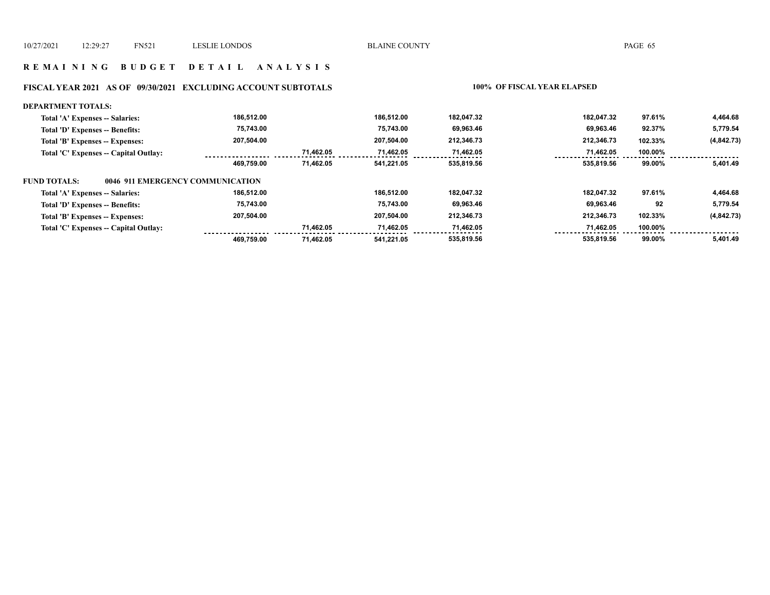#### **R E M A I N I N G B U D G E T D E T A I L A N A L Y S I S**

## **FISCAL YEAR 2021 AS OF 09/30/2021 EXCLUDING ACCOUNT SUBTOTALS 100% OF FISCAL YEAR ELAPSED**

| <b>DEPARTMENT TOTALS:</b>                               |            |           |            |            |            |         |             |
|---------------------------------------------------------|------------|-----------|------------|------------|------------|---------|-------------|
| Total 'A' Expenses -- Salaries:                         | 186.512.00 |           | 186.512.00 | 182,047.32 | 182.047.32 | 97.61%  | 4,464.68    |
| Total 'D' Expenses -- Benefits:                         | 75,743.00  |           | 75.743.00  | 69,963.46  | 69,963.46  | 92.37%  | 5,779.54    |
| Total 'B' Expenses -- Expenses:                         | 207.504.00 |           | 207.504.00 | 212,346.73 | 212,346.73 | 102.33% | (4, 842.73) |
| Total 'C' Expenses -- Capital Outlay:                   |            | 71.462.05 | 71.462.05  | 71,462.05  | 71,462.05  | 100.00% |             |
|                                                         | 469.759.00 | 71,462.05 | 541,221.05 | 535,819.56 | 535.819.56 | 99.00%  | 5.401.49    |
| 0046 911 EMERGENCY COMMUNICATION<br><b>FUND TOTALS:</b> |            |           |            |            |            |         |             |
| Total 'A' Expenses -- Salaries:                         | 186.512.00 |           | 186.512.00 | 182.047.32 | 182.047.32 | 97.61%  | 4,464.68    |
| Total 'D' Expenses -- Benefits:                         | 75,743.00  |           | 75.743.00  | 69,963.46  | 69,963.46  | 92      | 5,779.54    |
| Total 'B' Expenses -- Expenses:                         | 207,504.00 |           | 207,504.00 | 212,346.73 | 212,346.73 | 102.33% | (4, 842.73) |
| Total 'C' Expenses -- Capital Outlay:                   |            | 71.462.05 | 71.462.05  | 71,462.05  | 71,462.05  | 100.00% |             |
|                                                         | 469.759.00 | 71.462.05 | 541.221.05 | 535,819.56 | 535.819.56 | 99.00%  | 5.401.49    |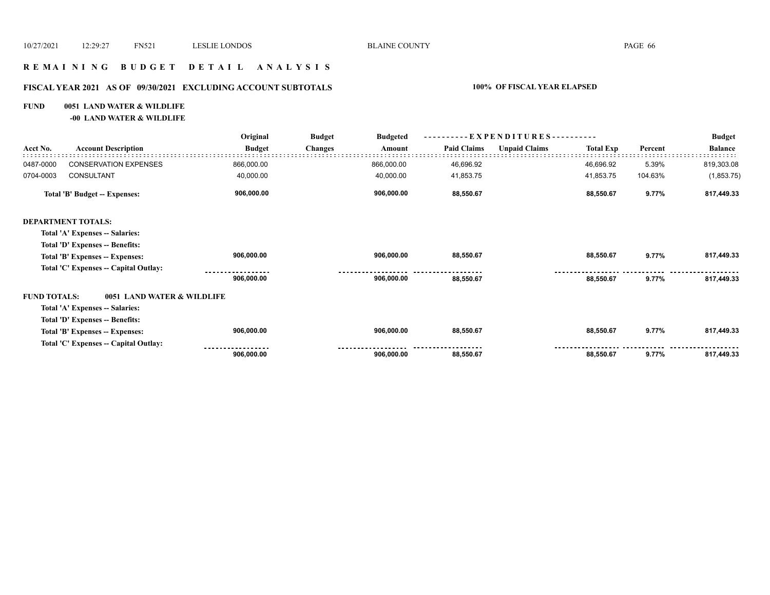#### **R E M A I N I N G B U D G E T D E T A I L A N A L Y S I S**

## **FISCAL YEAR 2021 AS OF 09/30/2021 EXCLUDING ACCOUNT SUBTOTALS 100% OF FISCAL YEAR ELAPSED**

# **FUND 0051 LAND WATER & WILDLIFE**

# **-00 LAND WATER & WILDLIFE**

|                     |                                       | Original      | <b>Budget</b>  |            |                    |                      |                  |         | <b>Budget</b>  |
|---------------------|---------------------------------------|---------------|----------------|------------|--------------------|----------------------|------------------|---------|----------------|
| Acct No.            | <b>Account Description</b>            | <b>Budget</b> | <b>Changes</b> | Amount     | <b>Paid Claims</b> | <b>Unpaid Claims</b> | <b>Total Exp</b> | Percent | <b>Balance</b> |
| 0487-0000           | <b>CONSERVATION EXPENSES</b>          | 866,000.00    |                | 866,000.00 | 46,696.92          |                      | 46,696.92        | 5.39%   | 819,303.08     |
| 0704-0003           | CONSULTANT                            | 40,000.00     |                | 40,000.00  | 41,853.75          |                      | 41,853.75        | 104.63% | (1,853.75)     |
|                     | <b>Total 'B' Budget -- Expenses:</b>  | 906,000.00    |                | 906,000.00 | 88,550.67          |                      | 88,550.67        | 9.77%   | 817,449.33     |
|                     | <b>DEPARTMENT TOTALS:</b>             |               |                |            |                    |                      |                  |         |                |
|                     | Total 'A' Expenses -- Salaries:       |               |                |            |                    |                      |                  |         |                |
|                     | Total 'D' Expenses -- Benefits:       |               |                |            |                    |                      |                  |         |                |
|                     | Total 'B' Expenses -- Expenses:       | 906,000.00    |                | 906,000.00 | 88,550.67          |                      | 88,550.67        | 9.77%   | 817,449.33     |
|                     | Total 'C' Expenses -- Capital Outlay: |               |                |            |                    |                      |                  |         |                |
|                     |                                       | 906,000.00    |                | 906,000.00 | 88,550.67          |                      | 88,550.67        | 9.77%   | 817,449.33     |
| <b>FUND TOTALS:</b> | 0051 LAND WATER & WILDLIFE            |               |                |            |                    |                      |                  |         |                |
|                     | Total 'A' Expenses -- Salaries:       |               |                |            |                    |                      |                  |         |                |
|                     | Total 'D' Expenses -- Benefits:       |               |                |            |                    |                      |                  |         |                |
|                     | Total 'B' Expenses -- Expenses:       | 906,000.00    |                | 906,000.00 | 88,550.67          |                      | 88,550.67        | 9.77%   | 817,449.33     |
|                     | Total 'C' Expenses -- Capital Outlay: |               |                |            |                    |                      |                  |         |                |
|                     |                                       | 906,000.00    |                | 906,000.00 | 88,550.67          |                      | 88,550.67        | 9.77%   | 817,449.33     |